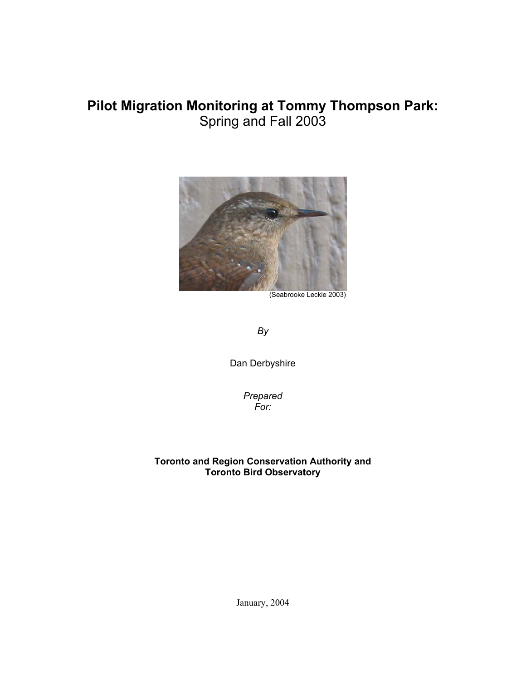# **Pilot Migration Monitoring at Tommy Thompson Park:**  Spring and Fall 2003



*By* 

Dan Derbyshire

*Prepared For:* 

### **Toronto and Region Conservation Authority and Toronto Bird Observatory**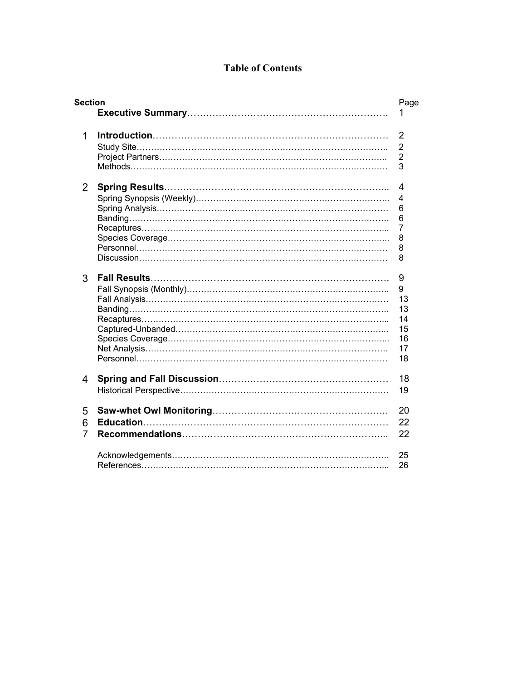# **Table of Contents**

| <b>Section</b> | Page<br>1                                        |
|----------------|--------------------------------------------------|
| 1              | 2<br>$\overline{2}$<br>$\overline{2}$<br>3       |
| $\overline{2}$ | 4<br>4<br>6<br>6<br>7<br>8<br>8<br>8             |
| 3              | 9<br>9<br>13<br>13<br>14<br>15<br>16<br>17<br>18 |
| 4              | 18<br>19                                         |
| 5<br>6<br>7    | 20<br>22<br>22<br>25<br>26                       |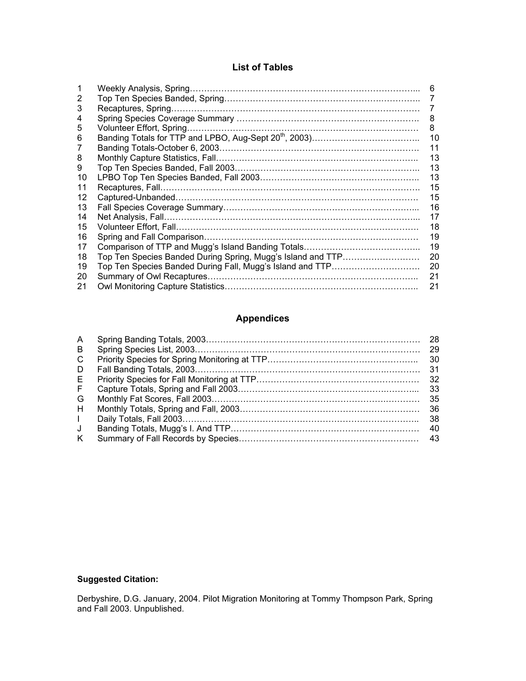### **List of Tables**

| 8                                                                                                                        |
|--------------------------------------------------------------------------------------------------------------------------|
| 8                                                                                                                        |
| 10                                                                                                                       |
| 11                                                                                                                       |
| 13                                                                                                                       |
| 13                                                                                                                       |
| 13                                                                                                                       |
| 15                                                                                                                       |
| 15                                                                                                                       |
| 16                                                                                                                       |
| 17                                                                                                                       |
| 18                                                                                                                       |
| 19                                                                                                                       |
| 19                                                                                                                       |
| 20                                                                                                                       |
| 20                                                                                                                       |
| 21                                                                                                                       |
| 21                                                                                                                       |
| Top Ten Species Banded During Spring, Mugg's Island and TTP<br>Top Ten Species Banded During Fall, Mugg's Island and TTP |

# **Appendices**

| A            | 28  |
|--------------|-----|
| B            | 29  |
| C            | -30 |
| D            | 31  |
| E            | -32 |
| F.           | 33  |
| G            | 35  |
| H            | 36  |
| $\mathbf{L}$ | 38  |
| J            | 40  |
| K            | -43 |

## **Suggested Citation:**

Derbyshire, D.G. January, 2004. Pilot Migration Monitoring at Tommy Thompson Park, Spring and Fall 2003. Unpublished.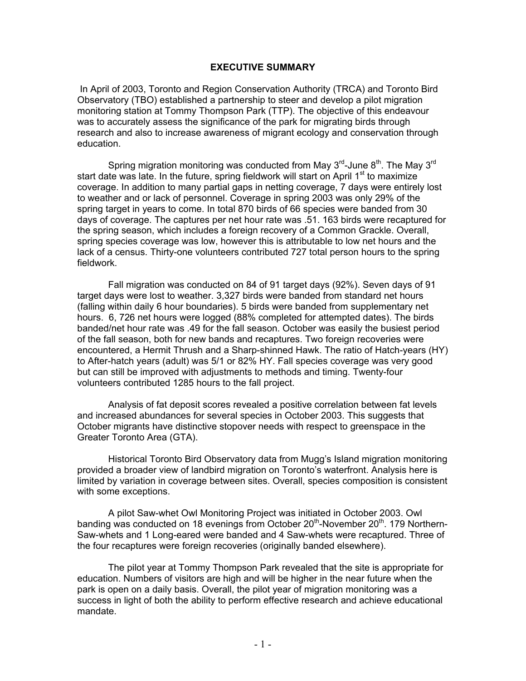### **EXECUTIVE SUMMARY**

 In April of 2003, Toronto and Region Conservation Authority (TRCA) and Toronto Bird Observatory (TBO) established a partnership to steer and develop a pilot migration monitoring station at Tommy Thompson Park (TTP). The objective of this endeavour was to accurately assess the significance of the park for migrating birds through research and also to increase awareness of migrant ecology and conservation through education.

Spring migration monitoring was conducted from May  $3^{\text{rd}}$ -June  $8^{\text{th}}$ . The May  $3^{\text{rd}}$ start date was late. In the future, spring fieldwork will start on April 1<sup>st</sup> to maximize coverage. In addition to many partial gaps in netting coverage, 7 days were entirely lost to weather and or lack of personnel. Coverage in spring 2003 was only 29% of the spring target in years to come. In total 870 birds of 66 species were banded from 30 days of coverage. The captures per net hour rate was .51. 163 birds were recaptured for the spring season, which includes a foreign recovery of a Common Grackle. Overall, spring species coverage was low, however this is attributable to low net hours and the lack of a census. Thirty-one volunteers contributed 727 total person hours to the spring fieldwork.

Fall migration was conducted on 84 of 91 target days (92%). Seven days of 91 target days were lost to weather. 3,327 birds were banded from standard net hours (falling within daily 6 hour boundaries). 5 birds were banded from supplementary net hours. 6, 726 net hours were logged (88% completed for attempted dates). The birds banded/net hour rate was .49 for the fall season. October was easily the busiest period of the fall season, both for new bands and recaptures. Two foreign recoveries were encountered, a Hermit Thrush and a Sharp-shinned Hawk. The ratio of Hatch-years (HY) to After-hatch years (adult) was 5/1 or 82% HY. Fall species coverage was very good but can still be improved with adjustments to methods and timing. Twenty-four volunteers contributed 1285 hours to the fall project.

Analysis of fat deposit scores revealed a positive correlation between fat levels and increased abundances for several species in October 2003. This suggests that October migrants have distinctive stopover needs with respect to greenspace in the Greater Toronto Area (GTA).

Historical Toronto Bird Observatory data from Mugg's Island migration monitoring provided a broader view of landbird migration on Toronto's waterfront. Analysis here is limited by variation in coverage between sites. Overall, species composition is consistent with some exceptions.

A pilot Saw-whet Owl Monitoring Project was initiated in October 2003. Owl banding was conducted on 18 evenings from October  $20<sup>th</sup>$ -November  $20<sup>th</sup>$ . 179 Northern-Saw-whets and 1 Long-eared were banded and 4 Saw-whets were recaptured. Three of the four recaptures were foreign recoveries (originally banded elsewhere).

The pilot year at Tommy Thompson Park revealed that the site is appropriate for education. Numbers of visitors are high and will be higher in the near future when the park is open on a daily basis. Overall, the pilot year of migration monitoring was a success in light of both the ability to perform effective research and achieve educational mandate.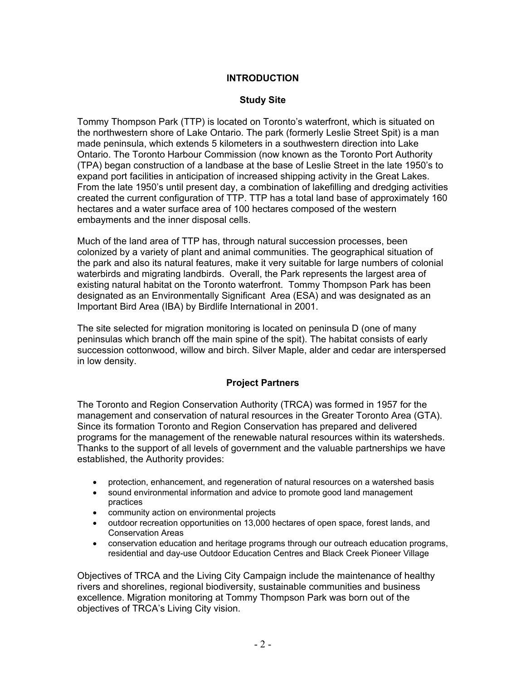### **INTRODUCTION**

### **Study Site**

Tommy Thompson Park (TTP) is located on Toronto's waterfront, which is situated on the northwestern shore of Lake Ontario. The park (formerly Leslie Street Spit) is a man made peninsula, which extends 5 kilometers in a southwestern direction into Lake Ontario. The Toronto Harbour Commission (now known as the Toronto Port Authority (TPA) began construction of a landbase at the base of Leslie Street in the late 1950's to expand port facilities in anticipation of increased shipping activity in the Great Lakes. From the late 1950's until present day, a combination of lakefilling and dredging activities created the current configuration of TTP. TTP has a total land base of approximately 160 hectares and a water surface area of 100 hectares composed of the western embayments and the inner disposal cells.

Much of the land area of TTP has, through natural succession processes, been colonized by a variety of plant and animal communities. The geographical situation of the park and also its natural features, make it very suitable for large numbers of colonial waterbirds and migrating landbirds. Overall, the Park represents the largest area of existing natural habitat on the Toronto waterfront. Tommy Thompson Park has been designated as an Environmentally Significant Area (ESA) and was designated as an Important Bird Area (IBA) by Birdlife International in 2001.

The site selected for migration monitoring is located on peninsula D (one of many peninsulas which branch off the main spine of the spit). The habitat consists of early succession cottonwood, willow and birch. Silver Maple, alder and cedar are interspersed in low density.

### **Project Partners**

The Toronto and Region Conservation Authority (TRCA) was formed in 1957 for the management and conservation of natural resources in the Greater Toronto Area (GTA). Since its formation Toronto and Region Conservation has prepared and delivered programs for the management of the renewable natural resources within its watersheds. Thanks to the support of all levels of government and the valuable partnerships we have established, the Authority provides:

- protection, enhancement, and regeneration of natural resources on a watershed basis
- sound environmental information and advice to promote good land management practices
- community action on environmental projects
- outdoor recreation opportunities on 13,000 hectares of open space, forest lands, and Conservation Areas
- conservation education and heritage programs through our outreach education programs, residential and day-use Outdoor Education Centres and Black Creek Pioneer Village

Objectives of TRCA and the Living City Campaign include the maintenance of healthy rivers and shorelines, regional biodiversity, sustainable communities and business excellence. Migration monitoring at Tommy Thompson Park was born out of the objectives of TRCA's Living City vision.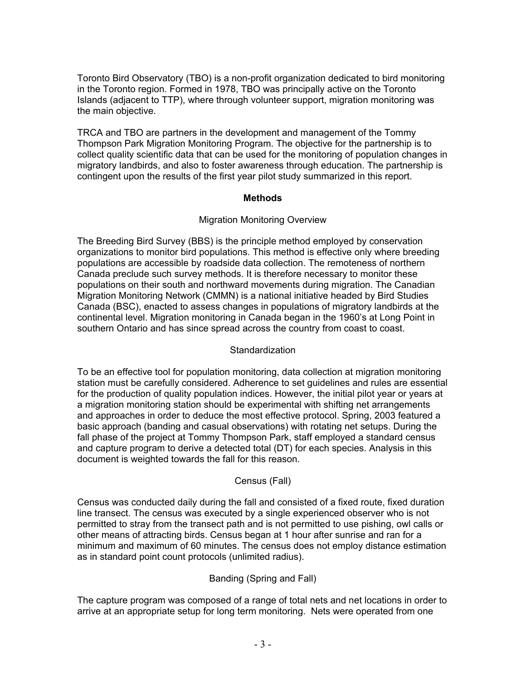Toronto Bird Observatory (TBO) is a non-profit organization dedicated to bird monitoring in the Toronto region. Formed in 1978, TBO was principally active on the Toronto Islands (adjacent to TTP), where through volunteer support, migration monitoring was the main objective.

TRCA and TBO are partners in the development and management of the Tommy Thompson Park Migration Monitoring Program. The objective for the partnership is to collect quality scientific data that can be used for the monitoring of population changes in migratory landbirds, and also to foster awareness through education. The partnership is contingent upon the results of the first year pilot study summarized in this report.

### **Methods**

### Migration Monitoring Overview

The Breeding Bird Survey (BBS) is the principle method employed by conservation organizations to monitor bird populations. This method is effective only where breeding populations are accessible by roadside data collection. The remoteness of northern Canada preclude such survey methods. It is therefore necessary to monitor these populations on their south and northward movements during migration. The Canadian Migration Monitoring Network (CMMN) is a national initiative headed by Bird Studies Canada (BSC), enacted to assess changes in populations of migratory landbirds at the continental level. Migration monitoring in Canada began in the 1960's at Long Point in southern Ontario and has since spread across the country from coast to coast.

### **Standardization**

To be an effective tool for population monitoring, data collection at migration monitoring station must be carefully considered. Adherence to set guidelines and rules are essential for the production of quality population indices. However, the initial pilot year or years at a migration monitoring station should be experimental with shifting net arrangements and approaches in order to deduce the most effective protocol. Spring, 2003 featured a basic approach (banding and casual observations) with rotating net setups. During the fall phase of the project at Tommy Thompson Park, staff employed a standard census and capture program to derive a detected total (DT) for each species. Analysis in this document is weighted towards the fall for this reason.

### Census (Fall)

Census was conducted daily during the fall and consisted of a fixed route, fixed duration line transect. The census was executed by a single experienced observer who is not permitted to stray from the transect path and is not permitted to use pishing, owl calls or other means of attracting birds. Census began at 1 hour after sunrise and ran for a minimum and maximum of 60 minutes. The census does not employ distance estimation as in standard point count protocols (unlimited radius).

### Banding (Spring and Fall)

The capture program was composed of a range of total nets and net locations in order to arrive at an appropriate setup for long term monitoring. Nets were operated from one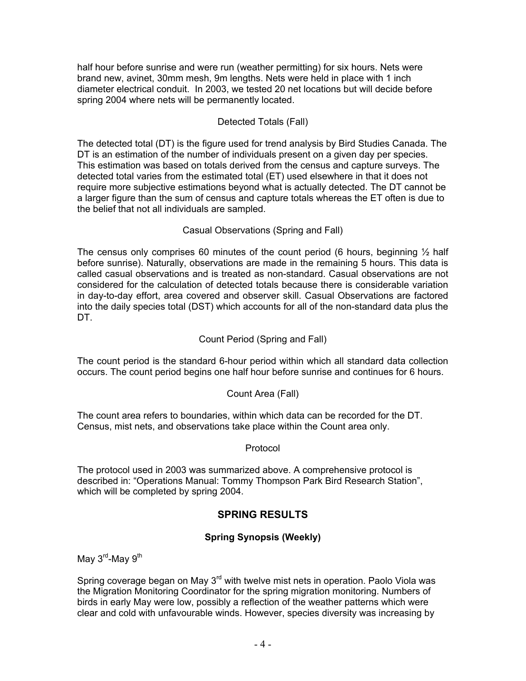half hour before sunrise and were run (weather permitting) for six hours. Nets were brand new, avinet, 30mm mesh, 9m lengths. Nets were held in place with 1 inch diameter electrical conduit. In 2003, we tested 20 net locations but will decide before spring 2004 where nets will be permanently located.

### Detected Totals (Fall)

The detected total (DT) is the figure used for trend analysis by Bird Studies Canada. The DT is an estimation of the number of individuals present on a given day per species. This estimation was based on totals derived from the census and capture surveys. The detected total varies from the estimated total (ET) used elsewhere in that it does not require more subjective estimations beyond what is actually detected. The DT cannot be a larger figure than the sum of census and capture totals whereas the ET often is due to the belief that not all individuals are sampled.

### Casual Observations (Spring and Fall)

The census only comprises 60 minutes of the count period (6 hours, beginning  $\frac{1}{2}$  half before sunrise). Naturally, observations are made in the remaining 5 hours. This data is called casual observations and is treated as non-standard. Casual observations are not considered for the calculation of detected totals because there is considerable variation in day-to-day effort, area covered and observer skill. Casual Observations are factored into the daily species total (DST) which accounts for all of the non-standard data plus the DT.

### Count Period (Spring and Fall)

The count period is the standard 6-hour period within which all standard data collection occurs. The count period begins one half hour before sunrise and continues for 6 hours.

Count Area (Fall)

The count area refers to boundaries, within which data can be recorded for the DT. Census, mist nets, and observations take place within the Count area only.

Protocol

The protocol used in 2003 was summarized above. A comprehensive protocol is described in: "Operations Manual: Tommy Thompson Park Bird Research Station", which will be completed by spring 2004.

### **SPRING RESULTS**

### **Spring Synopsis (Weekly)**

May 3<sup>rd</sup>-May 9<sup>th</sup>

Spring coverage began on May  $3<sup>rd</sup>$  with twelve mist nets in operation. Paolo Viola was the Migration Monitoring Coordinator for the spring migration monitoring. Numbers of birds in early May were low, possibly a reflection of the weather patterns which were clear and cold with unfavourable winds. However, species diversity was increasing by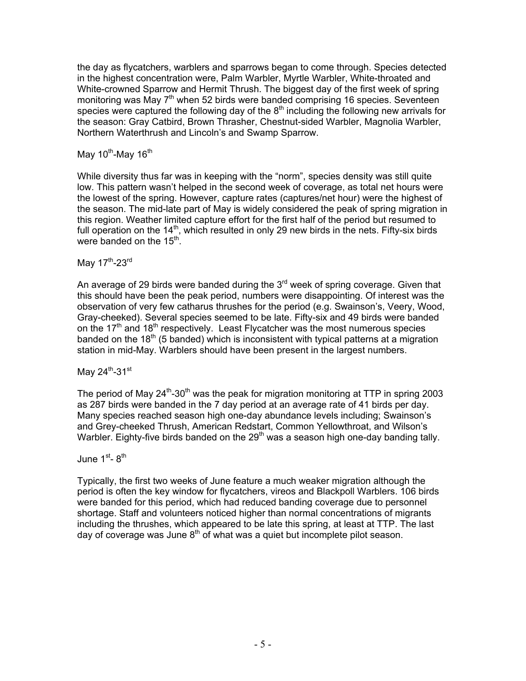the day as flycatchers, warblers and sparrows began to come through. Species detected in the highest concentration were, Palm Warbler, Myrtle Warbler, White-throated and White-crowned Sparrow and Hermit Thrush. The biggest day of the first week of spring monitoring was May  $7<sup>th</sup>$  when 52 birds were banded comprising 16 species. Seventeen species were captured the following day of the  $8<sup>th</sup>$  including the following new arrivals for the season: Gray Catbird, Brown Thrasher, Chestnut-sided Warbler, Magnolia Warbler, Northern Waterthrush and Lincoln's and Swamp Sparrow.

May  $10^{th}$ -May  $16^{th}$ 

While diversity thus far was in keeping with the "norm", species density was still quite low. This pattern wasn't helped in the second week of coverage, as total net hours were the lowest of the spring. However, capture rates (captures/net hour) were the highest of the season. The mid-late part of May is widely considered the peak of spring migration in this region. Weather limited capture effort for the first half of the period but resumed to full operation on the  $14<sup>th</sup>$ , which resulted in only 29 new birds in the nets. Fifty-six birds were banded on the 15<sup>th</sup>.

Mav  $17^{\text{th}}$ -23 $^{\text{rd}}$ 

An average of 29 birds were banded during the  $3<sup>rd</sup>$  week of spring coverage. Given that this should have been the peak period, numbers were disappointing. Of interest was the observation of very few catharus thrushes for the period (e.g. Swainson's, Veery, Wood, Gray-cheeked). Several species seemed to be late. Fifty-six and 49 birds were banded on the 17<sup>th</sup> and 18<sup>th</sup> respectively. Least Flycatcher was the most numerous species banded on the 18<sup>th</sup> (5 banded) which is inconsistent with typical patterns at a migration station in mid-May. Warblers should have been present in the largest numbers.

May  $24^{\text{th}}$ -31st

The period of May  $24<sup>th</sup>$ -30<sup>th</sup> was the peak for migration monitoring at TTP in spring 2003 as 287 birds were banded in the 7 day period at an average rate of 41 birds per day. Many species reached season high one-day abundance levels including; Swainson's and Grey-cheeked Thrush, American Redstart, Common Yellowthroat, and Wilson's Warbler. Eighty-five birds banded on the  $29<sup>th</sup>$  was a season high one-day banding tally.

June 1<sup>st</sup>-8<sup>th</sup>

Typically, the first two weeks of June feature a much weaker migration although the period is often the key window for flycatchers, vireos and Blackpoll Warblers. 106 birds were banded for this period, which had reduced banding coverage due to personnel shortage. Staff and volunteers noticed higher than normal concentrations of migrants including the thrushes, which appeared to be late this spring, at least at TTP. The last day of coverage was June  $8<sup>th</sup>$  of what was a quiet but incomplete pilot season.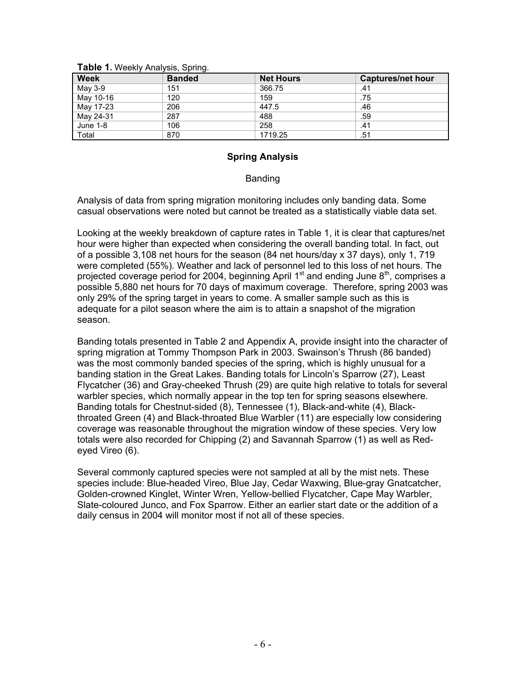|             | .             |                  |                          |
|-------------|---------------|------------------|--------------------------|
| <b>Week</b> | <b>Banded</b> | <b>Net Hours</b> | <b>Captures/net hour</b> |
| May 3-9     | 151           | 366.75           | .41                      |
| May 10-16   | 120           | 159              | .75                      |
| May 17-23   | 206           | 447.5            | .46                      |
| May 24-31   | 287           | 488              | .59                      |
| June 1-8    | 106           | 258              | .41                      |
| Total       | 870           | 1719.25          | .51                      |

**Table 1.** Weekly Analysis, Spring.

### **Spring Analysis**

### Banding

Analysis of data from spring migration monitoring includes only banding data. Some casual observations were noted but cannot be treated as a statistically viable data set.

Looking at the weekly breakdown of capture rates in Table 1, it is clear that captures/net hour were higher than expected when considering the overall banding total. In fact, out of a possible 3,108 net hours for the season (84 net hours/day x 37 days), only 1, 719 were completed (55%). Weather and lack of personnel led to this loss of net hours. The projected coverage period for 2004, beginning April 1<sup>st</sup> and ending June  $8<sup>th</sup>$ , comprises a possible 5,880 net hours for 70 days of maximum coverage. Therefore, spring 2003 was only 29% of the spring target in years to come. A smaller sample such as this is adequate for a pilot season where the aim is to attain a snapshot of the migration season.

Banding totals presented in Table 2 and Appendix A, provide insight into the character of spring migration at Tommy Thompson Park in 2003. Swainson's Thrush (86 banded) was the most commonly banded species of the spring, which is highly unusual for a banding station in the Great Lakes. Banding totals for Lincoln's Sparrow (27), Least Flycatcher (36) and Gray-cheeked Thrush (29) are quite high relative to totals for several warbler species, which normally appear in the top ten for spring seasons elsewhere. Banding totals for Chestnut-sided (8), Tennessee (1), Black-and-white (4), Blackthroated Green (4) and Black-throated Blue Warbler (11) are especially low considering coverage was reasonable throughout the migration window of these species. Very low totals were also recorded for Chipping (2) and Savannah Sparrow (1) as well as Redeyed Vireo (6).

Several commonly captured species were not sampled at all by the mist nets. These species include: Blue-headed Vireo, Blue Jay, Cedar Waxwing, Blue-gray Gnatcatcher, Golden-crowned Kinglet, Winter Wren, Yellow-bellied Flycatcher, Cape May Warbler, Slate-coloured Junco, and Fox Sparrow. Either an earlier start date or the addition of a daily census in 2004 will monitor most if not all of these species.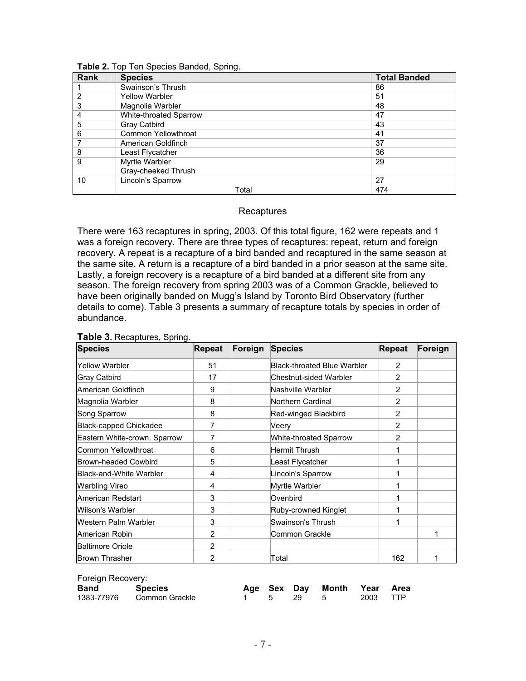| <b>Rank</b>    | <b>Species</b>         | <b>Total Banded</b> |
|----------------|------------------------|---------------------|
|                | Swainson's Thrush      | 86                  |
| $\overline{2}$ | <b>Yellow Warbler</b>  | 51                  |
| 3              | Magnolia Warbler       | 48                  |
| 4              | White-throated Sparrow | 47                  |
| 5              | Gray Catbird           | 43                  |
| 6              | Common Yellowthroat    | 41                  |
|                | American Goldfinch     | 37                  |
| 8              | Least Flycatcher       | 36                  |
| 9              | Myrtle Warbler         | 29                  |
|                | Gray-cheeked Thrush    |                     |
| 10             | Lincoln's Sparrow      | 27                  |
|                | Total                  | 474                 |

#### **Table 2.** Top Ten Species Banded, Spring.

### **Recaptures**

There were 163 recaptures in spring, 2003. Of this total figure, 162 were repeats and 1 was a foreign recovery. There are three types of recaptures: repeat, return and foreign recovery. A repeat is a recapture of a bird banded and recaptured in the same season at the same site. A return is a recapture of a bird banded in a prior season at the same site. Lastly, a foreign recovery is a recapture of a bird banded at a different site from any season. The foreign recovery from spring 2003 was of a Common Grackle, believed to have been originally banded on Mugg's Island by Toronto Bird Observatory (further details to come). Table 3 presents a summary of recapture totals by species in order of abundance.

| <b>Species</b>                | <b>Repeat</b>  | Foreign | <b>Species</b>              | <b>Repeat</b>  | Foreign |
|-------------------------------|----------------|---------|-----------------------------|----------------|---------|
| <b>Yellow Warbler</b>         | 51             |         | Black-throated Blue Warbler | $\overline{2}$ |         |
| <b>Gray Catbird</b>           | 17             |         | Chestnut-sided Warbler      | $\overline{2}$ |         |
| American Goldfinch            | 9              |         | Nashville Warbler           | $\overline{2}$ |         |
| Magnolia Warbler              | 8              |         | Northern Cardinal           | 2              |         |
| Song Sparrow                  | 8              |         | Red-winged Blackbird        | $\overline{2}$ |         |
| <b>Black-capped Chickadee</b> | 7              |         | Veery                       | $\overline{2}$ |         |
| Eastern White-crown. Sparrow  | 7              |         | White-throated Sparrow      | 2              |         |
| Common Yellowthroat           | 6              |         | Hermit Thrush               |                |         |
| Brown-headed Cowbird          | 5              |         | Least Flycatcher            | 1              |         |
| Black-and-White Warbler       | 4              |         | Lincoln's Sparrow           |                |         |
| Warbling Vireo                | 4              |         | Myrtle Warbler              |                |         |
| American Redstart             | 3              |         | Ovenbird                    |                |         |
| Wilson's Warbler              | 3              |         | Ruby-crowned Kinglet        |                |         |
| Western Palm Warbler          | 3              |         | Swainson's Thrush           | 1              |         |
| American Robin                | $\overline{2}$ |         | Common Grackle              |                |         |
| <b>Baltimore Oriole</b>       | $\overline{2}$ |         |                             |                |         |
| <b>Brown Thrasher</b>         | 2              |         | Total                       | 162            |         |

### **Table 3. Recaptures, Spring.**

| Foreign Recovery:   |                |  |  |      |                             |          |  |  |
|---------------------|----------------|--|--|------|-----------------------------|----------|--|--|
| <b>Band</b> Species |                |  |  |      | Age Sex Day Month Year Area |          |  |  |
| 1383-77976          | Common Grackle |  |  | - 29 | - 5                         | 2003 TTP |  |  |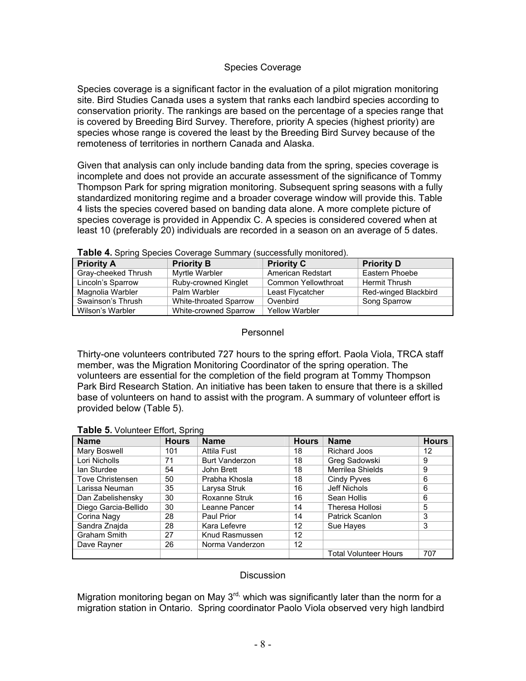### Species Coverage

Species coverage is a significant factor in the evaluation of a pilot migration monitoring site. Bird Studies Canada uses a system that ranks each landbird species according to conservation priority. The rankings are based on the percentage of a species range that is covered by Breeding Bird Survey. Therefore, priority A species (highest priority) are species whose range is covered the least by the Breeding Bird Survey because of the remoteness of territories in northern Canada and Alaska.

Given that analysis can only include banding data from the spring, species coverage is incomplete and does not provide an accurate assessment of the significance of Tommy Thompson Park for spring migration monitoring. Subsequent spring seasons with a fully standardized monitoring regime and a broader coverage window will provide this. Table 4 lists the species covered based on banding data alone. A more complete picture of species coverage is provided in Appendix C. A species is considered covered when at least 10 (preferably 20) individuals are recorded in a season on an average of 5 dates.

| <b>Priority A</b>   | <b>Priority B</b>      | <b>Priority C</b>     | <b>Priority D</b>    |
|---------------------|------------------------|-----------------------|----------------------|
| Gray-cheeked Thrush | Myrtle Warbler         | American Redstart     | Eastern Phoebe       |
| Lincoln's Sparrow   | Ruby-crowned Kinglet   | Common Yellowthroat   | <b>Hermit Thrush</b> |
| Magnolia Warbler    | Palm Warbler           | Least Flycatcher      | Red-winged Blackbird |
| Swainson's Thrush   | White-throated Sparrow | Ovenbird              | Song Sparrow         |
| Wilson's Warbler    | White-crowned Sparrow  | <b>Yellow Warbler</b> |                      |

|  |  |  | Table 4. Spring Species Coverage Summary (successfully monitored). |
|--|--|--|--------------------------------------------------------------------|
|  |  |  |                                                                    |

### Personnel

Thirty-one volunteers contributed 727 hours to the spring effort. Paola Viola, TRCA staff member, was the Migration Monitoring Coordinator of the spring operation. The volunteers are essential for the completion of the field program at Tommy Thompson Park Bird Research Station. An initiative has been taken to ensure that there is a skilled base of volunteers on hand to assist with the program. A summary of volunteer effort is provided below (Table 5).

| <b>Name</b>          | <b>Hours</b> | <b>Name</b>           | <b>Hours</b> | <b>Name</b>                  | <b>Hours</b> |
|----------------------|--------------|-----------------------|--------------|------------------------------|--------------|
| Mary Boswell         | 101          | Attila Fust           | 18           | <b>Richard Joos</b>          | 12           |
| Lori Nicholls        | 71           | <b>Burt Vanderzon</b> | 18           | Greg Sadowski                | 9            |
| lan Sturdee          | 54           | John Brett            | 18           | Merrilea Shields             | 9            |
| Tove Christensen     | 50           | Prabha Khosla         | 18           | Cindy Pyves                  | 6            |
| Larissa Neuman       | 35           | Larysa Struk          | 16           | Jeff Nichols                 | 6            |
| Dan Zabelishensky    | 30           | Roxanne Struk         | 16           | Sean Hollis                  | 6            |
| Diego Garcia-Bellido | 30           | Leanne Pancer         | 14           | Theresa Hollosi              | 5            |
| Corina Nagy          | 28           | Paul Prior            | 14           | <b>Patrick Scanlon</b>       | 3            |
| Sandra Znajda        | 28           | Kara Lefevre          | 12           | Sue Hayes                    | 3            |
| <b>Graham Smith</b>  | 27           | Knud Rasmussen        | 12           |                              |              |
| Dave Rayner          | 26           | Norma Vanderzon       | 12           |                              |              |
|                      |              |                       |              | <b>Total Volunteer Hours</b> | 707          |

### **Table 5.** Volunteer Effort, Spring

### **Discussion**

Migration monitoring began on May  $3<sup>rd</sup>$ , which was significantly later than the norm for a migration station in Ontario. Spring coordinator Paolo Viola observed very high landbird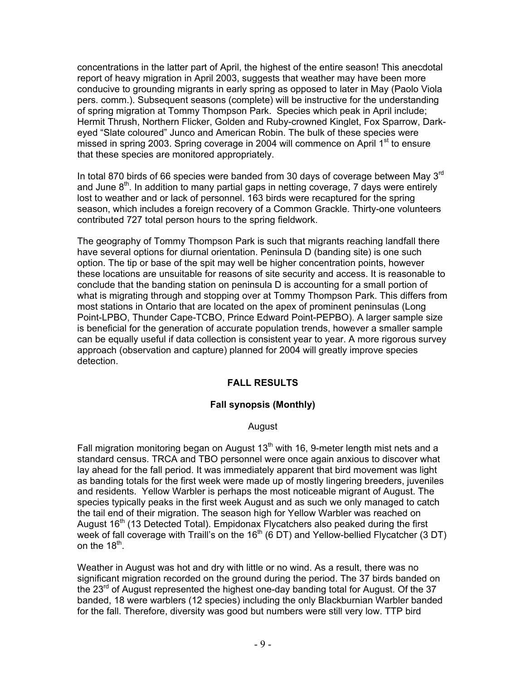concentrations in the latter part of April, the highest of the entire season! This anecdotal report of heavy migration in April 2003, suggests that weather may have been more conducive to grounding migrants in early spring as opposed to later in May (Paolo Viola pers. comm.). Subsequent seasons (complete) will be instructive for the understanding of spring migration at Tommy Thompson Park. Species which peak in April include; Hermit Thrush, Northern Flicker, Golden and Ruby-crowned Kinglet, Fox Sparrow, Darkeyed "Slate coloured" Junco and American Robin. The bulk of these species were missed in spring 2003. Spring coverage in 2004 will commence on April  $1<sup>st</sup>$  to ensure that these species are monitored appropriately.

In total 870 birds of 66 species were banded from 30 days of coverage between May  $3<sup>rd</sup>$ and June  $8<sup>th</sup>$ . In addition to many partial gaps in netting coverage, 7 days were entirely lost to weather and or lack of personnel. 163 birds were recaptured for the spring season, which includes a foreign recovery of a Common Grackle. Thirty-one volunteers contributed 727 total person hours to the spring fieldwork.

The geography of Tommy Thompson Park is such that migrants reaching landfall there have several options for diurnal orientation. Peninsula D (banding site) is one such option. The tip or base of the spit may well be higher concentration points, however these locations are unsuitable for reasons of site security and access. It is reasonable to conclude that the banding station on peninsula D is accounting for a small portion of what is migrating through and stopping over at Tommy Thompson Park. This differs from most stations in Ontario that are located on the apex of prominent peninsulas (Long Point-LPBO, Thunder Cape-TCBO, Prince Edward Point-PEPBO). A larger sample size is beneficial for the generation of accurate population trends, however a smaller sample can be equally useful if data collection is consistent year to year. A more rigorous survey approach (observation and capture) planned for 2004 will greatly improve species detection.

### **FALL RESULTS**

### **Fall synopsis (Monthly)**

### August

Fall migration monitoring began on August  $13<sup>th</sup>$  with 16, 9-meter length mist nets and a standard census. TRCA and TBO personnel were once again anxious to discover what lay ahead for the fall period. It was immediately apparent that bird movement was light as banding totals for the first week were made up of mostly lingering breeders, juveniles and residents. Yellow Warbler is perhaps the most noticeable migrant of August. The species typically peaks in the first week August and as such we only managed to catch the tail end of their migration. The season high for Yellow Warbler was reached on August  $16<sup>th</sup>$  (13 Detected Total). Empidonax Flycatchers also peaked during the first week of fall coverage with Traill's on the 16<sup>th</sup> (6 DT) and Yellow-bellied Flycatcher (3 DT) on the  $18^{th}$ .

Weather in August was hot and dry with little or no wind. As a result, there was no significant migration recorded on the ground during the period. The 37 birds banded on the 23<sup>rd</sup> of August represented the highest one-day banding total for August. Of the 37 banded, 18 were warblers (12 species) including the only Blackburnian Warbler banded for the fall. Therefore, diversity was good but numbers were still very low. TTP bird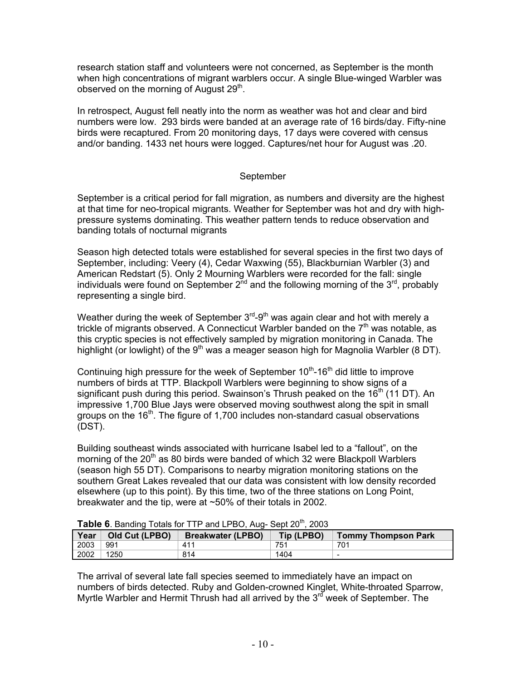research station staff and volunteers were not concerned, as September is the month when high concentrations of migrant warblers occur. A single Blue-winged Warbler was observed on the morning of August 29<sup>th</sup>.

In retrospect, August fell neatly into the norm as weather was hot and clear and bird numbers were low. 293 birds were banded at an average rate of 16 birds/day. Fifty-nine birds were recaptured. From 20 monitoring days, 17 days were covered with census and/or banding. 1433 net hours were logged. Captures/net hour for August was .20.

### **September**

September is a critical period for fall migration, as numbers and diversity are the highest at that time for neo-tropical migrants. Weather for September was hot and dry with highpressure systems dominating. This weather pattern tends to reduce observation and banding totals of nocturnal migrants

Season high detected totals were established for several species in the first two days of September, including: Veery (4), Cedar Waxwing (55), Blackburnian Warbler (3) and American Redstart (5). Only 2 Mourning Warblers were recorded for the fall: single individuals were found on September  $2^{nd}$  and the following morning of the  $3^{rd}$ , probably representing a single bird.

Weather during the week of September  $3<sup>rd</sup>-9<sup>th</sup>$  was again clear and hot with merely a trickle of migrants observed. A Connecticut Warbler banded on the  $7<sup>th</sup>$  was notable, as this cryptic species is not effectively sampled by migration monitoring in Canada. The highlight (or lowlight) of the  $9<sup>th</sup>$  was a meager season high for Magnolia Warbler (8 DT).

Continuing high pressure for the week of September  $10<sup>th</sup>$ -16<sup>th</sup> did little to improve numbers of birds at TTP. Blackpoll Warblers were beginning to show signs of a significant push during this period. Swainson's Thrush peaked on the 16<sup>th</sup> (11 DT). An impressive 1,700 Blue Jays were observed moving southwest along the spit in small groups on the  $16<sup>th</sup>$ . The figure of 1,700 includes non-standard casual observations (DST).

Building southeast winds associated with hurricane Isabel led to a "fallout", on the morning of the  $20<sup>th</sup>$  as 80 birds were banded of which 32 were Blackpoll Warblers (season high 55 DT). Comparisons to nearby migration monitoring stations on the southern Great Lakes revealed that our data was consistent with low density recorded elsewhere (up to this point). By this time, two of the three stations on Long Point, breakwater and the tip, were at ~50% of their totals in 2002.

|      | <b>TWO O.</b> Dailaring Totals for Till and Li DO, Alay Ocpt 20, 2000 |                          |      |                                |  |  |  |  |
|------|-----------------------------------------------------------------------|--------------------------|------|--------------------------------|--|--|--|--|
| Year | Old Cut (LPBO) $\parallel$                                            | <b>Breakwater (LPBO)</b> |      | Tip (LPBO) Tommy Thompson Park |  |  |  |  |
| 2003 | 991                                                                   | 411                      | 751  | 701                            |  |  |  |  |
| 2002 | 1250                                                                  | 814                      | 1404 | -                              |  |  |  |  |

**Table 6.** Banding Totals for TTP and LPBO, Aug- Sept 20<sup>th</sup>, 2003.

The arrival of several late fall species seemed to immediately have an impact on numbers of birds detected. Ruby and Golden-crowned Kinglet, White-throated Sparrow, Myrtle Warbler and Hermit Thrush had all arrived by the  $3<sup>rd</sup>$  week of September. The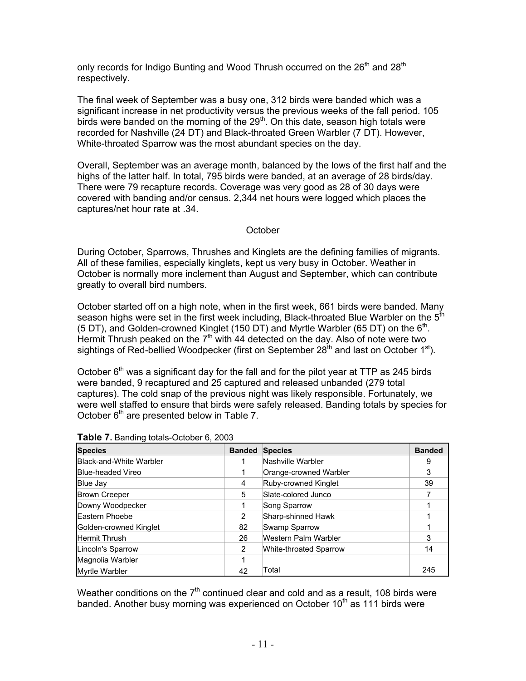only records for Indigo Bunting and Wood Thrush occurred on the 26<sup>th</sup> and 28<sup>th</sup> respectively.

The final week of September was a busy one, 312 birds were banded which was a significant increase in net productivity versus the previous weeks of the fall period. 105 birds were banded on the morning of the  $29<sup>th</sup>$ . On this date, season high totals were recorded for Nashville (24 DT) and Black-throated Green Warbler (7 DT). However, White-throated Sparrow was the most abundant species on the day.

Overall, September was an average month, balanced by the lows of the first half and the highs of the latter half. In total, 795 birds were banded, at an average of 28 birds/day. There were 79 recapture records. Coverage was very good as 28 of 30 days were covered with banding and/or census. 2,344 net hours were logged which places the captures/net hour rate at .34.

### **October**

During October, Sparrows, Thrushes and Kinglets are the defining families of migrants. All of these families, especially kinglets, kept us very busy in October. Weather in October is normally more inclement than August and September, which can contribute greatly to overall bird numbers.

October started off on a high note, when in the first week, 661 birds were banded. Many season highs were set in the first week including, Black-throated Blue Warbler on the  $5<sup>th</sup>$ (5 DT), and Golden-crowned Kinglet (150 DT) and Myrtle Warbler (65 DT) on the  $6<sup>th</sup>$ . Hermit Thrush peaked on the  $7<sup>th</sup>$  with 44 detected on the day. Also of note were two sightings of Red-bellied Woodpecker (first on September  $28<sup>th</sup>$  and last on October 1<sup>st</sup>).

October  $6<sup>th</sup>$  was a significant day for the fall and for the pilot year at TTP as 245 birds were banded, 9 recaptured and 25 captured and released unbanded (279 total captures). The cold snap of the previous night was likely responsible. Fortunately, we were well staffed to ensure that birds were safely released. Banding totals by species for October  $6<sup>th</sup>$  are presented below in Table 7.

| <b>Species</b>           | <b>Banded</b> | <b>Species</b>                | <b>Banded</b> |
|--------------------------|---------------|-------------------------------|---------------|
| Black-and-White Warbler  |               | Nashville Warbler             | 9             |
| <b>Blue-headed Vireo</b> |               | Orange-crowned Warbler        | 3             |
| Blue Jay                 | 4             | Ruby-crowned Kinglet          | 39            |
| <b>Brown Creeper</b>     | 5             | Slate-colored Junco           |               |
| Downy Woodpecker         |               | Song Sparrow                  |               |
| Eastern Phoebe           | 2             | Sharp-shinned Hawk            |               |
| Golden-crowned Kinglet   | 82            | Swamp Sparrow                 |               |
| <b>Hermit Thrush</b>     | 26            | Western Palm Warbler          | 3             |
| Lincoln's Sparrow        | 2             | <b>White-throated Sparrow</b> | 14            |
| Magnolia Warbler         |               |                               |               |
| <b>Myrtle Warbler</b>    | 42            | Total                         | 245           |

**Table 7.** Banding totals-October 6, 2003

Weather conditions on the  $7<sup>th</sup>$  continued clear and cold and as a result, 108 birds were banded. Another busy morning was experienced on October  $10<sup>th</sup>$  as 111 birds were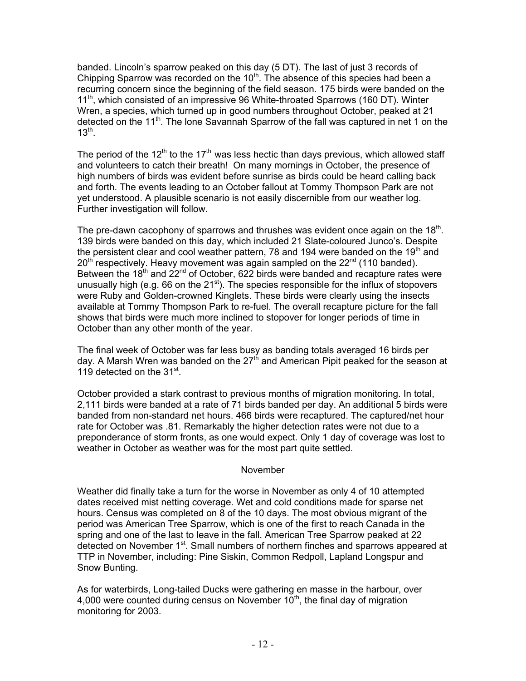banded. Lincoln's sparrow peaked on this day (5 DT). The last of just 3 records of Chipping Sparrow was recorded on the 10<sup>th</sup>. The absence of this species had been a recurring concern since the beginning of the field season. 175 birds were banded on the 11<sup>th</sup>, which consisted of an impressive 96 White-throated Sparrows (160 DT). Winter Wren, a species, which turned up in good numbers throughout October, peaked at 21 detected on the 11<sup>th</sup>. The lone Savannah Sparrow of the fall was captured in net 1 on the  $13^{\text{th}}$ .

The period of the 12<sup>th</sup> to the 17<sup>th</sup> was less hectic than days previous, which allowed staff and volunteers to catch their breath! On many mornings in October, the presence of high numbers of birds was evident before sunrise as birds could be heard calling back and forth. The events leading to an October fallout at Tommy Thompson Park are not yet understood. A plausible scenario is not easily discernible from our weather log. Further investigation will follow.

The pre-dawn cacophony of sparrows and thrushes was evident once again on the 18<sup>th</sup>. 139 birds were banded on this day, which included 21 Slate-coloured Junco's. Despite the persistent clear and cool weather pattern, 78 and 194 were banded on the 19<sup>th</sup> and  $20<sup>th</sup>$  respectively. Heavy movement was again sampled on the  $22<sup>nd</sup>$  (110 banded). Between the 18<sup>th</sup> and  $22^{nd}$  of October, 622 birds were banded and recapture rates were unusually high (e.g. 66 on the  $21<sup>st</sup>$ ). The species responsible for the influx of stopovers were Ruby and Golden-crowned Kinglets. These birds were clearly using the insects available at Tommy Thompson Park to re-fuel. The overall recapture picture for the fall shows that birds were much more inclined to stopover for longer periods of time in October than any other month of the year.

The final week of October was far less busy as banding totals averaged 16 birds per day. A Marsh Wren was banded on the  $27<sup>th</sup>$  and American Pipit peaked for the season at 119 detected on the 31<sup>st</sup>.

October provided a stark contrast to previous months of migration monitoring. In total, 2,111 birds were banded at a rate of 71 birds banded per day. An additional 5 birds were banded from non-standard net hours. 466 birds were recaptured. The captured/net hour rate for October was .81. Remarkably the higher detection rates were not due to a preponderance of storm fronts, as one would expect. Only 1 day of coverage was lost to weather in October as weather was for the most part quite settled.

### November

Weather did finally take a turn for the worse in November as only 4 of 10 attempted dates received mist netting coverage. Wet and cold conditions made for sparse net hours. Census was completed on 8 of the 10 days. The most obvious migrant of the period was American Tree Sparrow, which is one of the first to reach Canada in the spring and one of the last to leave in the fall. American Tree Sparrow peaked at 22 detected on November 1<sup>st</sup>. Small numbers of northern finches and sparrows appeared at TTP in November, including: Pine Siskin, Common Redpoll, Lapland Longspur and Snow Bunting.

As for waterbirds, Long-tailed Ducks were gathering en masse in the harbour, over 4,000 were counted during census on November  $10<sup>th</sup>$ , the final day of migration monitoring for 2003.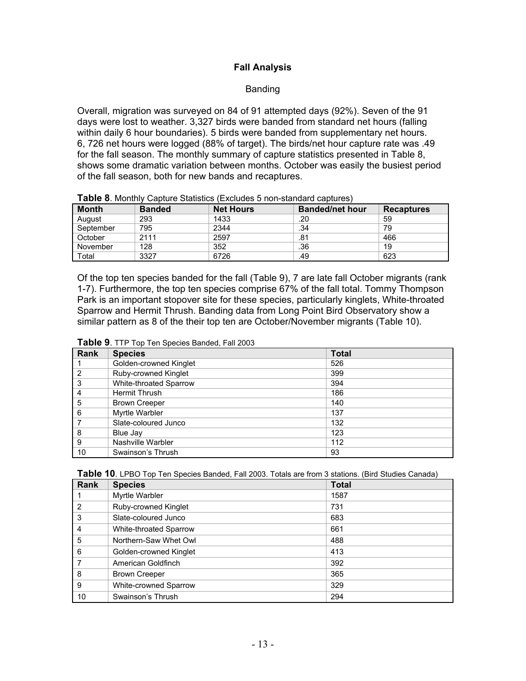### **Fall Analysis**

### Banding

Overall, migration was surveyed on 84 of 91 attempted days (92%). Seven of the 91 days were lost to weather. 3,327 birds were banded from standard net hours (falling within daily 6 hour boundaries). 5 birds were banded from supplementary net hours. 6, 726 net hours were logged (88% of target). The birds/net hour capture rate was .49 for the fall season. The monthly summary of capture statistics presented in Table 8, shows some dramatic variation between months. October was easily the busiest period of the fall season, both for new bands and recaptures.

|  |  |  | Table 8. Monthly Capture Statistics (Excludes 5 non-standard captures) |  |
|--|--|--|------------------------------------------------------------------------|--|
|--|--|--|------------------------------------------------------------------------|--|

| <b>Month</b> | <b>Banded</b> | <b>Net Hours</b> | <b>Banded/net hour</b> | <b>Recaptures</b> |
|--------------|---------------|------------------|------------------------|-------------------|
| August       | 293           | 1433             | .20                    | 59                |
| September    | 795           | 2344             | .34                    | 79                |
| October      | 2111          | 2597             | .81                    | 466               |
| November     | 128           | 352              | .36                    | 19                |
| Total        | 3327          | 6726             | .49                    | 623               |

Of the top ten species banded for the fall (Table 9), 7 are late fall October migrants (rank 1-7). Furthermore, the top ten species comprise 67% of the fall total. Tommy Thompson Park is an important stopover site for these species, particularly kinglets, White-throated Sparrow and Hermit Thrush. Banding data from Long Point Bird Observatory show a similar pattern as 8 of the their top ten are October/November migrants (Table 10).

**Table 9**. TTP Top Ten Species Banded, Fall 2003

| Rank           | <b>Species</b>         | <b>Total</b> |
|----------------|------------------------|--------------|
|                | Golden-crowned Kinglet | 526          |
| $\overline{2}$ | Ruby-crowned Kinglet   | 399          |
| 3              | White-throated Sparrow | 394          |
| 4              | Hermit Thrush          | 186          |
| 5              | <b>Brown Creeper</b>   | 140          |
| 6              | Myrtle Warbler         | 137          |
|                | Slate-coloured Junco   | 132          |
| 8              | Blue Jay               | 123          |
| 9              | Nashville Warbler      | 112          |
| 10             | Swainson's Thrush      | 93           |

|  | Table 10. LPBO Top Ten Species Banded, Fall 2003. Totals are from 3 stations. (Bird Studies Canada) |
|--|-----------------------------------------------------------------------------------------------------|
|--|-----------------------------------------------------------------------------------------------------|

| Rank           | <b>Species</b>         | <b>Total</b> |
|----------------|------------------------|--------------|
|                | Myrtle Warbler         | 1587         |
| $\overline{2}$ | Ruby-crowned Kinglet   | 731          |
| 3              | Slate-coloured Junco   | 683          |
| 4              | White-throated Sparrow | 661          |
| 5              | Northern-Saw Whet Owl  | 488          |
| 6              | Golden-crowned Kinglet | 413          |
|                | American Goldfinch     | 392          |
| 8              | <b>Brown Creeper</b>   | 365          |
| 9              | White-crowned Sparrow  | 329          |
| 10             | Swainson's Thrush      | 294          |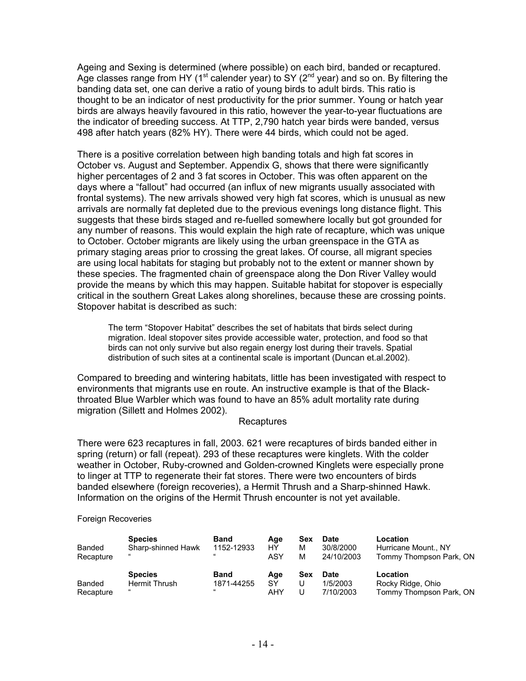Ageing and Sexing is determined (where possible) on each bird, banded or recaptured. Age classes range from HY (1<sup>st</sup> calender year) to SY (2<sup>nd</sup> year) and so on. By filtering the banding data set, one can derive a ratio of young birds to adult birds. This ratio is thought to be an indicator of nest productivity for the prior summer. Young or hatch year birds are always heavily favoured in this ratio, however the year-to-year fluctuations are the indicator of breeding success. At TTP, 2,790 hatch year birds were banded, versus 498 after hatch years (82% HY). There were 44 birds, which could not be aged.

There is a positive correlation between high banding totals and high fat scores in October vs. August and September. Appendix G, shows that there were significantly higher percentages of 2 and 3 fat scores in October. This was often apparent on the days where a "fallout" had occurred (an influx of new migrants usually associated with frontal systems). The new arrivals showed very high fat scores, which is unusual as new arrivals are normally fat depleted due to the previous evenings long distance flight. This suggests that these birds staged and re-fuelled somewhere locally but got grounded for any number of reasons. This would explain the high rate of recapture, which was unique to October. October migrants are likely using the urban greenspace in the GTA as primary staging areas prior to crossing the great lakes. Of course, all migrant species are using local habitats for staging but probably not to the extent or manner shown by these species. The fragmented chain of greenspace along the Don River Valley would provide the means by which this may happen. Suitable habitat for stopover is especially critical in the southern Great Lakes along shorelines, because these are crossing points. Stopover habitat is described as such:

The term "Stopover Habitat" describes the set of habitats that birds select during migration. Ideal stopover sites provide accessible water, protection, and food so that birds can not only survive but also regain energy lost during their travels. Spatial distribution of such sites at a continental scale is important (Duncan et.al.2002).

Compared to breeding and wintering habitats, little has been investigated with respect to environments that migrants use en route. An instructive example is that of the Blackthroated Blue Warbler which was found to have an 85% adult mortality rate during migration (Sillett and Holmes 2002).

#### **Recaptures**

There were 623 recaptures in fall, 2003. 621 were recaptures of birds banded either in spring (return) or fall (repeat). 293 of these recaptures were kinglets. With the colder weather in October, Ruby-crowned and Golden-crowned Kinglets were especially prone to linger at TTP to regenerate their fat stores. There were two encounters of birds banded elsewhere (foreign recoveries), a Hermit Thrush and a Sharp-shinned Hawk. Information on the origins of the Hermit Thrush encounter is not yet available.

| Banded<br>Recapture | <b>Species</b><br>Sharp-shinned Hawk<br>" | <b>Band</b><br>1152-12933 | Age<br>HY<br>ASY | Sex<br>М<br>М | <b>Date</b><br>30/8/2000<br>24/10/2003 | Location<br>Hurricane Mount., NY<br>Tommy Thompson Park, ON |
|---------------------|-------------------------------------------|---------------------------|------------------|---------------|----------------------------------------|-------------------------------------------------------------|
| Banded              | <b>Species</b><br>Hermit Thrush           | <b>Band</b><br>1871-44255 | Age<br><b>SY</b> | Sex<br>U      | <b>Date</b><br>1/5/2003                | Location<br>Rocky Ridge, Ohio                               |
| Recapture           | 66                                        | $^{12}$                   | AHY              | U             | 7/10/2003                              | Tommy Thompson Park, ON                                     |

#### Foreign Recoveries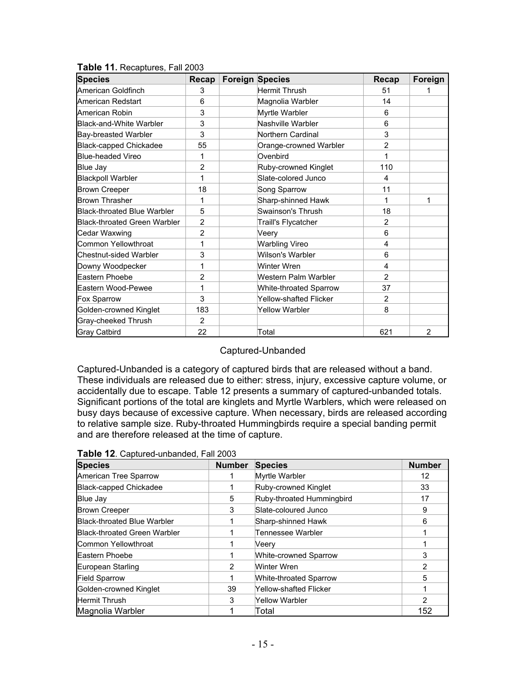| <b>Species</b>                      | Recap          | <b>Foreign Species</b> | Recap          | Foreign        |
|-------------------------------------|----------------|------------------------|----------------|----------------|
| American Goldfinch                  | 3              | Hermit Thrush          | 51             |                |
| American Redstart                   | 6              | Magnolia Warbler       | 14             |                |
| American Robin                      | 3              | Myrtle Warbler         | 6              |                |
| <b>Black-and-White Warbler</b>      | 3              | Nashville Warbler      | 6              |                |
| Bay-breasted Warbler                | 3              | Northern Cardinal      | 3              |                |
| <b>Black-capped Chickadee</b>       | 55             | Orange-crowned Warbler | $\overline{2}$ |                |
| <b>Blue-headed Vireo</b>            | 1              | Ovenbird               | 1              |                |
| Blue Jay                            | $\overline{2}$ | Ruby-crowned Kinglet   | 110            |                |
| <b>Blackpoll Warbler</b>            | 1              | Slate-colored Junco    | 4              |                |
| <b>Brown Creeper</b>                | 18             | Song Sparrow           | 11             |                |
| <b>Brown Thrasher</b>               | 1              | Sharp-shinned Hawk     | 1              | 1              |
| <b>Black-throated Blue Warbler</b>  | 5              | Swainson's Thrush      | 18             |                |
| <b>Black-throated Green Warbler</b> | $\overline{2}$ | Traill's Flycatcher    | $\overline{2}$ |                |
| Cedar Waxwing                       | $\overline{2}$ | Veery                  | 6              |                |
| Common Yellowthroat                 | 1              | <b>Warbling Vireo</b>  | 4              |                |
| <b>Chestnut-sided Warbler</b>       | 3              | Wilson's Warbler       | 6              |                |
| Downy Woodpecker                    | 1              | Winter Wren            | 4              |                |
| Eastern Phoebe                      | $\overline{2}$ | Western Palm Warbler   | $\overline{2}$ |                |
| Eastern Wood-Pewee                  | 1              | White-throated Sparrow | 37             |                |
| Fox Sparrow                         | 3              | Yellow-shafted Flicker | $\overline{2}$ |                |
| Golden-crowned Kinglet              | 183            | <b>Yellow Warbler</b>  | 8              |                |
| Gray-cheeked Thrush                 | 2              |                        |                |                |
| <b>Gray Catbird</b>                 | 22             | Total                  | 621            | $\overline{2}$ |

**Table 11.** Recaptures, Fall 2003

### Captured-Unbanded

Captured-Unbanded is a category of captured birds that are released without a band. These individuals are released due to either: stress, injury, excessive capture volume, or accidentally due to escape. Table 12 presents a summary of captured-unbanded totals. Significant portions of the total are kinglets and Myrtle Warblers, which were released on busy days because of excessive capture. When necessary, birds are released according to relative sample size. Ruby-throated Hummingbirds require a special banding permit and are therefore released at the time of capture.

| <b>Species</b>                      | <b>Number</b> | <b>Species</b>            | <b>Number</b>  |
|-------------------------------------|---------------|---------------------------|----------------|
| American Tree Sparrow               |               | Myrtle Warbler            | 12             |
| <b>Black-capped Chickadee</b>       |               | Ruby-crowned Kinglet      | 33             |
| <b>Blue Jay</b>                     | 5             | Ruby-throated Hummingbird | 17             |
| <b>Brown Creeper</b>                | 3             | Slate-coloured Junco      | 9              |
| <b>Black-throated Blue Warbler</b>  |               | Sharp-shinned Hawk        | 6              |
| <b>Black-throated Green Warbler</b> |               | Tennessee Warbler         |                |
| Common Yellowthroat                 |               | Veerv                     |                |
| Eastern Phoebe                      |               | White-crowned Sparrow     | 3              |
| European Starling                   | 2             | Winter Wren               | $\overline{2}$ |
| <b>Field Sparrow</b>                |               | White-throated Sparrow    | 5              |
| Golden-crowned Kinglet              | 39            | Yellow-shafted Flicker    |                |
| <b>Hermit Thrush</b>                | 3             | Yellow Warbler            | 2              |
| Magnolia Warbler                    |               | Total                     | 152            |

**Table 12**. Captured-unbanded, Fall 2003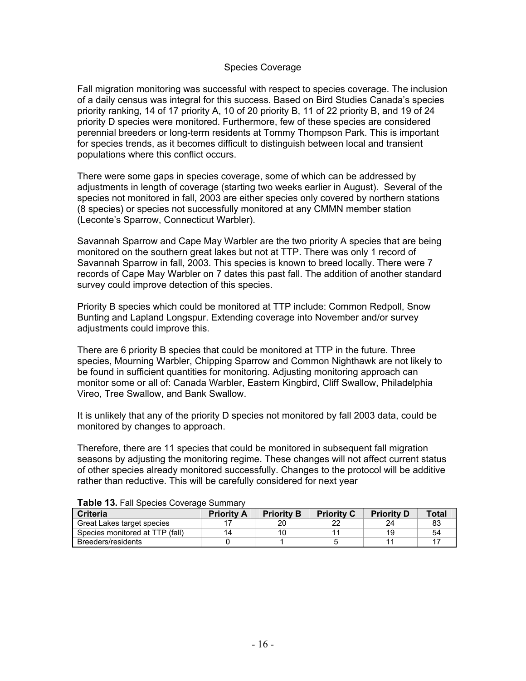### Species Coverage

Fall migration monitoring was successful with respect to species coverage. The inclusion of a daily census was integral for this success. Based on Bird Studies Canada's species priority ranking, 14 of 17 priority A, 10 of 20 priority B, 11 of 22 priority B, and 19 of 24 priority D species were monitored. Furthermore, few of these species are considered perennial breeders or long-term residents at Tommy Thompson Park. This is important for species trends, as it becomes difficult to distinguish between local and transient populations where this conflict occurs.

There were some gaps in species coverage, some of which can be addressed by adjustments in length of coverage (starting two weeks earlier in August). Several of the species not monitored in fall, 2003 are either species only covered by northern stations (8 species) or species not successfully monitored at any CMMN member station (Leconte's Sparrow, Connecticut Warbler).

Savannah Sparrow and Cape May Warbler are the two priority A species that are being monitored on the southern great lakes but not at TTP. There was only 1 record of Savannah Sparrow in fall, 2003. This species is known to breed locally. There were 7 records of Cape May Warbler on 7 dates this past fall. The addition of another standard survey could improve detection of this species.

Priority B species which could be monitored at TTP include: Common Redpoll, Snow Bunting and Lapland Longspur. Extending coverage into November and/or survey adjustments could improve this.

There are 6 priority B species that could be monitored at TTP in the future. Three species, Mourning Warbler, Chipping Sparrow and Common Nighthawk are not likely to be found in sufficient quantities for monitoring. Adjusting monitoring approach can monitor some or all of: Canada Warbler, Eastern Kingbird, Cliff Swallow, Philadelphia Vireo, Tree Swallow, and Bank Swallow.

It is unlikely that any of the priority D species not monitored by fall 2003 data, could be monitored by changes to approach.

Therefore, there are 11 species that could be monitored in subsequent fall migration seasons by adjusting the monitoring regime. These changes will not affect current status of other species already monitored successfully. Changes to the protocol will be additive rather than reductive. This will be carefully considered for next year

| <b>TUDIO TO:</b> I all Opecico Ouverage Odifficity |                   |                   |                   |                   |              |  |  |  |
|----------------------------------------------------|-------------------|-------------------|-------------------|-------------------|--------------|--|--|--|
| Criteria                                           | <b>Priority A</b> | <b>Priority B</b> | <b>Priority C</b> | <b>Priority D</b> | <b>Total</b> |  |  |  |
| Great Lakes target species                         |                   | 20                |                   | 24                |              |  |  |  |
| Species monitored at TTP (fall)                    |                   | 10                |                   | 19                | 54           |  |  |  |
| Breeders/residents                                 |                   |                   |                   |                   |              |  |  |  |

**Table 13. Fall Species Coverage Summary**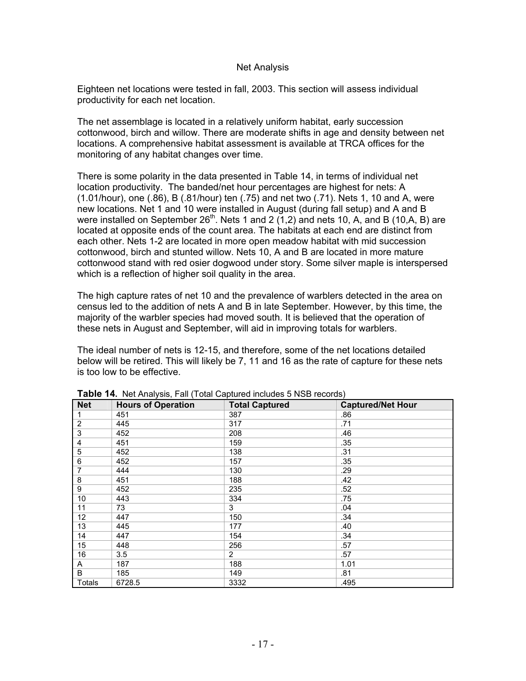### Net Analysis

Eighteen net locations were tested in fall, 2003. This section will assess individual productivity for each net location.

The net assemblage is located in a relatively uniform habitat, early succession cottonwood, birch and willow. There are moderate shifts in age and density between net locations. A comprehensive habitat assessment is available at TRCA offices for the monitoring of any habitat changes over time.

There is some polarity in the data presented in Table 14, in terms of individual net location productivity. The banded/net hour percentages are highest for nets: A (1.01/hour), one (.86), B (.81/hour) ten (.75) and net two (.71). Nets 1, 10 and A, were new locations. Net 1 and 10 were installed in August (during fall setup) and A and B were installed on September 26<sup>th</sup>. Nets 1 and 2  $(1,2)$  and nets 10, A, and B (10, A, B) are located at opposite ends of the count area. The habitats at each end are distinct from each other. Nets 1-2 are located in more open meadow habitat with mid succession cottonwood, birch and stunted willow. Nets 10, A and B are located in more mature cottonwood stand with red osier dogwood under story. Some silver maple is interspersed which is a reflection of higher soil quality in the area.

The high capture rates of net 10 and the prevalence of warblers detected in the area on census led to the addition of nets A and B in late September. However, by this time, the majority of the warbler species had moved south. It is believed that the operation of these nets in August and September, will aid in improving totals for warblers.

The ideal number of nets is 12-15, and therefore, some of the net locations detailed below will be retired. This will likely be 7, 11 and 16 as the rate of capture for these nets is too low to be effective.

| <b>Net</b>       | <b>Hours of Operation</b> | <u>.</u><br><b>Total Captured</b> | <b>Captured/Net Hour</b> |
|------------------|---------------------------|-----------------------------------|--------------------------|
| 1                | 451                       | 387                               | .86                      |
| $\boldsymbol{2}$ | 445                       | 317                               | .71                      |
| $\overline{3}$   | 452                       | 208                               | .46                      |
| 4                | 451                       | 159                               | .35                      |
| 5                | 452                       | 138                               | .31                      |
| 6                | 452                       | 157                               | .35                      |
| 7                | 444                       | 130                               | .29                      |
| 8                | 451                       | 188                               | .42                      |
| 9                | 452                       | 235                               | .52                      |
| 10               | 443                       | 334                               | .75                      |
| 11               | 73                        | 3                                 | .04                      |
| 12               | 447                       | 150                               | .34                      |
| 13               | 445                       | 177                               | .40                      |
| 14               | 447                       | 154                               | .34                      |
| 15               | 448                       | 256                               | .57                      |
| 16               | 3.5                       | 2                                 | .57                      |
| A                | 187                       | 188                               | 1.01                     |
| B                | 185                       | 149                               | .81                      |
| Totals           | 6728.5                    | 3332                              | .495                     |

**Table 14.** Net Analysis, Fall (Total Captured includes 5 NSB records)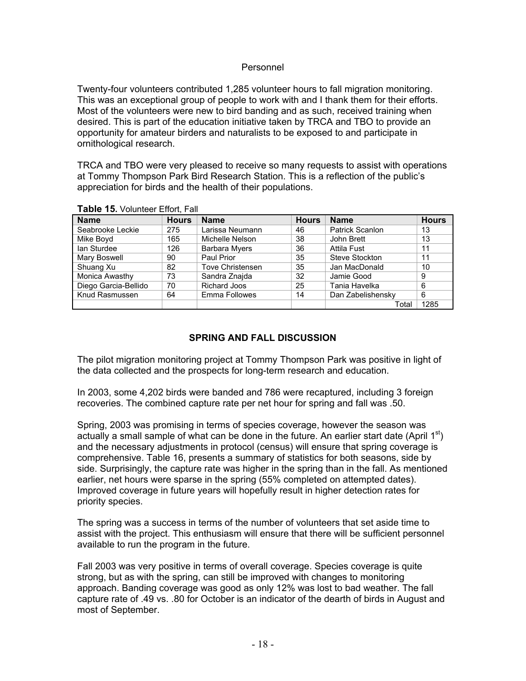### Personnel

Twenty-four volunteers contributed 1,285 volunteer hours to fall migration monitoring. This was an exceptional group of people to work with and I thank them for their efforts. Most of the volunteers were new to bird banding and as such, received training when desired. This is part of the education initiative taken by TRCA and TBO to provide an opportunity for amateur birders and naturalists to be exposed to and participate in ornithological research.

TRCA and TBO were very pleased to receive so many requests to assist with operations at Tommy Thompson Park Bird Research Station. This is a reflection of the public's appreciation for birds and the health of their populations.

| <b>Name</b>          | <b>Hours</b> | <b>Name</b>             | <b>Hours</b> | <b>Name</b>        | <b>Hours</b> |
|----------------------|--------------|-------------------------|--------------|--------------------|--------------|
| Seabrooke Leckie     | 275          | Larissa Neumann<br>46   |              | Patrick Scanlon    | 13           |
| Mike Boyd            | 165          | Michelle Nelson         | 38           | John Brett         | 13           |
| lan Sturdee          | 126          | <b>Barbara Myers</b>    | 36           | <b>Attila Fust</b> | 11           |
| Mary Boswell         | 90           | Paul Prior              | 35           | Steve Stockton     | 11           |
| Shuang Xu            | 82           | <b>Tove Christensen</b> | 35           | Jan MacDonald      | 10           |
| Monica Awasthy       | 73           | Sandra Znajda           | 32           | Jamie Good         | 9            |
| Diego Garcia-Bellido | 70           | <b>Richard Joos</b>     | 25           | Tania Havelka      | 6            |
| Knud Rasmussen       | 64           | Emma Followes           | 14           | Dan Zabelishensky  | 6            |
|                      |              |                         |              | Total              | 1285         |

**Table 15.** Volunteer Effort, Fall

## **SPRING AND FALL DISCUSSION**

The pilot migration monitoring project at Tommy Thompson Park was positive in light of the data collected and the prospects for long-term research and education.

In 2003, some 4,202 birds were banded and 786 were recaptured, including 3 foreign recoveries. The combined capture rate per net hour for spring and fall was .50.

Spring, 2003 was promising in terms of species coverage, however the season was actually a small sample of what can be done in the future. An earlier start date (April  $1<sup>st</sup>$ ) and the necessary adjustments in protocol (census) will ensure that spring coverage is comprehensive. Table 16, presents a summary of statistics for both seasons, side by side. Surprisingly, the capture rate was higher in the spring than in the fall. As mentioned earlier, net hours were sparse in the spring (55% completed on attempted dates). Improved coverage in future years will hopefully result in higher detection rates for priority species.

The spring was a success in terms of the number of volunteers that set aside time to assist with the project. This enthusiasm will ensure that there will be sufficient personnel available to run the program in the future.

Fall 2003 was very positive in terms of overall coverage. Species coverage is quite strong, but as with the spring, can still be improved with changes to monitoring approach. Banding coverage was good as only 12% was lost to bad weather. The fall capture rate of .49 vs. .80 for October is an indicator of the dearth of birds in August and most of September.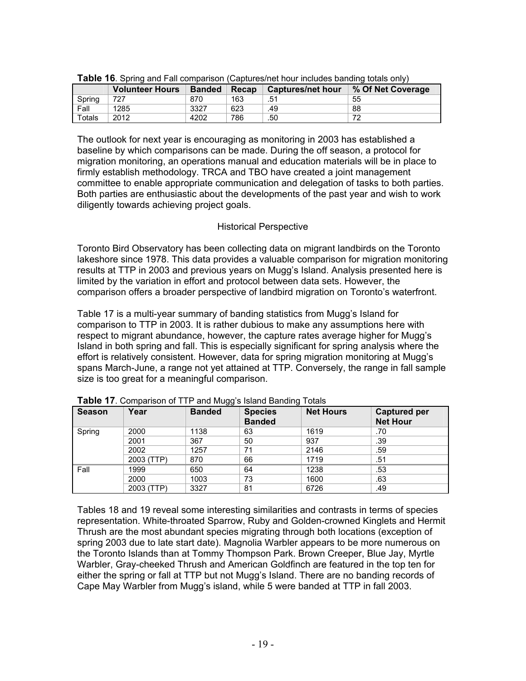|        |                        |               |       | <b>Fable Te.</b> Opiniq and Fail companion (Oaplarcomot noal included banding lolalo Only) |                   |
|--------|------------------------|---------------|-------|--------------------------------------------------------------------------------------------|-------------------|
|        | <b>Volunteer Hours</b> | <b>Banded</b> | Recap | ∣ Captures/net hour                                                                        | % Of Net Coverage |
| Sprina | 727                    | 870           | 163   | .51                                                                                        | 55                |
| Fall   | 1285                   | 3327          | 623   | .49                                                                                        | 88                |
| Totals | 2012                   | 4202          | 786   | .50                                                                                        | 72                |

|  |  | Table 16. Spring and Fall comparison (Captures/net hour includes banding totals only) |
|--|--|---------------------------------------------------------------------------------------|
|  |  |                                                                                       |

The outlook for next year is encouraging as monitoring in 2003 has established a baseline by which comparisons can be made. During the off season, a protocol for migration monitoring, an operations manual and education materials will be in place to firmly establish methodology. TRCA and TBO have created a joint management committee to enable appropriate communication and delegation of tasks to both parties. Both parties are enthusiastic about the developments of the past year and wish to work diligently towards achieving project goals.

### Historical Perspective

Toronto Bird Observatory has been collecting data on migrant landbirds on the Toronto lakeshore since 1978. This data provides a valuable comparison for migration monitoring results at TTP in 2003 and previous years on Mugg's Island. Analysis presented here is limited by the variation in effort and protocol between data sets. However, the comparison offers a broader perspective of landbird migration on Toronto's waterfront.

Table 17 is a multi-year summary of banding statistics from Mugg's Island for comparison to TTP in 2003. It is rather dubious to make any assumptions here with respect to migrant abundance, however, the capture rates average higher for Mugg's Island in both spring and fall. This is especially significant for spring analysis where the effort is relatively consistent. However, data for spring migration monitoring at Mugg's spans March-June, a range not yet attained at TTP. Conversely, the range in fall sample size is too great for a meaningful comparison.

| <b>Season</b> | Year       | <b>Banded</b> | <b>Species</b><br><b>Banded</b> | <b>Net Hours</b> | <b>Captured per</b><br><b>Net Hour</b> |
|---------------|------------|---------------|---------------------------------|------------------|----------------------------------------|
| Spring        | 2000       | 1138          | 63                              | 1619             | .70                                    |
|               | 2001       | 367           | 50                              | 937              | .39                                    |
|               | 2002       | 1257          | 71                              | 2146             | .59                                    |
|               | 2003 (TTP) | 870           | 66                              | 1719             | .51                                    |
| Fall          | 1999       | 650           | 64                              | 1238             | .53                                    |
|               | 2000       | 1003          | 73                              | 1600             | .63                                    |
|               | 2003 (TTP) | 3327          | 81                              | 6726             | .49                                    |

**Table 17**. Comparison of TTP and Mugg's Island Banding Totals

Tables 18 and 19 reveal some interesting similarities and contrasts in terms of species representation. White-throated Sparrow, Ruby and Golden-crowned Kinglets and Hermit Thrush are the most abundant species migrating through both locations (exception of spring 2003 due to late start date). Magnolia Warbler appears to be more numerous on the Toronto Islands than at Tommy Thompson Park. Brown Creeper, Blue Jay, Myrtle Warbler, Gray-cheeked Thrush and American Goldfinch are featured in the top ten for either the spring or fall at TTP but not Mugg's Island. There are no banding records of Cape May Warbler from Mugg's island, while 5 were banded at TTP in fall 2003.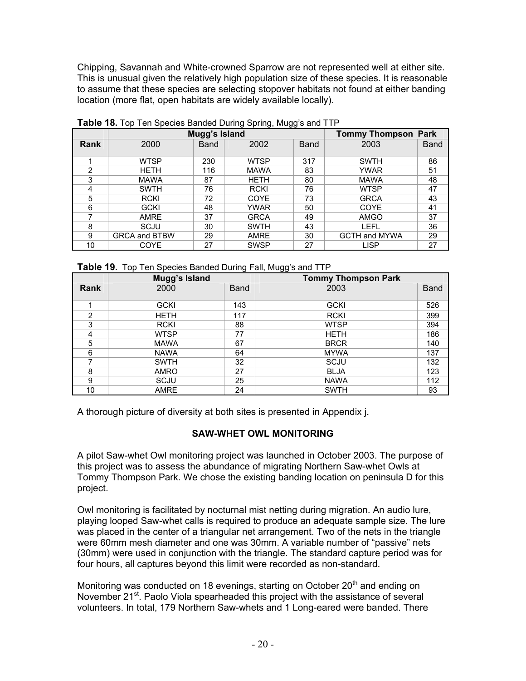Chipping, Savannah and White-crowned Sparrow are not represented well at either site. This is unusual given the relatively high population size of these species. It is reasonable to assume that these species are selecting stopover habitats not found at either banding location (more flat, open habitats are widely available locally).

|                |                      | Mugg's Island |             |             | <b>Tommy Thompson Park</b> |             |  |  |
|----------------|----------------------|---------------|-------------|-------------|----------------------------|-------------|--|--|
| <b>Rank</b>    | 2000                 | <b>Band</b>   | 2002        | <b>Band</b> | 2003                       | <b>Band</b> |  |  |
|                | <b>WTSP</b>          | 230           | <b>WTSP</b> | 317         | <b>SWTH</b>                | 86          |  |  |
| $\overline{2}$ | <b>HETH</b>          | 116           | <b>MAWA</b> | 83          | <b>YWAR</b>                | 51          |  |  |
| 3              | <b>MAWA</b>          | 87            | <b>HETH</b> | 80          | <b>MAWA</b>                | 48          |  |  |
| 4              | <b>SWTH</b>          | 76            | <b>RCKI</b> | 76          | <b>WTSP</b>                | 47          |  |  |
| 5              | <b>RCKI</b>          | 72            | <b>COYE</b> | 73          | <b>GRCA</b>                | 43          |  |  |
| 6              | <b>GCKI</b>          | 48            | <b>YWAR</b> | 50          | <b>COYE</b>                | 41          |  |  |
| 7              | <b>AMRE</b>          | 37            | <b>GRCA</b> | 49          | AMGO                       | 37          |  |  |
| 8              | SCJU                 | 30            | <b>SWTH</b> | 43          | LEFL                       | 36          |  |  |
| 9              | <b>GRCA and BTBW</b> | 29            | <b>AMRE</b> | 30          | <b>GCTH and MYWA</b>       | 29          |  |  |
| 10             | COYE                 | 27            | <b>SWSP</b> | 27          | LISP                       | 27          |  |  |

**Table 18.** Top Ten Species Banded During Spring, Mugg's and TTP

|  | Table 19. Top Ten Species Banded During Fall, Mugg's and TTP |
|--|--------------------------------------------------------------|
|  |                                                              |

|      | Mugg's Island |             | <b>Tommy Thompson Park</b> |             |  |  |  |  |
|------|---------------|-------------|----------------------------|-------------|--|--|--|--|
| Rank | 2000          | <b>Band</b> | 2003                       | <b>Band</b> |  |  |  |  |
| 4    | <b>GCKI</b>   | 143         | <b>GCKI</b>                | 526         |  |  |  |  |
| 2    | <b>HETH</b>   | 117         | <b>RCKI</b>                | 399         |  |  |  |  |
| 3    | <b>RCKI</b>   | 88          | <b>WTSP</b>                | 394         |  |  |  |  |
| 4    | WTSP          | 77          | <b>HETH</b>                | 186         |  |  |  |  |
| 5    | <b>MAWA</b>   | 67          | <b>BRCR</b>                | 140         |  |  |  |  |
| 6    | <b>NAWA</b>   | 64          | <b>MYWA</b>                | 137         |  |  |  |  |
| ⇁    | <b>SWTH</b>   | 32          | SCJU                       | 132         |  |  |  |  |
| 8    | <b>AMRO</b>   | 27          | <b>BLJA</b>                | 123         |  |  |  |  |
| 9    | SCJU          | 25          | <b>NAWA</b>                | 112         |  |  |  |  |
| 10   | <b>AMRE</b>   | 24          | <b>SWTH</b>                | 93          |  |  |  |  |

A thorough picture of diversity at both sites is presented in Appendix j.

### **SAW-WHET OWL MONITORING**

A pilot Saw-whet Owl monitoring project was launched in October 2003. The purpose of this project was to assess the abundance of migrating Northern Saw-whet Owls at Tommy Thompson Park. We chose the existing banding location on peninsula D for this project.

Owl monitoring is facilitated by nocturnal mist netting during migration. An audio lure, playing looped Saw-whet calls is required to produce an adequate sample size. The lure was placed in the center of a triangular net arrangement. Two of the nets in the triangle were 60mm mesh diameter and one was 30mm. A variable number of "passive" nets (30mm) were used in conjunction with the triangle. The standard capture period was for four hours, all captures beyond this limit were recorded as non-standard.

Monitoring was conducted on 18 evenings, starting on October 20<sup>th</sup> and ending on November 21<sup>st</sup>. Paolo Viola spearheaded this project with the assistance of several volunteers. In total, 179 Northern Saw-whets and 1 Long-eared were banded. There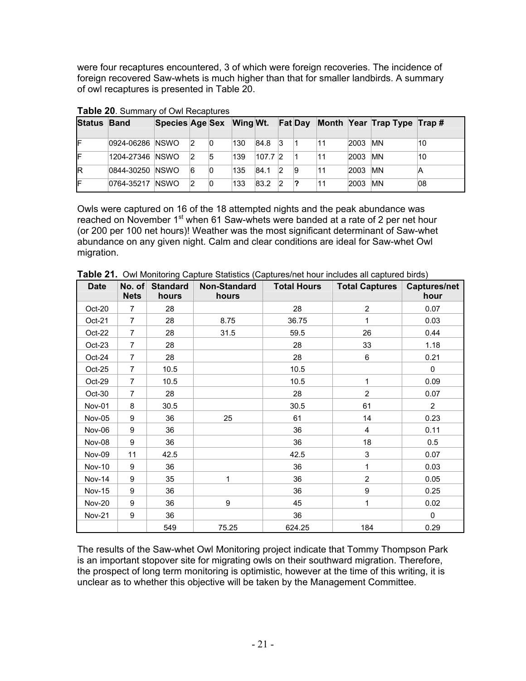were four recaptures encountered, 3 of which were foreign recoveries. The incidence of foreign recovered Saw-whets is much higher than that for smaller landbirds. A summary of owl recaptures is presented in Table 20.

| <b>Status Band</b> |                  |                |    |     |           |              |    |     |         | Species Age Sex Wing Wt. Fat Day Month Year Trap Type Trap # |     |
|--------------------|------------------|----------------|----|-----|-----------|--------------|----|-----|---------|--------------------------------------------------------------|-----|
| IF                 | 0924-06286 INSWO |                | 10 | 130 | 84.8      | $\mathbf{3}$ |    |     | 2003    | <b>IMN</b>                                                   | 10  |
| IF                 | 1204-27346 INSWO | $\overline{2}$ | 5  | 139 | $107.7$ 2 |              |    | '11 | 2003    | <b>IMN</b>                                                   | 10  |
| ΙR                 | 0844-30250 NSWO  | 16             | 10 | 135 | 84.1      | 12           | 19 | 11  | 2003 MN |                                                              | A   |
| IF                 | 0764-35217 INSWO | $\overline{2}$ | 10 | 133 | 83.2      | 12           |    | 11  | 2003    | <b>IMN</b>                                                   | 108 |

**Table 20**. Summary of Owl Recaptures

Owls were captured on 16 of the 18 attempted nights and the peak abundance was reached on November  $1<sup>st</sup>$  when 61 Saw-whets were banded at a rate of 2 per net hour (or 200 per 100 net hours)! Weather was the most significant determinant of Saw-whet abundance on any given night. Calm and clear conditions are ideal for Saw-whet Owl migration.

| <b>Date</b>   | No. of $ $<br><b>Nets</b> | <b>Standard</b><br>hours | <b>Non-Standard</b><br>hours | <b>Total Hours</b> | <b>Total Captures</b> | <b>Captures/net</b><br>hour |
|---------------|---------------------------|--------------------------|------------------------------|--------------------|-----------------------|-----------------------------|
| Oct-20        | $\overline{7}$            | 28                       |                              | 28                 | $\overline{2}$        | 0.07                        |
| Oct-21        | $\overline{7}$            | 28                       | 8.75                         | 36.75              | 1                     | 0.03                        |
| Oct-22        | $\overline{7}$            | 28                       | 31.5                         | 59.5               | 26                    | 0.44                        |
| Oct-23        | $\overline{7}$            | 28                       |                              | 28                 | 33                    | 1.18                        |
| Oct-24        | $\overline{7}$            | 28                       |                              | 28                 | $\,6\,$               | 0.21                        |
| Oct-25        | $\overline{7}$            | 10.5                     |                              | 10.5               |                       | 0                           |
| Oct-29        | $\overline{7}$            | 10.5                     |                              | 10.5               | 1                     | 0.09                        |
| Oct-30        | $\overline{7}$            | 28                       |                              | 28                 | $\overline{2}$        | 0.07                        |
| Nov-01        | 8                         | 30.5                     |                              | 30.5               | 61                    | $\overline{2}$              |
| Nov-05        | 9                         | 36                       | 25                           | 61                 | 14                    | 0.23                        |
| Nov-06        | 9                         | 36                       |                              | 36                 | 4                     | 0.11                        |
| Nov-08        | 9                         | 36                       |                              | 36                 | 18                    | 0.5                         |
| <b>Nov-09</b> | 11                        | 42.5                     |                              | 42.5               | 3                     | 0.07                        |
| <b>Nov-10</b> | 9                         | 36                       |                              | 36                 | 1                     | 0.03                        |
| <b>Nov-14</b> | 9                         | 35                       | 1                            | 36                 | $\overline{2}$        | 0.05                        |
| <b>Nov-15</b> | 9                         | 36                       |                              | 36                 | $\boldsymbol{9}$      | 0.25                        |
| <b>Nov-20</b> | 9                         | 36                       | 9                            | 45                 | 1                     | 0.02                        |
| <b>Nov-21</b> | 9                         | 36                       |                              | 36                 |                       | 0                           |
|               |                           | 549                      | 75.25                        | 624.25             | 184                   | 0.29                        |

**Table 21.** Owl Monitoring Capture Statistics (Captures/net hour includes all captured birds)

The results of the Saw-whet Owl Monitoring project indicate that Tommy Thompson Park is an important stopover site for migrating owls on their southward migration. Therefore, the prospect of long term monitoring is optimistic, however at the time of this writing, it is unclear as to whether this objective will be taken by the Management Committee.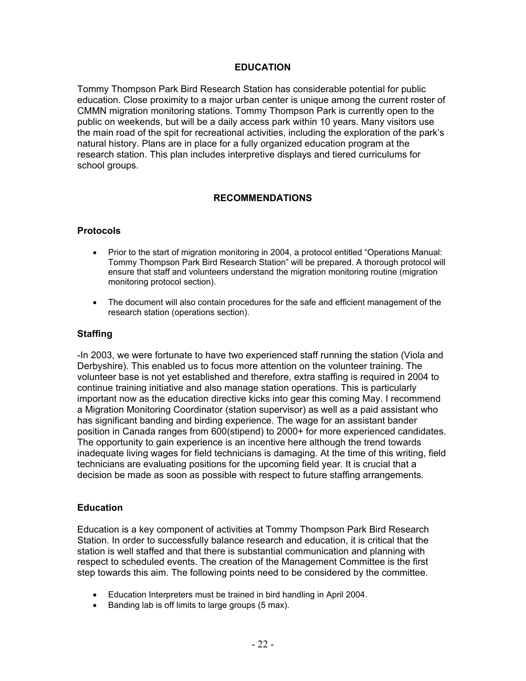### **EDUCATION**

Tommy Thompson Park Bird Research Station has considerable potential for public education. Close proximity to a major urban center is unique among the current roster of CMMN migration monitoring stations. Tommy Thompson Park is currently open to the public on weekends, but will be a daily access park within 10 years. Many visitors use the main road of the spit for recreational activities, including the exploration of the park's natural history. Plans are in place for a fully organized education program at the research station. This plan includes interpretive displays and tiered curriculums for school groups.

### **RECOMMENDATIONS**

### **Protocols**

- Prior to the start of migration monitoring in 2004, a protocol entitled "Operations Manual: Tommy Thompson Park Bird Research Station" will be prepared. A thorough protocol will ensure that staff and volunteers understand the migration monitoring routine (migration monitoring protocol section).
- The document will also contain procedures for the safe and efficient management of the research station (operations section).

### **Staffing**

-In 2003, we were fortunate to have two experienced staff running the station (Viola and Derbyshire). This enabled us to focus more attention on the volunteer training. The volunteer base is not yet established and therefore, extra staffing is required in 2004 to continue training initiative and also manage station operations. This is particularly important now as the education directive kicks into gear this coming May. I recommend a Migration Monitoring Coordinator (station supervisor) as well as a paid assistant who has significant banding and birding experience. The wage for an assistant bander position in Canada ranges from 600(stipend) to 2000+ for more experienced candidates. The opportunity to gain experience is an incentive here although the trend towards inadequate living wages for field technicians is damaging. At the time of this writing, field technicians are evaluating positions for the upcoming field year. It is crucial that a decision be made as soon as possible with respect to future staffing arrangements.

### **Education**

Education is a key component of activities at Tommy Thompson Park Bird Research Station. In order to successfully balance research and education, it is critical that the station is well staffed and that there is substantial communication and planning with respect to scheduled events. The creation of the Management Committee is the first step towards this aim. The following points need to be considered by the committee.

- Education Interpreters must be trained in bird handling in April 2004.
- Banding lab is off limits to large groups (5 max).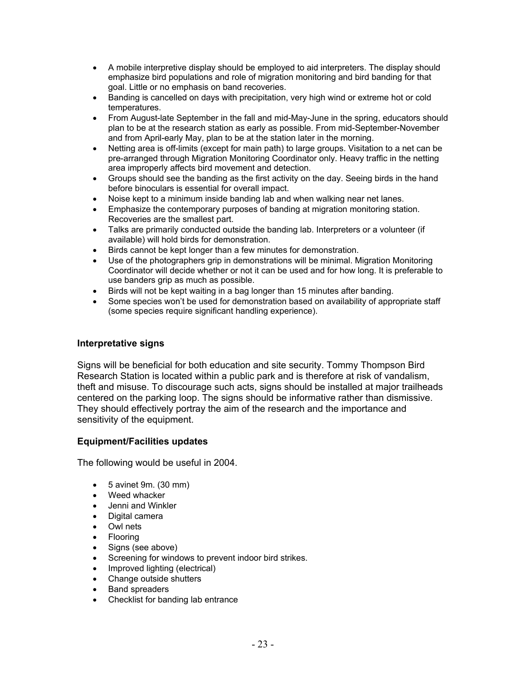- A mobile interpretive display should be employed to aid interpreters. The display should emphasize bird populations and role of migration monitoring and bird banding for that goal. Little or no emphasis on band recoveries.
- Banding is cancelled on days with precipitation, very high wind or extreme hot or cold temperatures.
- From August-late September in the fall and mid-May-June in the spring, educators should plan to be at the research station as early as possible. From mid-September-November and from April-early May, plan to be at the station later in the morning.
- Netting area is off-limits (except for main path) to large groups. Visitation to a net can be pre-arranged through Migration Monitoring Coordinator only. Heavy traffic in the netting area improperly affects bird movement and detection.
- Groups should see the banding as the first activity on the day. Seeing birds in the hand before binoculars is essential for overall impact.
- Noise kept to a minimum inside banding lab and when walking near net lanes.
- Emphasize the contemporary purposes of banding at migration monitoring station. Recoveries are the smallest part.
- Talks are primarily conducted outside the banding lab. Interpreters or a volunteer (if available) will hold birds for demonstration.
- Birds cannot be kept longer than a few minutes for demonstration.
- Use of the photographers grip in demonstrations will be minimal. Migration Monitoring Coordinator will decide whether or not it can be used and for how long. It is preferable to use banders grip as much as possible.
- Birds will not be kept waiting in a bag longer than 15 minutes after banding.
- Some species won't be used for demonstration based on availability of appropriate staff (some species require significant handling experience).

### **Interpretative signs**

Signs will be beneficial for both education and site security. Tommy Thompson Bird Research Station is located within a public park and is therefore at risk of vandalism, theft and misuse. To discourage such acts, signs should be installed at major trailheads centered on the parking loop. The signs should be informative rather than dismissive. They should effectively portray the aim of the research and the importance and sensitivity of the equipment.

### **Equipment/Facilities updates**

The following would be useful in 2004.

- 5 avinet 9m. (30 mm)
- Weed whacker
- Jenni and Winkler
- Digital camera
- Owl nets
- Flooring
- Signs (see above)
- Screening for windows to prevent indoor bird strikes.
- Improved lighting (electrical)
- Change outside shutters
- Band spreaders
- Checklist for banding lab entrance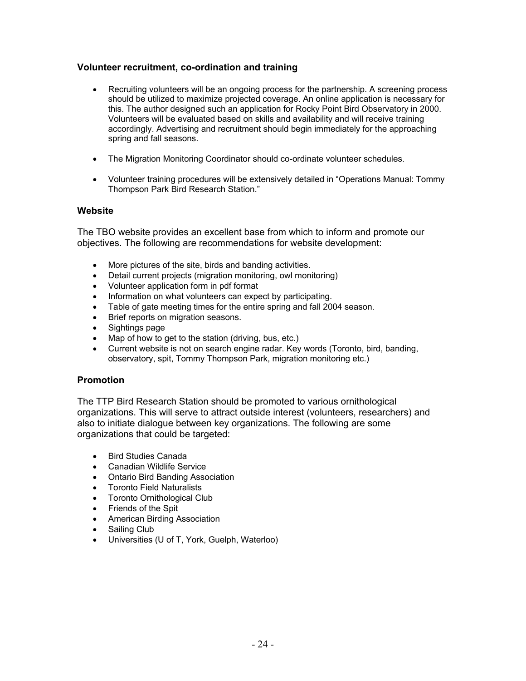### **Volunteer recruitment, co-ordination and training**

- Recruiting volunteers will be an ongoing process for the partnership. A screening process should be utilized to maximize projected coverage. An online application is necessary for this. The author designed such an application for Rocky Point Bird Observatory in 2000. Volunteers will be evaluated based on skills and availability and will receive training accordingly. Advertising and recruitment should begin immediately for the approaching spring and fall seasons.
- The Migration Monitoring Coordinator should co-ordinate volunteer schedules.
- Volunteer training procedures will be extensively detailed in "Operations Manual: Tommy Thompson Park Bird Research Station."

### **Website**

The TBO website provides an excellent base from which to inform and promote our objectives. The following are recommendations for website development:

- More pictures of the site, birds and banding activities.
- Detail current projects (migration monitoring, owl monitoring)
- Volunteer application form in pdf format
- Information on what volunteers can expect by participating.
- Table of gate meeting times for the entire spring and fall 2004 season.
- Brief reports on migration seasons.
- Sightings page
- Map of how to get to the station (driving, bus, etc.)
- Current website is not on search engine radar. Key words (Toronto, bird, banding, observatory, spit, Tommy Thompson Park, migration monitoring etc.)

### **Promotion**

The TTP Bird Research Station should be promoted to various ornithological organizations. This will serve to attract outside interest (volunteers, researchers) and also to initiate dialogue between key organizations. The following are some organizations that could be targeted:

- Bird Studies Canada
- Canadian Wildlife Service
- Ontario Bird Banding Association
- Toronto Field Naturalists
- Toronto Ornithological Club
- Friends of the Spit
- American Birding Association
- Sailing Club
- Universities (U of T, York, Guelph, Waterloo)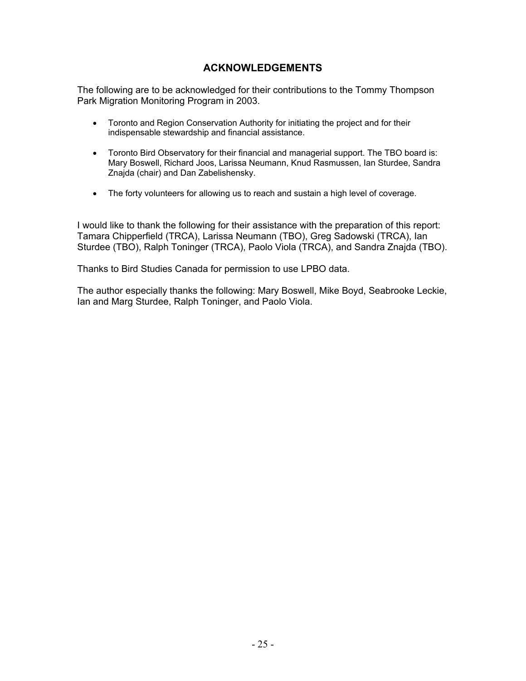### **ACKNOWLEDGEMENTS**

The following are to be acknowledged for their contributions to the Tommy Thompson Park Migration Monitoring Program in 2003.

- Toronto and Region Conservation Authority for initiating the project and for their indispensable stewardship and financial assistance.
- Toronto Bird Observatory for their financial and managerial support. The TBO board is: Mary Boswell, Richard Joos, Larissa Neumann, Knud Rasmussen, Ian Sturdee, Sandra Znajda (chair) and Dan Zabelishensky.
- The forty volunteers for allowing us to reach and sustain a high level of coverage.

I would like to thank the following for their assistance with the preparation of this report: Tamara Chipperfield (TRCA), Larissa Neumann (TBO), Greg Sadowski (TRCA), Ian Sturdee (TBO), Ralph Toninger (TRCA), Paolo Viola (TRCA), and Sandra Znajda (TBO).

Thanks to Bird Studies Canada for permission to use LPBO data.

The author especially thanks the following: Mary Boswell, Mike Boyd, Seabrooke Leckie, Ian and Marg Sturdee, Ralph Toninger, and Paolo Viola.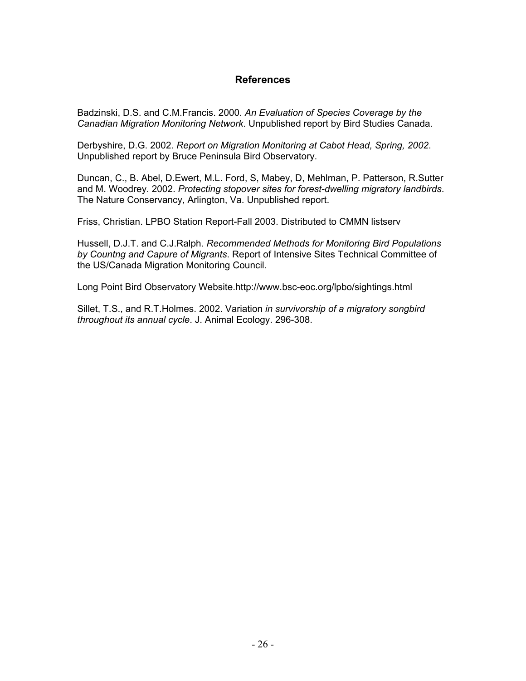### **References**

Badzinski, D.S. and C.M.Francis. 2000. *An Evaluation of Species Coverage by the Canadian Migration Monitoring Network*. Unpublished report by Bird Studies Canada.

Derbyshire, D.G. 2002. *Report on Migration Monitoring at Cabot Head, Spring, 2002*. Unpublished report by Bruce Peninsula Bird Observatory.

Duncan, C., B. Abel, D.Ewert, M.L. Ford, S, Mabey, D, Mehlman, P. Patterson, R.Sutter and M. Woodrey. 2002. *Protecting stopover sites for forest-dwelling migratory landbirds*. The Nature Conservancy, Arlington, Va. Unpublished report.

Friss, Christian. LPBO Station Report-Fall 2003. Distributed to CMMN listserv

Hussell, D.J.T. and C.J.Ralph. *Recommended Methods for Monitoring Bird Populations by Countng and Capure of Migrants*. Report of Intensive Sites Technical Committee of the US/Canada Migration Monitoring Council.

Long Point Bird Observatory Website.http://www.bsc-eoc.org/lpbo/sightings.html

Sillet, T.S., and R.T.Holmes. 2002. Variation *in survivorship of a migratory songbird throughout its annual cycle*. J. Animal Ecology. 296-308.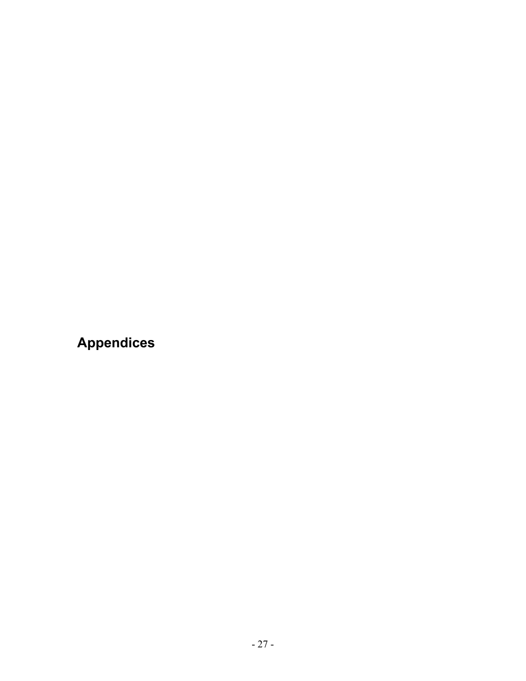**Appendices**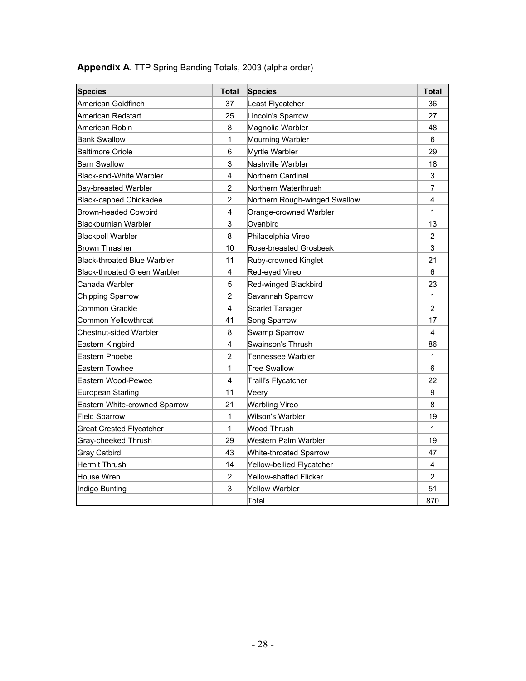| <b>Species</b>                      | Total          | <b>Species</b>                | <b>Total</b>            |
|-------------------------------------|----------------|-------------------------------|-------------------------|
| American Goldfinch                  | 37             | Least Flycatcher              | 36                      |
| American Redstart                   | 25             | Lincoln's Sparrow             | 27                      |
| American Robin                      | 8              | Magnolia Warbler              | 48                      |
| <b>Bank Swallow</b>                 | 1              | Mourning Warbler              | 6                       |
| <b>Baltimore Oriole</b>             | 6              | Myrtle Warbler                | 29                      |
| <b>Barn Swallow</b>                 | 3              | Nashville Warbler             | 18                      |
| <b>Black-and-White Warbler</b>      | 4              | Northern Cardinal             | 3                       |
| Bay-breasted Warbler                | $\overline{2}$ | Northern Waterthrush          | $\overline{7}$          |
| <b>Black-capped Chickadee</b>       | $\overline{2}$ | Northern Rough-winged Swallow | $\overline{\mathbf{4}}$ |
| Brown-headed Cowbird                | 4              | Orange-crowned Warbler        | $\mathbf{1}$            |
| <b>Blackburnian Warbler</b>         | 3              | Ovenbird                      | 13                      |
| <b>Blackpoll Warbler</b>            | 8              | Philadelphia Vireo            | $\overline{2}$          |
| <b>Brown Thrasher</b>               | 10             | Rose-breasted Grosbeak        | 3                       |
| <b>Black-throated Blue Warbler</b>  | 11             | Ruby-crowned Kinglet          | 21                      |
| <b>Black-throated Green Warbler</b> | 4              | Red-eyed Vireo                | 6                       |
| Canada Warbler                      | 5              | Red-winged Blackbird          | 23                      |
| <b>Chipping Sparrow</b>             | $\overline{2}$ | Savannah Sparrow              | $\mathbf{1}$            |
| Common Grackle                      | 4              | Scarlet Tanager               | $\overline{2}$          |
| Common Yellowthroat                 | 41             | Song Sparrow                  | 17                      |
| Chestnut-sided Warbler              | 8              | Swamp Sparrow                 | 4                       |
| Eastern Kingbird                    | $\overline{4}$ | Swainson's Thrush             | 86                      |
| Eastern Phoebe                      | $\overline{2}$ | Tennessee Warbler             | $\mathbf{1}$            |
| <b>Eastern Towhee</b>               | 1              | Tree Swallow                  | 6                       |
| Eastern Wood-Pewee                  | 4              | Traill's Flycatcher           | 22                      |
| European Starling                   | 11             | Veery                         | 9                       |
| Eastern White-crowned Sparrow       | 21             | <b>Warbling Vireo</b>         | 8                       |
| <b>Field Sparrow</b>                | 1              | Wilson's Warbler              | 19                      |
| Great Crested Flycatcher            | 1              | Wood Thrush                   | 1                       |
| Gray-cheeked Thrush                 | 29             | Western Palm Warbler          | 19                      |
| <b>Gray Catbird</b>                 | 43             | White-throated Sparrow        | 47                      |
| <b>Hermit Thrush</b>                | 14             | Yellow-bellied Flycatcher     | 4                       |
| <b>House Wren</b>                   | $\overline{2}$ | <b>Yellow-shafted Flicker</b> | $\overline{2}$          |
| Indigo Bunting                      | 3              | Yellow Warbler                | 51                      |
|                                     |                | Total                         | 870                     |

# **Appendix A.** TTP Spring Banding Totals, 2003 (alpha order)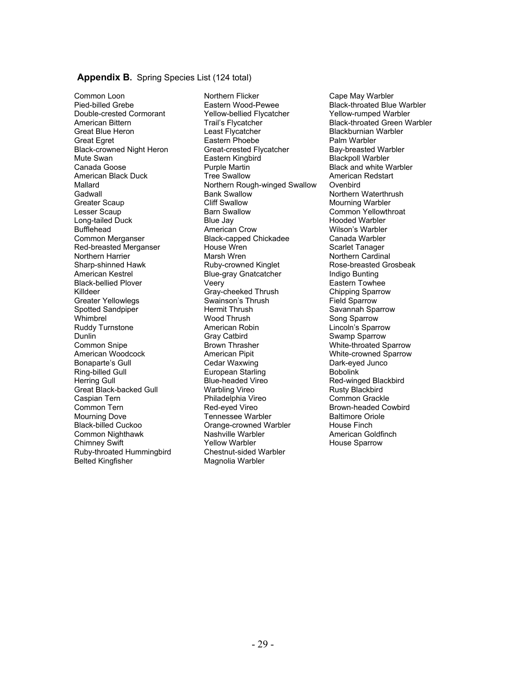#### **Appendix B.** Spring Species List (124 total)

Black-bellied Plover Veery Caspian Tern **Philadelphia Vireo Common Tern** Philadelphia Vireo Common Tern Philadelphia Vireo Ruby-throated Hummingbird Chestnut-sided Warbler Belted Kingfisher Magnolia Warbler

Common Loon **Northern Flicker** Common Cape May Warbler<br>Pied-billed Grebe **Northern Captern Wood-Pewee** Black-throated Blue Pied-billed Grebe **Eastern Wood-Pewee** Black-throated Blue Warbler<br>
Double-crested Cormorant **Example Alter Stephen Hostern Constant** Christen Prellow-rumped Warbler Yellow-bellied Flycatcher American Bittern **Trail's Flycatcher** Black-throated Green Warbler Great Blue Heron **Communist Cleast Flycatcher Cleast Flycatcher** Blackburnian Warbler Great Egret **Eastern Phoebe** Palm Warbler Black-crowned Night Heron Great-crested Flycatcher Bay-breasted Warbler Mute Swan **Eastern Kingbird** Blackpoll Warbler Canada Goose Purple Martin Black and white Warbler American Black Duck Tree Swallow American American Black Duck Tree Swallow American American Covenbird Mallard **Northern Rough-winged Swallow**<br>
Gadwall **Gadwall** Bank Swallow Gadwall Bank Swallow Northern Waterthrush<br>Greater Scaup Cliff Swallow Nourning Warbler Lesser Scaup **Barn Swallow Common Yellowthroat** Barn Swallow Common Yellowthroat Long-tailed Duck Blue Jay Hooded Warbler Bufflehead American Crow Wilson's Warbler Common Merganser Black-capped Chickadee Canada Warbler Red-breasted Merganser Thouse Wren Scarlet Tanager Northern Harrier **Marsh Wren** Marsh Wren Morthern Cardinal<br>Sharp-shinned Hawk **Marsh Marsh Ruby-crowned Kinglet** Rose-breasted Gre Sharp-shinned Hawk **Ruby-crowned Kinglet** Rose-breasted Grosbeak<br>
American Kestrel **Ruby-crowned Kinglet** Rose-breasted Grosbeak Blue-gray Gnatcatcher **Indigo Bunting**<br>
Veery Indigo Eastern Towhee Killdeer **Gray-cheeked Thrush Chipping Sparrow** Greater Yellowlegs **Swainson's Thrush Field Sparrow**<br>
Solted Sandpiper **Field Sparrow**<br>
Hermit Thrush Savannah Spa Spotted Sandpiper Hermit Thrush Savannah Sparrow Whimbrel Mood Thrush Song Sparrow<br>
Ruddy Turnstone Sparrow American Robin Number 2016 Sparrow Ruddy Turnstone **American Robin** Lincoln's Sparrow<br>
Dunlin Cray Cathird Cray Cathird Swamp Sparrow Common Snipe **Brown Thrasher** Brown Thrasher White-throated Sparrow<br>
American Woodcock American Pipit **American Photos** White-crowned Sparrow American Pipit **American Pipit** White-crowned Sparrow Bonaparte's Gull **Cedar Waxwing Conduct Conduct** Dark-eyed Junco Ring-billed Gull **European Starling Communist Communist** Bobolink Herring Gull **Blue-headed Vireo** Red-winged Blackbird Great Black-backed Gull **Warbling Vireo Rusty Blackbird**<br>Caspian Tern **Rusty Blackbird** Philadelphia Vireo **Rusty Blackbird** Common Grackle Common Tern **Common Tern Common Tern Common Tern Red-eyed Vireo Common Brown-headed Cowbird**<br>
Red-eyed Vireo Brown-headed Cowbird<br>
Red-eyed Vireo Charles Brown-headed Cowbird Mourning Dove **Tennessee Warbler** Baltimore Oriole<br>Black-billed Cuckoo **Tennessee Warbler** Black-billed Cuckoo **Orange-crowned Warbler** Common Nighthawk Nashville Warbler American Goldfinch Chimney Swift **The Chimney Swift Chimney Swift** Alleman Yellow Warbler **Manufacture Chimney Sparrow** 

Mourning Warbler Swamp Sparrow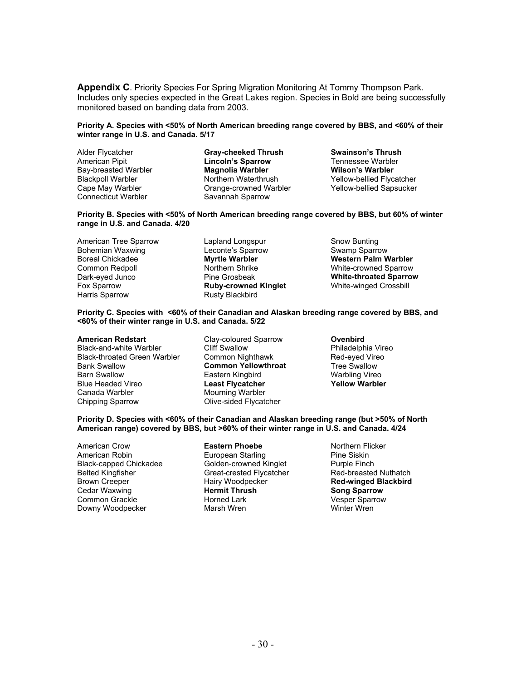**Appendix C**. Priority Species For Spring Migration Monitoring At Tommy Thompson Park. Includes only species expected in the Great Lakes region. Species in Bold are being successfully monitored based on banding data from 2003.

#### **Priority A. Species with <50% of North American breeding range covered by BBS, and <60% of their winter range in U.S. and Canada. 5/17**

Alder Flycatcher **Gray-cheeked Thrush Swainson's Thrush**  American Pipit **Lincoln's Sparrow** Tennessee Warbler Bay-breasted Warbler **Magnolia Warbler Wilson's Warbler**  Blackpoll Warbler Northern Waterthrush Yellow-bellied Flycatcher Cape May Warbler Orange-crowned Warbler Yellow-bellied Sapsucker Connecticut Warbler Savannah Sparrow

**Priority B. Species with <50% of North American breeding range covered by BBS, but 60% of winter range in U.S. and Canada. 4/20** 

American Tree Sparrow **Lapland Longspur** Snow Bunting<br>Bohemian Waxwing **Superset Sparrow Standard Standard Sparrow** Swamp Sparrow Bohemian Waxwing Harris Sparrow Rusty Blackbird

Boreal Chickadee **Myrtle Warbler Western Palm Warbler**  Common Redpoll Northern Shrike White-crowned Sparrow Dark-eyed Junco Pine Grosbeak **White-throated Sparrow**  Fox Sparrow **Ruby-crowned Kinglet** White-winged Crossbill

**Priority C. Species with <60% of their Canadian and Alaskan breeding range covered by BBS, and <60% of their winter range in U.S. and Canada. 5/22** 

Black-and-white Warbler Cliff Swallow Philadelphia Vireo<br>Black-throated Green Warbler Common Nighthawk Red-eved Vireo Black-throated Green Warbler Common Nighthawk **Red-eyed Vireo**<br>Bank Swallow **Common Yellowthroat** Tree Swallow Bank Swallow **Common Yellowthroat** Barn Swallow **Eastern Kingbird** Corresponding Vireo Warbling Vireo Corresponding Vireo Corresponding Vireo Corresponding Vireo Corresponding Vireo Corresponding Vireo Corresponding Vireo Corresponding Vireo Corresponding V Blue Headed Vireo **Least Flycatcher** Canada Warbler **Mourning Warbler** Chipping Sparrow Olive-sided Flycatcher

**American Redstart Clay-coloured Sparrow <b>Ovenbird**<br>
Black-and-white Warbler **Cliff Swallow Clift Constant Cliff Swallow** Philadelph

**Priority D. Species with <60% of their Canadian and Alaskan breeding range (but >50% of North American range) covered by BBS, but >60% of their winter range in U.S. and Canada. 4/24** 

American Crow **Eastern Phoebe Northern Flicker**<br>American Robin **Northern European Starling Northern Pine Siskin** Black-capped Chickadee Golden-crowned Kinglet Purple Finch<br>Belted Kingfisher Great-crested Flycatcher Red-breasted Nuthatch Belted Kingfisher Great-crested Flycatcher<br>Brown Creeper Great Hairy Woodpecker Cedar Waxwing **Hermit Thrush Song Sparrow**  Common Grackle Horned Lark Vesper Sparrow Downy Woodpecker Marsh Wren

European Starling<br>
Golden-crowned Kinglet<br>
Purple Finch

**Red-winged Blackbird**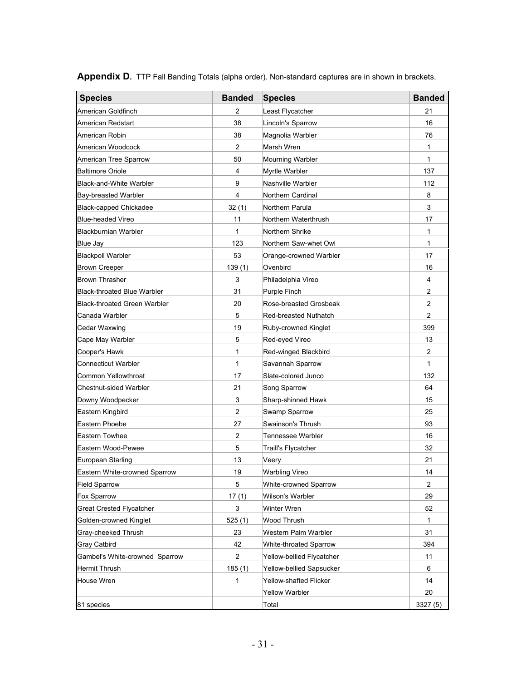| <b>Species</b>                     | <b>Banded</b>  | <b>Species</b>            | <b>Banded</b>  |
|------------------------------------|----------------|---------------------------|----------------|
| American Goldfinch                 | 2              | Least Flycatcher          | 21             |
| American Redstart                  | 38             | Lincoln's Sparrow         | 16             |
| American Robin                     | 38             | Magnolia Warbler          | 76             |
| American Woodcock                  | 2              | Marsh Wren                | 1              |
| American Tree Sparrow              | 50             | Mourning Warbler          | $\mathbf{1}$   |
| <b>Baltimore Oriole</b>            | 4              | Myrtle Warbler            | 137            |
| <b>Black-and-White Warbler</b>     | 9              | Nashville Warbler         | 112            |
| Bay-breasted Warbler               | 4              | Northern Cardinal         | 8              |
| <b>Black-capped Chickadee</b>      | 32(1)          | Northern Parula           | 3              |
| <b>Blue-headed Vireo</b>           | 11             | Northern Waterthrush      | 17             |
| <b>Blackburnian Warbler</b>        | $\mathbf{1}$   | Northern Shrike           | $\mathbf{1}$   |
| Blue Jay                           | 123            | Northern Saw-whet Owl     | 1              |
| <b>Blackpoll Warbler</b>           | 53             | Orange-crowned Warbler    | 17             |
| <b>Brown Creeper</b>               | 139(1)         | Ovenbird                  | 16             |
| <b>Brown Thrasher</b>              | 3              | Philadelphia Vireo        | 4              |
| <b>Black-throated Blue Warbler</b> | 31             | Purple Finch              | $\overline{c}$ |
| Black-throated Green Warbler       | 20             | Rose-breasted Grosbeak    | 2              |
| Canada Warbler                     | 5              | Red-breasted Nuthatch     | 2              |
| Cedar Waxwing                      | 19             | Ruby-crowned Kinglet      | 399            |
| Cape May Warbler                   | 5              | Red-eyed Vireo            | 13             |
| Cooper's Hawk                      | 1              | Red-winged Blackbird      | 2              |
| Connecticut Warbler                | 1              | Savannah Sparrow          | 1              |
| Common Yellowthroat                | 17             | Slate-colored Junco       | 132            |
| Chestnut-sided Warbler             | 21             | Song Sparrow              | 64             |
| Downy Woodpecker                   | 3              | Sharp-shinned Hawk        | 15             |
| Eastern Kingbird                   | 2              | Swamp Sparrow             | 25             |
| Eastern Phoebe                     | 27             | Swainson's Thrush         | 93             |
| Eastern Towhee                     | 2              | Tennessee Warbler         | 16             |
| Eastern Wood-Pewee                 | 5              | Traill's Flycatcher       | 32             |
| <b>European Starling</b>           | 13             | Veery                     | 21             |
| Eastern White-crowned Sparrow      | 19             | Warbling Vireo            | 14             |
| Field Sparrow                      | 5              | White-crowned Sparrow     | $\overline{2}$ |
| Fox Sparrow                        | 17(1)          | Wilson's Warbler          | 29             |
| Great Crested Flycatcher           | 3              | Winter Wren               | 52             |
| Golden-crowned Kinglet             | 525(1)         | Wood Thrush               | $\mathbf{1}$   |
| Gray-cheeked Thrush                | 23             | Western Palm Warbler      | 31             |
| Gray Catbird                       | 42             | White-throated Sparrow    | 394            |
| Gambel's White-crowned Sparrow     | $\overline{c}$ | Yellow-bellied Flycatcher | 11             |
| Hermit Thrush                      | 185(1)         | Yellow-bellied Sapsucker  | 6              |
| House Wren                         | 1              | Yellow-shafted Flicker    | 14             |
|                                    |                | Yellow Warbler            | 20             |
| 81 species                         |                | Total                     | 3327 (5)       |

Appendix D. TTP Fall Banding Totals (alpha order). Non-standard captures are in shown in brackets.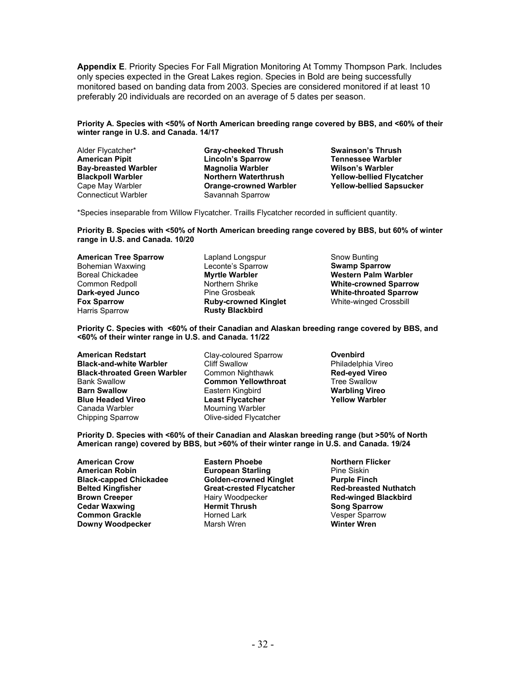**Appendix E**. Priority Species For Fall Migration Monitoring At Tommy Thompson Park. Includes only species expected in the Great Lakes region. Species in Bold are being successfully monitored based on banding data from 2003. Species are considered monitored if at least 10 preferably 20 individuals are recorded on an average of 5 dates per season.

#### **Priority A. Species with <50% of North American breeding range covered by BBS, and <60% of their winter range in U.S. and Canada. 14/17**

Connecticut Warbler Savannah Sparrow

Alder Flycatcher\* **Gray-cheeked Thrush Swainson's Thrush American Pipit Lincoln's Sparrow Tennessee Warbler Bay-breasted Warbler Magnolia Warbler Wilson's Warbler Blackpoll Warbler Northern Waterthrush Yellow-bellied Flycatcher**  Cape May Warbler **Orange-crowned Warbler Yellow-bellied Sapsucker** 

\*Species inseparable from Willow Flycatcher. Traills Flycatcher recorded in sufficient quantity.

**Priority B. Species with <50% of North American breeding range covered by BBS, but 60% of winter range in U.S. and Canada. 10/20** 

**Bohemian Waxwing Leconte's Sparrow Contents** Leconte's Sparrow **Bone Sparrow Bone Sparrow Contents** Harris Sparrow **Rusty Blackbird** 

**American Tree Sparrow Lapland Longspur Show Bunting Community Community Community Community Community Community B<br>
Leconte's Sparrow Swamp Sparrow Community Community Community Community Community Community Community Comm** 

**Western Palm Warbler** Common Redpoll Northern Shrike **White-crowned Sparrow Dark-eyed Junco** Pine Grosbeak **White-throated Sparrow Fox Sparrow Ruby-crowned Kinglet** White-winged Crossbill

**Priority C. Species with <60% of their Canadian and Alaskan breeding range covered by BBS, and <60% of their winter range in U.S. and Canada. 11/22** 

**American Redstart Clay-coloured Sparrow <b>Covenbird**<br> **Clay-Coloured Sparrow Black-and-white Warbler** Cliff Swallow **Philadelphia Vireo Black-and-white Warbler Black-throated Green Warbler** Common Nighthawk **Red-eyed Vireo**  Bank Swallow **Common Yellowthroat** Tree Swallow **Barn Swallow** Eastern Kingbird **Warbling Vireo Blue Headed Vireo Least Flycatcher Yellow Warbler**  Canada Warbler **Mourning Warbler** Chipping Sparrow Olive-sided Flycatcher

- 
- 

**Priority D. Species with <60% of their Canadian and Alaskan breeding range (but >50% of North American range) covered by BBS, but >60% of their winter range in U.S. and Canada. 19/24** 

**American Crow Eastern Phoebe Northern Flicker American Robin Communist Communist European Starling Communist Prince Siskin Black-capped Chickadee Golden-crowned Kinglet Purple Finch Brown Creeper Red-winged Blackbird Hairy Woodpecker Red-winged Blackbird Cedar Waxwing The Community Hermit Thrush Community Song Sparrow Community Community Community Song Sparrow Common Grackle** Horned Lark Vesper Sparrow **Downy Woodpecker Marsh Wren** 

**Great-crested Flycatcher**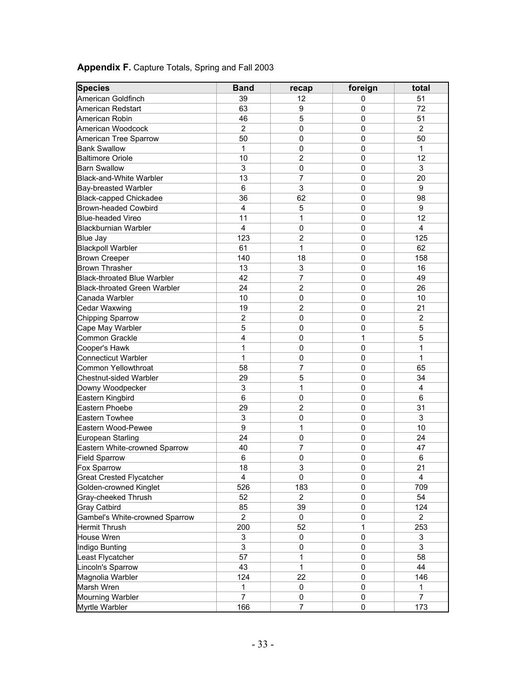| <b>Species</b>                      | <b>Band</b>    | recap                     | foreign     | total           |
|-------------------------------------|----------------|---------------------------|-------------|-----------------|
| American Goldfinch                  | 39             | 12                        | 0           | 51              |
| American Redstart                   | 63             | 9                         | 0           | 72              |
| American Robin                      | 46             | 5                         | 0           | 51              |
| American Woodcock                   | $\overline{2}$ | $\mathbf 0$               | 0           | $\overline{2}$  |
| American Tree Sparrow               | 50             | $\mathbf 0$               | 0           | 50              |
| <b>Bank Swallow</b>                 | 1              | $\mathbf 0$               | 0           | 1               |
| <b>Baltimore Oriole</b>             | 10             | $\overline{2}$            | 0           | 12              |
| <b>Barn Swallow</b>                 | 3              | $\pmb{0}$                 | 0           | 3               |
| Black-and-White Warbler             | 13             | 7                         | 0           | 20              |
| Bay-breasted Warbler                | 6              | 3                         | 0           | 9               |
| <b>Black-capped Chickadee</b>       | 36             | 62                        | 0           | 98              |
| <b>Brown-headed Cowbird</b>         | 4              | 5                         | 0           | 9               |
| <b>Blue-headed Vireo</b>            | 11             | 1                         | 0           | 12              |
| <b>Blackburnian Warbler</b>         | $\overline{4}$ | $\mathbf 0$               | 0           | $\overline{4}$  |
| Blue Jay                            | 123            | $\overline{2}$            | 0           | 125             |
| <b>Blackpoll Warbler</b>            | 61             | 1                         | 0           | 62              |
| <b>Brown Creeper</b>                | 140            | 18                        | 0           | 158             |
| <b>Brown Thrasher</b>               | 13             | $\ensuremath{\mathsf{3}}$ | 0           | 16              |
| <b>Black-throated Blue Warbler</b>  | 42             | 7                         | 0           | 49              |
| <b>Black-throated Green Warbler</b> | 24             | $\overline{2}$            | 0           | 26              |
| Canada Warbler                      | 10             | $\mathbf 0$               | 0           | 10              |
| Cedar Waxwing                       | 19             | $\overline{2}$            | 0           | 21              |
| Chipping Sparrow                    | $\overline{2}$ | $\pmb{0}$                 | 0           | $\overline{2}$  |
| Cape May Warbler                    | 5              | $\mathbf 0$               | 0           | 5               |
| Common Grackle                      | 4              | $\mathbf 0$               | 1           | 5               |
| Cooper's Hawk                       | $\mathbf{1}$   | $\mathbf 0$               | 0           | 1               |
| <b>Connecticut Warbler</b>          | $\mathbf{1}$   | $\mathbf 0$               | 0           | 1               |
| Common Yellowthroat                 | 58             | $\overline{7}$            | 0           | 65              |
| Chestnut-sided Warbler              | 29             | 5                         | $\mathbf 0$ | 34              |
| Downy Woodpecker                    | 3              | 1                         | 0           | $\overline{4}$  |
| Eastern Kingbird                    | 6              | 0                         | 0           | 6               |
| Eastern Phoebe                      | 29             | $\overline{2}$            | 0           | 31              |
| Eastern Towhee                      | 3              | 0                         | 0           | 3               |
| Eastern Wood-Pewee                  | 9              | 1                         | 0           | 10              |
| <b>European Starling</b>            | 24             | $\mathbf 0$               | 0           | 24              |
| Eastern White-crowned Sparrow       | 40             | 7                         | 0           | 47              |
| <b>Field Sparrow</b>                | 6              | $\mathbf 0$               | $\pmb{0}$   | 6               |
| Fox Sparrow                         | 18             | 3                         | $\mathsf 0$ | $\overline{21}$ |
| <b>Great Crested Flycatcher</b>     | 4              | $\mathbf 0$               | 0           | 4               |
| Golden-crowned Kinglet              | 526            | 183                       | 0           | 709             |
| Gray-cheeked Thrush                 | 52             | $\overline{2}$            | 0           | 54              |
| Gray Catbird                        | 85             | 39                        | 0           | 124             |
| Gambel's White-crowned Sparrow      | $\overline{2}$ | 0                         | 0           | $\overline{2}$  |
| Hermit Thrush                       | 200            | 52                        | 1           | 253             |
| House Wren                          | 3              | 0                         | 0           | 3               |
| Indigo Bunting                      | 3              | 0                         | 0           | 3               |
| Least Flycatcher                    | 57             | 1                         | 0           | 58              |
| Lincoln's Sparrow                   | 43             | 1                         | 0           | 44              |
| Magnolia Warbler                    | 124            | 22                        | 0           | 146             |
| Marsh Wren                          | 1              | 0                         | 0           | 1               |
| Mourning Warbler                    | $\overline{7}$ | $\pmb{0}$                 | 0           | 7               |
| Myrtle Warbler                      | 166            | 7                         | 0           | 173             |

# **Appendix F.** Capture Totals, Spring and Fall 2003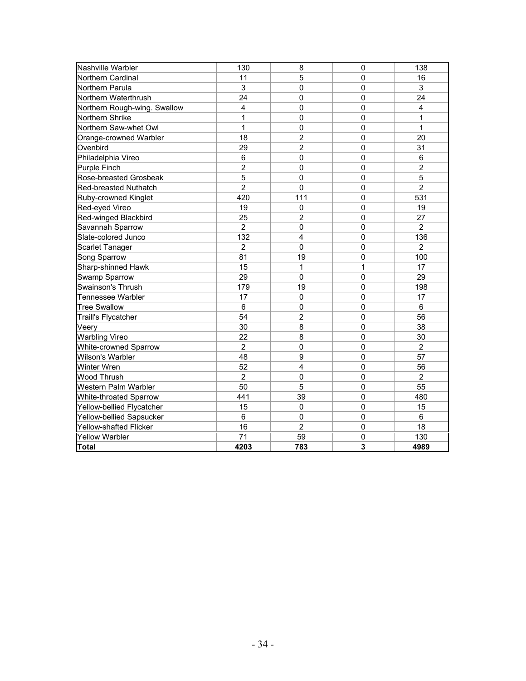| Nashville Warbler            | 130             | 8                       | $\mathbf 0$  | 138            |
|------------------------------|-----------------|-------------------------|--------------|----------------|
| Northern Cardinal            | 11              | 5                       | 0            | 16             |
| Northern Parula              | 3               | $\mathbf 0$             | 0            | 3              |
| Northern Waterthrush         | 24              | $\Omega$                | 0            | 24             |
| Northern Rough-wing. Swallow | 4               | $\mathbf 0$             | 0            | 4              |
| Northern Shrike              | 1               | 0                       | 0            | 1              |
| Northern Saw-whet Owl        | 1               | $\mathbf 0$             | $\mathbf 0$  | 1              |
| Orange-crowned Warbler       | 18              | $\overline{2}$          | $\mathbf 0$  | 20             |
| Ovenbird                     | 29              | $\overline{2}$          | $\mathbf 0$  | 31             |
| Philadelphia Vireo           | $6\phantom{1}6$ | 0                       | $\mathbf 0$  | 6              |
| Purple Finch                 | $\overline{2}$  | 0                       | 0            | $\overline{2}$ |
| Rose-breasted Grosbeak       | 5               | $\mathbf{0}$            | $\mathbf{0}$ | 5              |
| <b>Red-breasted Nuthatch</b> | $\overline{2}$  | $\mathbf 0$             | $\mathbf 0$  | $\overline{2}$ |
| Ruby-crowned Kinglet         | 420             | 111                     | 0            | 531            |
| Red-eyed Vireo               | 19              | 0                       | $\mathbf 0$  | 19             |
| Red-winged Blackbird         | 25              | $\overline{2}$          | 0            | 27             |
| Savannah Sparrow             | $\overline{2}$  | 0                       | $\mathbf 0$  | $\overline{2}$ |
| Slate-colored Junco          | 132             | $\overline{\mathbf{4}}$ | $\mathbf 0$  | 136            |
| <b>Scarlet Tanager</b>       | $\overline{2}$  | $\mathbf{0}$            | $\mathbf 0$  | $\overline{2}$ |
| Song Sparrow                 | 81              | 19                      | 0            | 100            |
| Sharp-shinned Hawk           | 15              | 1                       | $\mathbf{1}$ | 17             |
| Swamp Sparrow                | 29              | $\mathbf 0$             | $\mathbf 0$  | 29             |
| Swainson's Thrush            | 179             | 19                      | $\mathbf 0$  | 198            |
| Tennessee Warbler            | 17              | $\Omega$                | $\mathbf 0$  | 17             |
| <b>Tree Swallow</b>          | 6               | 0                       | 0            | 6              |
| Traill's Flycatcher          | 54              | $\overline{2}$          | 0            | 56             |
| Veery                        | 30              | 8                       | $\mathbf 0$  | 38             |
| <b>Warbling Vireo</b>        | 22              | 8                       | 0            | 30             |
| White-crowned Sparrow        | $\overline{2}$  | $\mathbf 0$             | $\mathbf{0}$ | $\overline{2}$ |
| Wilson's Warbler             | 48              | 9                       | $\mathbf 0$  | 57             |
| <b>Winter Wren</b>           | 52              | 4                       | $\mathbf 0$  | 56             |
| Wood Thrush                  | $\overline{2}$  | 0                       | $\mathbf 0$  | 2              |
| Western Palm Warbler         | 50              | 5                       | $\mathbf 0$  | 55             |
| White-throated Sparrow       | 441             | 39                      | $\mathbf 0$  | 480            |
| Yellow-bellied Flycatcher    | 15              | $\mathbf 0$             | $\mathbf 0$  | 15             |
| Yellow-bellied Sapsucker     | 6               | $\mathbf 0$             | 0            | 6              |
| Yellow-shafted Flicker       | 16              | $\overline{2}$          | $\mathbf 0$  | 18             |
| <b>Yellow Warbler</b>        | 71              | 59                      | 0            | 130            |
| <b>Total</b>                 | 4203            | 783                     | 3            | 4989           |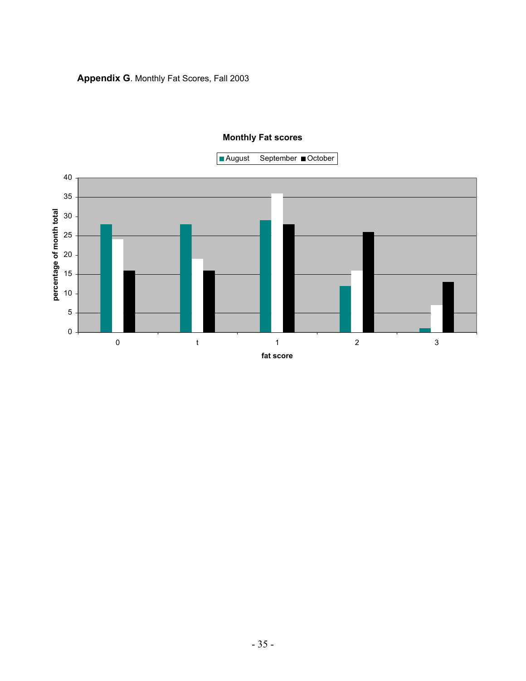**Appendix G**. Monthly Fat Scores, Fall 2003



# **Monthly Fat scores**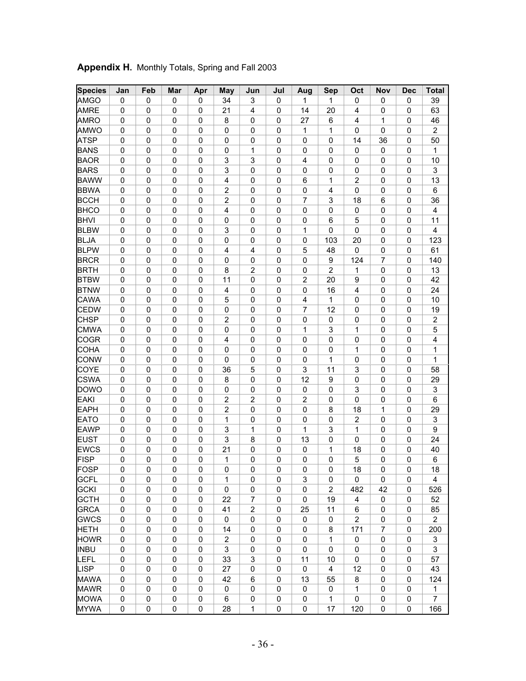| <b>AMGO</b><br>34<br>39<br>0<br>0<br>0<br>0<br>3<br>0<br>1<br>0<br>0<br>0<br>1<br><b>AMRE</b><br>$\mathbf 0$<br>$\pmb{0}$<br>$\pmb{0}$<br>21<br>4<br>0<br>14<br>20<br>$\pmb{0}$<br>63<br>0<br>4<br>0<br><b>AMRO</b><br>0<br>$\pmb{0}$<br>0<br>$\mathbf 0$<br>0<br>27<br>6<br>4<br>1<br>0<br>46<br>0<br>8<br>1<br>$\overline{2}$<br><b>AMWO</b><br>$\mathbf 0$<br>0<br>$\mathbf 0$<br>0<br>0<br>$\mathbf 0$<br>0<br>1<br>0<br>0<br>$\mathbf 0$<br>$\mathbf 0$<br>0<br><b>ATSP</b><br>$\mathbf 0$<br>0<br>$\pmb{0}$<br>0<br>$\mathbf 0$<br>$\mathbf 0$<br>0<br>14<br>36<br>$\pmb{0}$<br>50<br>1<br>1<br><b>BANS</b><br>$\mathbf 0$<br>0<br>$\pmb{0}$<br>$\mathbf 0$<br>$\mathbf 0$<br>0<br>$\mathbf 0$<br>0<br>0<br>$\pmb{0}$<br>$\pmb{0}$<br>$\mathbf 0$<br>3<br>3<br><b>BAOR</b><br>$\mathbf 0$<br>$\mathbf 0$<br>0<br>0<br>4<br>$\mathbf 0$<br>0<br>$\mathbf 0$<br>$\mathbf 0$<br>10<br>3<br>$\mathbf 0$<br>$\mathbf 0$<br>3<br><b>BARS</b><br>$\mathbf 0$<br>0<br>$\mathbf 0$<br>0<br>0<br>0<br>0<br>0<br>$\mathbf 0$<br><b>BAWW</b><br>$\mathbf 0$<br>$\pmb{0}$<br>$\mathbf 0$<br>4<br>$\mathbf 0$<br>0<br>6<br>1<br>$\overline{2}$<br>$\mathsf 0$<br>$\pmb{0}$<br>13<br>0<br>6<br><b>BBWA</b><br>$\pmb{0}$<br>$\pmb{0}$<br>$\pmb{0}$<br>$\pmb{0}$<br>$\overline{\mathbf{c}}$<br>$\pmb{0}$<br>0<br>0<br>$\mathbf 0$<br>0<br>$\mathbf 0$<br>4<br><b>BCCH</b><br>$\pmb{0}$<br>$\pmb{0}$<br>$\pmb{0}$<br>$\overline{\mathbf{c}}$<br>0<br>7<br>3<br>18<br>$\,6$<br>0<br>36<br>0<br>0<br><b>BHCO</b><br>4<br>0<br>0<br>0<br>0<br>4<br>0<br>0<br>0<br>0<br>0<br>0<br>0<br><b>BHVI</b><br>6<br>$\mathbf 5$<br>11<br>0<br>0<br>0<br>0<br>$\pmb{0}$<br>0<br>0<br>0<br>0<br>0<br>$\overline{\mathbf{4}}$<br><b>BLBW</b><br>3<br>0<br>0<br>0<br>0<br>0<br>0<br>0<br>1<br>0<br>0<br>0<br><b>BLJA</b><br>$\mathbf 0$<br>0<br>$\mathsf 0$<br>103<br>123<br>$\mathbf 0$<br>0<br>$\mathbf 0$<br>0<br>0<br>20<br>0<br>0<br><b>BLPW</b><br>$\mathbf 0$<br>$\pmb{0}$<br>$\mathbf 0$<br>$\mathsf 0$<br>5<br>48<br>$\mathbf 0$<br>$\mathsf 0$<br>61<br>0<br>4<br>$\overline{4}$<br>0<br>$\boldsymbol{9}$<br><b>BRCR</b><br>$\mathbf 0$<br>$\mathbf 0$<br>$\pmb{0}$<br>$\pmb{0}$<br>$\mathbf 0$<br>$\pmb{0}$<br>0<br>$\mathsf 0$<br>124<br>0<br>140<br>7<br>$\overline{2}$<br>8<br>$\overline{2}$<br><b>BRTH</b><br>$\pmb{0}$<br>0<br>$\pmb{0}$<br>$\pmb{0}$<br>0<br>$\pmb{0}$<br>0<br>0<br>13<br>1<br>$\overline{2}$<br>11<br>$\mathbf 0$<br>42<br><b>BTBW</b><br>$\mathbf 0$<br>0<br>$\pmb{0}$<br>0<br>0<br>20<br>9<br>$\mathsf 0$<br>$\mathsf 0$<br>$\mathbf 0$<br>0<br>$\pmb{0}$<br>0<br>4<br>$\mathbf 0$<br>0<br>$\mathsf 0$<br>16<br>$\mathsf 0$<br>$\mathsf 0$<br>24<br><b>BTNW</b><br>4<br>1<br>$\mathbf 0$<br>0<br>$\pmb{0}$<br>0<br>5<br>$\mathbf 0$<br>0<br>0<br>0<br>$\mathbf 0$<br>10<br><b>CAWA</b><br>4<br>$\overline{7}$<br>12<br><b>CEDW</b><br>$\mathbf 0$<br>0<br>$\mathbf 0$<br>0<br>$\mathbf 0$<br>$\mathbf 0$<br>0<br>0<br>0<br>$\mathbf 0$<br>19<br><b>CHSP</b><br>$\overline{c}$<br>$\mathbf 0$<br>0<br>$\mathbf 0$<br>0<br>$\overline{\mathbf{c}}$<br>$\mathbf 0$<br>0<br>$\mathbf 0$<br>$\mathbf 0$<br>0<br>0<br>$\mathbf 0$<br>5<br><b>CMWA</b><br>$\mathbf 0$<br>0<br>$\mathbf 0$<br>0<br>1<br>3<br>$\mathbf 0$<br>$\mathbf 0$<br>$\mathbf 0$<br>0<br>0<br>1<br><b>COGR</b><br>$\pmb{0}$<br>$\mathbf 0$<br>0<br>$\mathbf 0$<br>$\pmb{0}$<br>$\pmb{0}$<br>$\mathbf 0$<br>4<br>$\mathbf 0$<br>0<br>$\overline{4}$<br>0<br>0<br><b>COHA</b><br>$\pmb{0}$<br>0<br>$\pmb{0}$<br>1<br>0<br>0<br>0<br>0<br>0<br>0<br>0<br>1<br>0<br><b>CONW</b><br>1<br>1<br>0<br>0<br>0<br>0<br>$\mathbf 0$<br>0<br>0<br>0<br>0<br>0<br>0<br>COYE<br>36<br>$\mathbf 5$<br>3<br>11<br>3<br>58<br>0<br>0<br>$\pmb{0}$<br>0<br>0<br>0<br>0<br><b>CSWA</b><br>12<br>29<br>0<br>0<br>0<br>8<br>0<br>9<br>0<br>0<br>0<br>0<br>0<br>3<br><b>DOWO</b><br>$\mathbf 0$<br>0<br>3<br>$\mathbf 0$<br>0<br>$\mathbf 0$<br>0<br>0<br>0<br>0<br>$\mathbf 0$<br>0<br>$\overline{2}$<br>$\overline{2}$<br>$\overline{2}$<br>$\pmb{0}$<br>6<br><b>EAKI</b><br>$\mathbf 0$<br>$\pmb{0}$<br>$\mathbf 0$<br>$\mathbf 0$<br>0<br>0<br>0<br>0<br><b>EAPH</b><br>$\overline{c}$<br>$\mathsf 0$<br>$\mathbf 0$<br>$\mathbf 0$<br>$\pmb{0}$<br>$\pmb{0}$<br>0<br>$\mathbf 0$<br>8<br>18<br>1<br>0<br>29<br>1<br>$\mathbf 0$<br>$\overline{2}$<br>3<br><b>EATO</b><br>$\pmb{0}$<br>$\mathbf 0$<br>$\pmb{0}$<br>$\pmb{0}$<br>0<br>$\pmb{0}$<br>$\mathbf 0$<br>$\mathbf 0$<br>$\pmb{0}$<br>1<br>9<br>3<br>1<br>3<br>1<br><b>EAWP</b><br>$\mathbf 0$<br>0<br>$\mathbf 0$<br>0<br>0<br>$\mathbf 0$<br>$\pmb{0}$<br>3<br>8<br>13<br>0<br>0<br>24<br><b>EUST</b><br>$\mathbf 0$<br>0<br>$\pmb{0}$<br>0<br>0<br>$\mathbf 0$<br>$\mathbf 0$<br><b>EWCS</b><br>21<br>1<br>$\mathbf 0$<br>0<br>$\pmb{0}$<br>0<br>$\mathbf 0$<br>0<br>$\mathbf 0$<br>18<br>0<br>$\mathbf 0$<br>40<br><b>FISP</b><br>$\pmb{0}$<br>0<br>6<br>0<br>0<br>0<br>1<br>$\mathbf 0$<br>0<br>$\mathbf 0$<br>5<br>$\mathbf 0$<br>$\mathbf 0$<br>$\overline{18}$<br><b>FOSP</b><br>0<br>$\pmb{0}$<br>0<br>0<br>$\mathbf 0$<br>$\mathbf 0$<br>0<br>18<br>0<br>0<br>$\pmb{0}$<br>$\pmb{0}$<br><b>GCFL</b><br>3<br>4<br>0<br>0<br>0<br>0<br>1<br>0<br>$\mathbf 0$<br>0<br>0<br>0<br>0<br><b>GCKI</b><br>$\overline{2}$<br>0<br>0<br>0<br>0<br>0<br>0<br>0<br>0<br>482<br>42<br>0<br>526<br><b>GCTH</b><br>$\mathbf 0$<br>0<br>0<br>0<br>22<br>$\overline{7}$<br>0<br>0<br>19<br>0<br>0<br>52<br>4<br><b>GRCA</b><br>0<br>41<br>$\overline{2}$<br>0<br>25<br>11<br>0<br>0<br>0<br>0<br>6<br>0<br>85<br><b>GWCS</b><br>$\overline{2}$<br>0<br>0<br>$\overline{2}$<br>0<br>0<br>0<br>0<br>0<br>0<br>0<br>0<br>0<br><b>HETH</b><br>0<br>171<br>0<br>200<br>0<br>0<br>0<br>14<br>0<br>0<br>0<br>8<br>7<br><b>HOWR</b><br>0<br>$\overline{c}$<br>0<br>$\mathbf 0$<br>$\mathbf{1}$<br>0<br>0<br>0<br>0<br>0<br>0<br>0<br>3<br>3<br>$\mathbf 0$<br>3<br><b>INBU</b><br>0<br>0<br>0<br>0<br>0<br>0<br>0<br>0<br>0<br>0<br>3<br>LEFL<br>0<br>$\mathbf 0$<br>33<br>0<br>0<br>$\mathbf 0$<br>0<br>0<br>11<br>10<br>0<br>57<br><b>LISP</b><br>0<br>27<br>0<br>$\Omega$<br>$\overline{4}$<br>12<br>0<br>0<br>0<br>0<br>0<br>0<br>43<br><b>MAWA</b><br>6<br>0<br>0<br>0<br>0<br>0<br>42<br>0<br>13<br>55<br>8<br>0<br>124<br>0<br>0<br><b>MAWR</b><br>0<br>0<br>0<br>0<br>0<br>0<br>0<br>0<br>$\mathbf{1}$<br>0<br>$\mathbf{1}$<br>$\mathbf{1}$<br>0<br>$\overline{7}$<br>$\pmb{0}$<br>6<br>$\pmb{0}$<br>0<br>$\pmb{0}$<br><b>MOWA</b><br>0<br>0<br>0<br>0<br>0<br>17<br>0<br>0<br>0<br>28<br>$\mathbf{1}$<br>0<br>0<br>0<br><b>MYWA</b><br>0<br>120<br>0<br>166 | <b>Species</b> | Jan | Feb | Mar | Apr | <b>May</b> | Jun | Jul | Aug | Sep | Oct | Nov | <b>Dec</b> | <b>Total</b> |
|-----------------------------------------------------------------------------------------------------------------------------------------------------------------------------------------------------------------------------------------------------------------------------------------------------------------------------------------------------------------------------------------------------------------------------------------------------------------------------------------------------------------------------------------------------------------------------------------------------------------------------------------------------------------------------------------------------------------------------------------------------------------------------------------------------------------------------------------------------------------------------------------------------------------------------------------------------------------------------------------------------------------------------------------------------------------------------------------------------------------------------------------------------------------------------------------------------------------------------------------------------------------------------------------------------------------------------------------------------------------------------------------------------------------------------------------------------------------------------------------------------------------------------------------------------------------------------------------------------------------------------------------------------------------------------------------------------------------------------------------------------------------------------------------------------------------------------------------------------------------------------------------------------------------------------------------------------------------------------------------------------------------------------------------------------------------------------------------------------------------------------------------------------------------------------------------------------------------------------------------------------------------------------------------------------------------------------------------------------------------------------------------------------------------------------------------------------------------------------------------------------------------------------------------------------------------------------------------------------------------------------------------------------------------------------------------------------------------------------------------------------------------------------------------------------------------------------------------------------------------------------------------------------------------------------------------------------------------------------------------------------------------------------------------------------------------------------------------------------------------------------------------------------------------------------------------------------------------------------------------------------------------------------------------------------------------------------------------------------------------------------------------------------------------------------------------------------------------------------------------------------------------------------------------------------------------------------------------------------------------------------------------------------------------------------------------------------------------------------------------------------------------------------------------------------------------------------------------------------------------------------------------------------------------------------------------------------------------------------------------------------------------------------------------------------------------------------------------------------------------------------------------------------------------------------------------------------------------------------------------------------------------------------------------------------------------------------------------------------------------------------------------------------------------------------------------------------------------------------------------------------------------------------------------------------------------------------------------------------------------------------------------------------------------------------------------------------------------------------------------------------------------------------------------------------------------------------------------------------------------------------------------------------------------------------------------------------------------------------------------------------------------------------------------------------------------------------------------------------------------------------------------------------------------------------------------------------------------------------------------------------------------------------------------------------------------------------------------------------------------------------------------------------------------------------------------------------------------------------------------------------------------------------------------------------------------------------------------------------------------------------------------------------------------------------------------------------------------------------------------------------------------------------------------------------------------------------------------------------------------------------------------------------------------------------------------------------------------------------------------------------------------------------------------------------------------------------------------------------------------------------------------------------------------------------------------------------------------------------------------------------------------------------------------------------------------------------------------------------------------------------------------------------------------------------------------------------------------------------------------------------------------------------------------------------------------|----------------|-----|-----|-----|-----|------------|-----|-----|-----|-----|-----|-----|------------|--------------|
|                                                                                                                                                                                                                                                                                                                                                                                                                                                                                                                                                                                                                                                                                                                                                                                                                                                                                                                                                                                                                                                                                                                                                                                                                                                                                                                                                                                                                                                                                                                                                                                                                                                                                                                                                                                                                                                                                                                                                                                                                                                                                                                                                                                                                                                                                                                                                                                                                                                                                                                                                                                                                                                                                                                                                                                                                                                                                                                                                                                                                                                                                                                                                                                                                                                                                                                                                                                                                                                                                                                                                                                                                                                                                                                                                                                                                                                                                                                                                                                                                                                                                                                                                                                                                                                                                                                                                                                                                                                                                                                                                                                                                                                                                                                                                                                                                                                                                                                                                                                                                                                                                                                                                                                                                                                                                                                                                                                                                                                                                                                                                                                                                                                                                                                                                                                                                                                                                                                                                                                                                                                                                                                                                                                                                                                                                                                                                                                                                                                                                                                                                                 |                |     |     |     |     |            |     |     |     |     |     |     |            |              |
|                                                                                                                                                                                                                                                                                                                                                                                                                                                                                                                                                                                                                                                                                                                                                                                                                                                                                                                                                                                                                                                                                                                                                                                                                                                                                                                                                                                                                                                                                                                                                                                                                                                                                                                                                                                                                                                                                                                                                                                                                                                                                                                                                                                                                                                                                                                                                                                                                                                                                                                                                                                                                                                                                                                                                                                                                                                                                                                                                                                                                                                                                                                                                                                                                                                                                                                                                                                                                                                                                                                                                                                                                                                                                                                                                                                                                                                                                                                                                                                                                                                                                                                                                                                                                                                                                                                                                                                                                                                                                                                                                                                                                                                                                                                                                                                                                                                                                                                                                                                                                                                                                                                                                                                                                                                                                                                                                                                                                                                                                                                                                                                                                                                                                                                                                                                                                                                                                                                                                                                                                                                                                                                                                                                                                                                                                                                                                                                                                                                                                                                                                                 |                |     |     |     |     |            |     |     |     |     |     |     |            |              |
|                                                                                                                                                                                                                                                                                                                                                                                                                                                                                                                                                                                                                                                                                                                                                                                                                                                                                                                                                                                                                                                                                                                                                                                                                                                                                                                                                                                                                                                                                                                                                                                                                                                                                                                                                                                                                                                                                                                                                                                                                                                                                                                                                                                                                                                                                                                                                                                                                                                                                                                                                                                                                                                                                                                                                                                                                                                                                                                                                                                                                                                                                                                                                                                                                                                                                                                                                                                                                                                                                                                                                                                                                                                                                                                                                                                                                                                                                                                                                                                                                                                                                                                                                                                                                                                                                                                                                                                                                                                                                                                                                                                                                                                                                                                                                                                                                                                                                                                                                                                                                                                                                                                                                                                                                                                                                                                                                                                                                                                                                                                                                                                                                                                                                                                                                                                                                                                                                                                                                                                                                                                                                                                                                                                                                                                                                                                                                                                                                                                                                                                                                                 |                |     |     |     |     |            |     |     |     |     |     |     |            |              |
|                                                                                                                                                                                                                                                                                                                                                                                                                                                                                                                                                                                                                                                                                                                                                                                                                                                                                                                                                                                                                                                                                                                                                                                                                                                                                                                                                                                                                                                                                                                                                                                                                                                                                                                                                                                                                                                                                                                                                                                                                                                                                                                                                                                                                                                                                                                                                                                                                                                                                                                                                                                                                                                                                                                                                                                                                                                                                                                                                                                                                                                                                                                                                                                                                                                                                                                                                                                                                                                                                                                                                                                                                                                                                                                                                                                                                                                                                                                                                                                                                                                                                                                                                                                                                                                                                                                                                                                                                                                                                                                                                                                                                                                                                                                                                                                                                                                                                                                                                                                                                                                                                                                                                                                                                                                                                                                                                                                                                                                                                                                                                                                                                                                                                                                                                                                                                                                                                                                                                                                                                                                                                                                                                                                                                                                                                                                                                                                                                                                                                                                                                                 |                |     |     |     |     |            |     |     |     |     |     |     |            |              |
|                                                                                                                                                                                                                                                                                                                                                                                                                                                                                                                                                                                                                                                                                                                                                                                                                                                                                                                                                                                                                                                                                                                                                                                                                                                                                                                                                                                                                                                                                                                                                                                                                                                                                                                                                                                                                                                                                                                                                                                                                                                                                                                                                                                                                                                                                                                                                                                                                                                                                                                                                                                                                                                                                                                                                                                                                                                                                                                                                                                                                                                                                                                                                                                                                                                                                                                                                                                                                                                                                                                                                                                                                                                                                                                                                                                                                                                                                                                                                                                                                                                                                                                                                                                                                                                                                                                                                                                                                                                                                                                                                                                                                                                                                                                                                                                                                                                                                                                                                                                                                                                                                                                                                                                                                                                                                                                                                                                                                                                                                                                                                                                                                                                                                                                                                                                                                                                                                                                                                                                                                                                                                                                                                                                                                                                                                                                                                                                                                                                                                                                                                                 |                |     |     |     |     |            |     |     |     |     |     |     |            |              |
|                                                                                                                                                                                                                                                                                                                                                                                                                                                                                                                                                                                                                                                                                                                                                                                                                                                                                                                                                                                                                                                                                                                                                                                                                                                                                                                                                                                                                                                                                                                                                                                                                                                                                                                                                                                                                                                                                                                                                                                                                                                                                                                                                                                                                                                                                                                                                                                                                                                                                                                                                                                                                                                                                                                                                                                                                                                                                                                                                                                                                                                                                                                                                                                                                                                                                                                                                                                                                                                                                                                                                                                                                                                                                                                                                                                                                                                                                                                                                                                                                                                                                                                                                                                                                                                                                                                                                                                                                                                                                                                                                                                                                                                                                                                                                                                                                                                                                                                                                                                                                                                                                                                                                                                                                                                                                                                                                                                                                                                                                                                                                                                                                                                                                                                                                                                                                                                                                                                                                                                                                                                                                                                                                                                                                                                                                                                                                                                                                                                                                                                                                                 |                |     |     |     |     |            |     |     |     |     |     |     |            |              |
|                                                                                                                                                                                                                                                                                                                                                                                                                                                                                                                                                                                                                                                                                                                                                                                                                                                                                                                                                                                                                                                                                                                                                                                                                                                                                                                                                                                                                                                                                                                                                                                                                                                                                                                                                                                                                                                                                                                                                                                                                                                                                                                                                                                                                                                                                                                                                                                                                                                                                                                                                                                                                                                                                                                                                                                                                                                                                                                                                                                                                                                                                                                                                                                                                                                                                                                                                                                                                                                                                                                                                                                                                                                                                                                                                                                                                                                                                                                                                                                                                                                                                                                                                                                                                                                                                                                                                                                                                                                                                                                                                                                                                                                                                                                                                                                                                                                                                                                                                                                                                                                                                                                                                                                                                                                                                                                                                                                                                                                                                                                                                                                                                                                                                                                                                                                                                                                                                                                                                                                                                                                                                                                                                                                                                                                                                                                                                                                                                                                                                                                                                                 |                |     |     |     |     |            |     |     |     |     |     |     |            |              |
|                                                                                                                                                                                                                                                                                                                                                                                                                                                                                                                                                                                                                                                                                                                                                                                                                                                                                                                                                                                                                                                                                                                                                                                                                                                                                                                                                                                                                                                                                                                                                                                                                                                                                                                                                                                                                                                                                                                                                                                                                                                                                                                                                                                                                                                                                                                                                                                                                                                                                                                                                                                                                                                                                                                                                                                                                                                                                                                                                                                                                                                                                                                                                                                                                                                                                                                                                                                                                                                                                                                                                                                                                                                                                                                                                                                                                                                                                                                                                                                                                                                                                                                                                                                                                                                                                                                                                                                                                                                                                                                                                                                                                                                                                                                                                                                                                                                                                                                                                                                                                                                                                                                                                                                                                                                                                                                                                                                                                                                                                                                                                                                                                                                                                                                                                                                                                                                                                                                                                                                                                                                                                                                                                                                                                                                                                                                                                                                                                                                                                                                                                                 |                |     |     |     |     |            |     |     |     |     |     |     |            |              |
|                                                                                                                                                                                                                                                                                                                                                                                                                                                                                                                                                                                                                                                                                                                                                                                                                                                                                                                                                                                                                                                                                                                                                                                                                                                                                                                                                                                                                                                                                                                                                                                                                                                                                                                                                                                                                                                                                                                                                                                                                                                                                                                                                                                                                                                                                                                                                                                                                                                                                                                                                                                                                                                                                                                                                                                                                                                                                                                                                                                                                                                                                                                                                                                                                                                                                                                                                                                                                                                                                                                                                                                                                                                                                                                                                                                                                                                                                                                                                                                                                                                                                                                                                                                                                                                                                                                                                                                                                                                                                                                                                                                                                                                                                                                                                                                                                                                                                                                                                                                                                                                                                                                                                                                                                                                                                                                                                                                                                                                                                                                                                                                                                                                                                                                                                                                                                                                                                                                                                                                                                                                                                                                                                                                                                                                                                                                                                                                                                                                                                                                                                                 |                |     |     |     |     |            |     |     |     |     |     |     |            |              |
|                                                                                                                                                                                                                                                                                                                                                                                                                                                                                                                                                                                                                                                                                                                                                                                                                                                                                                                                                                                                                                                                                                                                                                                                                                                                                                                                                                                                                                                                                                                                                                                                                                                                                                                                                                                                                                                                                                                                                                                                                                                                                                                                                                                                                                                                                                                                                                                                                                                                                                                                                                                                                                                                                                                                                                                                                                                                                                                                                                                                                                                                                                                                                                                                                                                                                                                                                                                                                                                                                                                                                                                                                                                                                                                                                                                                                                                                                                                                                                                                                                                                                                                                                                                                                                                                                                                                                                                                                                                                                                                                                                                                                                                                                                                                                                                                                                                                                                                                                                                                                                                                                                                                                                                                                                                                                                                                                                                                                                                                                                                                                                                                                                                                                                                                                                                                                                                                                                                                                                                                                                                                                                                                                                                                                                                                                                                                                                                                                                                                                                                                                                 |                |     |     |     |     |            |     |     |     |     |     |     |            |              |
|                                                                                                                                                                                                                                                                                                                                                                                                                                                                                                                                                                                                                                                                                                                                                                                                                                                                                                                                                                                                                                                                                                                                                                                                                                                                                                                                                                                                                                                                                                                                                                                                                                                                                                                                                                                                                                                                                                                                                                                                                                                                                                                                                                                                                                                                                                                                                                                                                                                                                                                                                                                                                                                                                                                                                                                                                                                                                                                                                                                                                                                                                                                                                                                                                                                                                                                                                                                                                                                                                                                                                                                                                                                                                                                                                                                                                                                                                                                                                                                                                                                                                                                                                                                                                                                                                                                                                                                                                                                                                                                                                                                                                                                                                                                                                                                                                                                                                                                                                                                                                                                                                                                                                                                                                                                                                                                                                                                                                                                                                                                                                                                                                                                                                                                                                                                                                                                                                                                                                                                                                                                                                                                                                                                                                                                                                                                                                                                                                                                                                                                                                                 |                |     |     |     |     |            |     |     |     |     |     |     |            |              |
|                                                                                                                                                                                                                                                                                                                                                                                                                                                                                                                                                                                                                                                                                                                                                                                                                                                                                                                                                                                                                                                                                                                                                                                                                                                                                                                                                                                                                                                                                                                                                                                                                                                                                                                                                                                                                                                                                                                                                                                                                                                                                                                                                                                                                                                                                                                                                                                                                                                                                                                                                                                                                                                                                                                                                                                                                                                                                                                                                                                                                                                                                                                                                                                                                                                                                                                                                                                                                                                                                                                                                                                                                                                                                                                                                                                                                                                                                                                                                                                                                                                                                                                                                                                                                                                                                                                                                                                                                                                                                                                                                                                                                                                                                                                                                                                                                                                                                                                                                                                                                                                                                                                                                                                                                                                                                                                                                                                                                                                                                                                                                                                                                                                                                                                                                                                                                                                                                                                                                                                                                                                                                                                                                                                                                                                                                                                                                                                                                                                                                                                                                                 |                |     |     |     |     |            |     |     |     |     |     |     |            |              |
|                                                                                                                                                                                                                                                                                                                                                                                                                                                                                                                                                                                                                                                                                                                                                                                                                                                                                                                                                                                                                                                                                                                                                                                                                                                                                                                                                                                                                                                                                                                                                                                                                                                                                                                                                                                                                                                                                                                                                                                                                                                                                                                                                                                                                                                                                                                                                                                                                                                                                                                                                                                                                                                                                                                                                                                                                                                                                                                                                                                                                                                                                                                                                                                                                                                                                                                                                                                                                                                                                                                                                                                                                                                                                                                                                                                                                                                                                                                                                                                                                                                                                                                                                                                                                                                                                                                                                                                                                                                                                                                                                                                                                                                                                                                                                                                                                                                                                                                                                                                                                                                                                                                                                                                                                                                                                                                                                                                                                                                                                                                                                                                                                                                                                                                                                                                                                                                                                                                                                                                                                                                                                                                                                                                                                                                                                                                                                                                                                                                                                                                                                                 |                |     |     |     |     |            |     |     |     |     |     |     |            |              |
|                                                                                                                                                                                                                                                                                                                                                                                                                                                                                                                                                                                                                                                                                                                                                                                                                                                                                                                                                                                                                                                                                                                                                                                                                                                                                                                                                                                                                                                                                                                                                                                                                                                                                                                                                                                                                                                                                                                                                                                                                                                                                                                                                                                                                                                                                                                                                                                                                                                                                                                                                                                                                                                                                                                                                                                                                                                                                                                                                                                                                                                                                                                                                                                                                                                                                                                                                                                                                                                                                                                                                                                                                                                                                                                                                                                                                                                                                                                                                                                                                                                                                                                                                                                                                                                                                                                                                                                                                                                                                                                                                                                                                                                                                                                                                                                                                                                                                                                                                                                                                                                                                                                                                                                                                                                                                                                                                                                                                                                                                                                                                                                                                                                                                                                                                                                                                                                                                                                                                                                                                                                                                                                                                                                                                                                                                                                                                                                                                                                                                                                                                                 |                |     |     |     |     |            |     |     |     |     |     |     |            |              |
|                                                                                                                                                                                                                                                                                                                                                                                                                                                                                                                                                                                                                                                                                                                                                                                                                                                                                                                                                                                                                                                                                                                                                                                                                                                                                                                                                                                                                                                                                                                                                                                                                                                                                                                                                                                                                                                                                                                                                                                                                                                                                                                                                                                                                                                                                                                                                                                                                                                                                                                                                                                                                                                                                                                                                                                                                                                                                                                                                                                                                                                                                                                                                                                                                                                                                                                                                                                                                                                                                                                                                                                                                                                                                                                                                                                                                                                                                                                                                                                                                                                                                                                                                                                                                                                                                                                                                                                                                                                                                                                                                                                                                                                                                                                                                                                                                                                                                                                                                                                                                                                                                                                                                                                                                                                                                                                                                                                                                                                                                                                                                                                                                                                                                                                                                                                                                                                                                                                                                                                                                                                                                                                                                                                                                                                                                                                                                                                                                                                                                                                                                                 |                |     |     |     |     |            |     |     |     |     |     |     |            |              |
|                                                                                                                                                                                                                                                                                                                                                                                                                                                                                                                                                                                                                                                                                                                                                                                                                                                                                                                                                                                                                                                                                                                                                                                                                                                                                                                                                                                                                                                                                                                                                                                                                                                                                                                                                                                                                                                                                                                                                                                                                                                                                                                                                                                                                                                                                                                                                                                                                                                                                                                                                                                                                                                                                                                                                                                                                                                                                                                                                                                                                                                                                                                                                                                                                                                                                                                                                                                                                                                                                                                                                                                                                                                                                                                                                                                                                                                                                                                                                                                                                                                                                                                                                                                                                                                                                                                                                                                                                                                                                                                                                                                                                                                                                                                                                                                                                                                                                                                                                                                                                                                                                                                                                                                                                                                                                                                                                                                                                                                                                                                                                                                                                                                                                                                                                                                                                                                                                                                                                                                                                                                                                                                                                                                                                                                                                                                                                                                                                                                                                                                                                                 |                |     |     |     |     |            |     |     |     |     |     |     |            |              |
|                                                                                                                                                                                                                                                                                                                                                                                                                                                                                                                                                                                                                                                                                                                                                                                                                                                                                                                                                                                                                                                                                                                                                                                                                                                                                                                                                                                                                                                                                                                                                                                                                                                                                                                                                                                                                                                                                                                                                                                                                                                                                                                                                                                                                                                                                                                                                                                                                                                                                                                                                                                                                                                                                                                                                                                                                                                                                                                                                                                                                                                                                                                                                                                                                                                                                                                                                                                                                                                                                                                                                                                                                                                                                                                                                                                                                                                                                                                                                                                                                                                                                                                                                                                                                                                                                                                                                                                                                                                                                                                                                                                                                                                                                                                                                                                                                                                                                                                                                                                                                                                                                                                                                                                                                                                                                                                                                                                                                                                                                                                                                                                                                                                                                                                                                                                                                                                                                                                                                                                                                                                                                                                                                                                                                                                                                                                                                                                                                                                                                                                                                                 |                |     |     |     |     |            |     |     |     |     |     |     |            |              |
|                                                                                                                                                                                                                                                                                                                                                                                                                                                                                                                                                                                                                                                                                                                                                                                                                                                                                                                                                                                                                                                                                                                                                                                                                                                                                                                                                                                                                                                                                                                                                                                                                                                                                                                                                                                                                                                                                                                                                                                                                                                                                                                                                                                                                                                                                                                                                                                                                                                                                                                                                                                                                                                                                                                                                                                                                                                                                                                                                                                                                                                                                                                                                                                                                                                                                                                                                                                                                                                                                                                                                                                                                                                                                                                                                                                                                                                                                                                                                                                                                                                                                                                                                                                                                                                                                                                                                                                                                                                                                                                                                                                                                                                                                                                                                                                                                                                                                                                                                                                                                                                                                                                                                                                                                                                                                                                                                                                                                                                                                                                                                                                                                                                                                                                                                                                                                                                                                                                                                                                                                                                                                                                                                                                                                                                                                                                                                                                                                                                                                                                                                                 |                |     |     |     |     |            |     |     |     |     |     |     |            |              |
|                                                                                                                                                                                                                                                                                                                                                                                                                                                                                                                                                                                                                                                                                                                                                                                                                                                                                                                                                                                                                                                                                                                                                                                                                                                                                                                                                                                                                                                                                                                                                                                                                                                                                                                                                                                                                                                                                                                                                                                                                                                                                                                                                                                                                                                                                                                                                                                                                                                                                                                                                                                                                                                                                                                                                                                                                                                                                                                                                                                                                                                                                                                                                                                                                                                                                                                                                                                                                                                                                                                                                                                                                                                                                                                                                                                                                                                                                                                                                                                                                                                                                                                                                                                                                                                                                                                                                                                                                                                                                                                                                                                                                                                                                                                                                                                                                                                                                                                                                                                                                                                                                                                                                                                                                                                                                                                                                                                                                                                                                                                                                                                                                                                                                                                                                                                                                                                                                                                                                                                                                                                                                                                                                                                                                                                                                                                                                                                                                                                                                                                                                                 |                |     |     |     |     |            |     |     |     |     |     |     |            |              |
|                                                                                                                                                                                                                                                                                                                                                                                                                                                                                                                                                                                                                                                                                                                                                                                                                                                                                                                                                                                                                                                                                                                                                                                                                                                                                                                                                                                                                                                                                                                                                                                                                                                                                                                                                                                                                                                                                                                                                                                                                                                                                                                                                                                                                                                                                                                                                                                                                                                                                                                                                                                                                                                                                                                                                                                                                                                                                                                                                                                                                                                                                                                                                                                                                                                                                                                                                                                                                                                                                                                                                                                                                                                                                                                                                                                                                                                                                                                                                                                                                                                                                                                                                                                                                                                                                                                                                                                                                                                                                                                                                                                                                                                                                                                                                                                                                                                                                                                                                                                                                                                                                                                                                                                                                                                                                                                                                                                                                                                                                                                                                                                                                                                                                                                                                                                                                                                                                                                                                                                                                                                                                                                                                                                                                                                                                                                                                                                                                                                                                                                                                                 |                |     |     |     |     |            |     |     |     |     |     |     |            |              |
|                                                                                                                                                                                                                                                                                                                                                                                                                                                                                                                                                                                                                                                                                                                                                                                                                                                                                                                                                                                                                                                                                                                                                                                                                                                                                                                                                                                                                                                                                                                                                                                                                                                                                                                                                                                                                                                                                                                                                                                                                                                                                                                                                                                                                                                                                                                                                                                                                                                                                                                                                                                                                                                                                                                                                                                                                                                                                                                                                                                                                                                                                                                                                                                                                                                                                                                                                                                                                                                                                                                                                                                                                                                                                                                                                                                                                                                                                                                                                                                                                                                                                                                                                                                                                                                                                                                                                                                                                                                                                                                                                                                                                                                                                                                                                                                                                                                                                                                                                                                                                                                                                                                                                                                                                                                                                                                                                                                                                                                                                                                                                                                                                                                                                                                                                                                                                                                                                                                                                                                                                                                                                                                                                                                                                                                                                                                                                                                                                                                                                                                                                                 |                |     |     |     |     |            |     |     |     |     |     |     |            |              |
|                                                                                                                                                                                                                                                                                                                                                                                                                                                                                                                                                                                                                                                                                                                                                                                                                                                                                                                                                                                                                                                                                                                                                                                                                                                                                                                                                                                                                                                                                                                                                                                                                                                                                                                                                                                                                                                                                                                                                                                                                                                                                                                                                                                                                                                                                                                                                                                                                                                                                                                                                                                                                                                                                                                                                                                                                                                                                                                                                                                                                                                                                                                                                                                                                                                                                                                                                                                                                                                                                                                                                                                                                                                                                                                                                                                                                                                                                                                                                                                                                                                                                                                                                                                                                                                                                                                                                                                                                                                                                                                                                                                                                                                                                                                                                                                                                                                                                                                                                                                                                                                                                                                                                                                                                                                                                                                                                                                                                                                                                                                                                                                                                                                                                                                                                                                                                                                                                                                                                                                                                                                                                                                                                                                                                                                                                                                                                                                                                                                                                                                                                                 |                |     |     |     |     |            |     |     |     |     |     |     |            |              |
|                                                                                                                                                                                                                                                                                                                                                                                                                                                                                                                                                                                                                                                                                                                                                                                                                                                                                                                                                                                                                                                                                                                                                                                                                                                                                                                                                                                                                                                                                                                                                                                                                                                                                                                                                                                                                                                                                                                                                                                                                                                                                                                                                                                                                                                                                                                                                                                                                                                                                                                                                                                                                                                                                                                                                                                                                                                                                                                                                                                                                                                                                                                                                                                                                                                                                                                                                                                                                                                                                                                                                                                                                                                                                                                                                                                                                                                                                                                                                                                                                                                                                                                                                                                                                                                                                                                                                                                                                                                                                                                                                                                                                                                                                                                                                                                                                                                                                                                                                                                                                                                                                                                                                                                                                                                                                                                                                                                                                                                                                                                                                                                                                                                                                                                                                                                                                                                                                                                                                                                                                                                                                                                                                                                                                                                                                                                                                                                                                                                                                                                                                                 |                |     |     |     |     |            |     |     |     |     |     |     |            |              |
|                                                                                                                                                                                                                                                                                                                                                                                                                                                                                                                                                                                                                                                                                                                                                                                                                                                                                                                                                                                                                                                                                                                                                                                                                                                                                                                                                                                                                                                                                                                                                                                                                                                                                                                                                                                                                                                                                                                                                                                                                                                                                                                                                                                                                                                                                                                                                                                                                                                                                                                                                                                                                                                                                                                                                                                                                                                                                                                                                                                                                                                                                                                                                                                                                                                                                                                                                                                                                                                                                                                                                                                                                                                                                                                                                                                                                                                                                                                                                                                                                                                                                                                                                                                                                                                                                                                                                                                                                                                                                                                                                                                                                                                                                                                                                                                                                                                                                                                                                                                                                                                                                                                                                                                                                                                                                                                                                                                                                                                                                                                                                                                                                                                                                                                                                                                                                                                                                                                                                                                                                                                                                                                                                                                                                                                                                                                                                                                                                                                                                                                                                                 |                |     |     |     |     |            |     |     |     |     |     |     |            |              |
|                                                                                                                                                                                                                                                                                                                                                                                                                                                                                                                                                                                                                                                                                                                                                                                                                                                                                                                                                                                                                                                                                                                                                                                                                                                                                                                                                                                                                                                                                                                                                                                                                                                                                                                                                                                                                                                                                                                                                                                                                                                                                                                                                                                                                                                                                                                                                                                                                                                                                                                                                                                                                                                                                                                                                                                                                                                                                                                                                                                                                                                                                                                                                                                                                                                                                                                                                                                                                                                                                                                                                                                                                                                                                                                                                                                                                                                                                                                                                                                                                                                                                                                                                                                                                                                                                                                                                                                                                                                                                                                                                                                                                                                                                                                                                                                                                                                                                                                                                                                                                                                                                                                                                                                                                                                                                                                                                                                                                                                                                                                                                                                                                                                                                                                                                                                                                                                                                                                                                                                                                                                                                                                                                                                                                                                                                                                                                                                                                                                                                                                                                                 |                |     |     |     |     |            |     |     |     |     |     |     |            |              |
|                                                                                                                                                                                                                                                                                                                                                                                                                                                                                                                                                                                                                                                                                                                                                                                                                                                                                                                                                                                                                                                                                                                                                                                                                                                                                                                                                                                                                                                                                                                                                                                                                                                                                                                                                                                                                                                                                                                                                                                                                                                                                                                                                                                                                                                                                                                                                                                                                                                                                                                                                                                                                                                                                                                                                                                                                                                                                                                                                                                                                                                                                                                                                                                                                                                                                                                                                                                                                                                                                                                                                                                                                                                                                                                                                                                                                                                                                                                                                                                                                                                                                                                                                                                                                                                                                                                                                                                                                                                                                                                                                                                                                                                                                                                                                                                                                                                                                                                                                                                                                                                                                                                                                                                                                                                                                                                                                                                                                                                                                                                                                                                                                                                                                                                                                                                                                                                                                                                                                                                                                                                                                                                                                                                                                                                                                                                                                                                                                                                                                                                                                                 |                |     |     |     |     |            |     |     |     |     |     |     |            |              |
|                                                                                                                                                                                                                                                                                                                                                                                                                                                                                                                                                                                                                                                                                                                                                                                                                                                                                                                                                                                                                                                                                                                                                                                                                                                                                                                                                                                                                                                                                                                                                                                                                                                                                                                                                                                                                                                                                                                                                                                                                                                                                                                                                                                                                                                                                                                                                                                                                                                                                                                                                                                                                                                                                                                                                                                                                                                                                                                                                                                                                                                                                                                                                                                                                                                                                                                                                                                                                                                                                                                                                                                                                                                                                                                                                                                                                                                                                                                                                                                                                                                                                                                                                                                                                                                                                                                                                                                                                                                                                                                                                                                                                                                                                                                                                                                                                                                                                                                                                                                                                                                                                                                                                                                                                                                                                                                                                                                                                                                                                                                                                                                                                                                                                                                                                                                                                                                                                                                                                                                                                                                                                                                                                                                                                                                                                                                                                                                                                                                                                                                                                                 |                |     |     |     |     |            |     |     |     |     |     |     |            |              |
|                                                                                                                                                                                                                                                                                                                                                                                                                                                                                                                                                                                                                                                                                                                                                                                                                                                                                                                                                                                                                                                                                                                                                                                                                                                                                                                                                                                                                                                                                                                                                                                                                                                                                                                                                                                                                                                                                                                                                                                                                                                                                                                                                                                                                                                                                                                                                                                                                                                                                                                                                                                                                                                                                                                                                                                                                                                                                                                                                                                                                                                                                                                                                                                                                                                                                                                                                                                                                                                                                                                                                                                                                                                                                                                                                                                                                                                                                                                                                                                                                                                                                                                                                                                                                                                                                                                                                                                                                                                                                                                                                                                                                                                                                                                                                                                                                                                                                                                                                                                                                                                                                                                                                                                                                                                                                                                                                                                                                                                                                                                                                                                                                                                                                                                                                                                                                                                                                                                                                                                                                                                                                                                                                                                                                                                                                                                                                                                                                                                                                                                                                                 |                |     |     |     |     |            |     |     |     |     |     |     |            |              |
|                                                                                                                                                                                                                                                                                                                                                                                                                                                                                                                                                                                                                                                                                                                                                                                                                                                                                                                                                                                                                                                                                                                                                                                                                                                                                                                                                                                                                                                                                                                                                                                                                                                                                                                                                                                                                                                                                                                                                                                                                                                                                                                                                                                                                                                                                                                                                                                                                                                                                                                                                                                                                                                                                                                                                                                                                                                                                                                                                                                                                                                                                                                                                                                                                                                                                                                                                                                                                                                                                                                                                                                                                                                                                                                                                                                                                                                                                                                                                                                                                                                                                                                                                                                                                                                                                                                                                                                                                                                                                                                                                                                                                                                                                                                                                                                                                                                                                                                                                                                                                                                                                                                                                                                                                                                                                                                                                                                                                                                                                                                                                                                                                                                                                                                                                                                                                                                                                                                                                                                                                                                                                                                                                                                                                                                                                                                                                                                                                                                                                                                                                                 |                |     |     |     |     |            |     |     |     |     |     |     |            |              |
|                                                                                                                                                                                                                                                                                                                                                                                                                                                                                                                                                                                                                                                                                                                                                                                                                                                                                                                                                                                                                                                                                                                                                                                                                                                                                                                                                                                                                                                                                                                                                                                                                                                                                                                                                                                                                                                                                                                                                                                                                                                                                                                                                                                                                                                                                                                                                                                                                                                                                                                                                                                                                                                                                                                                                                                                                                                                                                                                                                                                                                                                                                                                                                                                                                                                                                                                                                                                                                                                                                                                                                                                                                                                                                                                                                                                                                                                                                                                                                                                                                                                                                                                                                                                                                                                                                                                                                                                                                                                                                                                                                                                                                                                                                                                                                                                                                                                                                                                                                                                                                                                                                                                                                                                                                                                                                                                                                                                                                                                                                                                                                                                                                                                                                                                                                                                                                                                                                                                                                                                                                                                                                                                                                                                                                                                                                                                                                                                                                                                                                                                                                 |                |     |     |     |     |            |     |     |     |     |     |     |            |              |
|                                                                                                                                                                                                                                                                                                                                                                                                                                                                                                                                                                                                                                                                                                                                                                                                                                                                                                                                                                                                                                                                                                                                                                                                                                                                                                                                                                                                                                                                                                                                                                                                                                                                                                                                                                                                                                                                                                                                                                                                                                                                                                                                                                                                                                                                                                                                                                                                                                                                                                                                                                                                                                                                                                                                                                                                                                                                                                                                                                                                                                                                                                                                                                                                                                                                                                                                                                                                                                                                                                                                                                                                                                                                                                                                                                                                                                                                                                                                                                                                                                                                                                                                                                                                                                                                                                                                                                                                                                                                                                                                                                                                                                                                                                                                                                                                                                                                                                                                                                                                                                                                                                                                                                                                                                                                                                                                                                                                                                                                                                                                                                                                                                                                                                                                                                                                                                                                                                                                                                                                                                                                                                                                                                                                                                                                                                                                                                                                                                                                                                                                                                 |                |     |     |     |     |            |     |     |     |     |     |     |            |              |
|                                                                                                                                                                                                                                                                                                                                                                                                                                                                                                                                                                                                                                                                                                                                                                                                                                                                                                                                                                                                                                                                                                                                                                                                                                                                                                                                                                                                                                                                                                                                                                                                                                                                                                                                                                                                                                                                                                                                                                                                                                                                                                                                                                                                                                                                                                                                                                                                                                                                                                                                                                                                                                                                                                                                                                                                                                                                                                                                                                                                                                                                                                                                                                                                                                                                                                                                                                                                                                                                                                                                                                                                                                                                                                                                                                                                                                                                                                                                                                                                                                                                                                                                                                                                                                                                                                                                                                                                                                                                                                                                                                                                                                                                                                                                                                                                                                                                                                                                                                                                                                                                                                                                                                                                                                                                                                                                                                                                                                                                                                                                                                                                                                                                                                                                                                                                                                                                                                                                                                                                                                                                                                                                                                                                                                                                                                                                                                                                                                                                                                                                                                 |                |     |     |     |     |            |     |     |     |     |     |     |            |              |
|                                                                                                                                                                                                                                                                                                                                                                                                                                                                                                                                                                                                                                                                                                                                                                                                                                                                                                                                                                                                                                                                                                                                                                                                                                                                                                                                                                                                                                                                                                                                                                                                                                                                                                                                                                                                                                                                                                                                                                                                                                                                                                                                                                                                                                                                                                                                                                                                                                                                                                                                                                                                                                                                                                                                                                                                                                                                                                                                                                                                                                                                                                                                                                                                                                                                                                                                                                                                                                                                                                                                                                                                                                                                                                                                                                                                                                                                                                                                                                                                                                                                                                                                                                                                                                                                                                                                                                                                                                                                                                                                                                                                                                                                                                                                                                                                                                                                                                                                                                                                                                                                                                                                                                                                                                                                                                                                                                                                                                                                                                                                                                                                                                                                                                                                                                                                                                                                                                                                                                                                                                                                                                                                                                                                                                                                                                                                                                                                                                                                                                                                                                 |                |     |     |     |     |            |     |     |     |     |     |     |            |              |
|                                                                                                                                                                                                                                                                                                                                                                                                                                                                                                                                                                                                                                                                                                                                                                                                                                                                                                                                                                                                                                                                                                                                                                                                                                                                                                                                                                                                                                                                                                                                                                                                                                                                                                                                                                                                                                                                                                                                                                                                                                                                                                                                                                                                                                                                                                                                                                                                                                                                                                                                                                                                                                                                                                                                                                                                                                                                                                                                                                                                                                                                                                                                                                                                                                                                                                                                                                                                                                                                                                                                                                                                                                                                                                                                                                                                                                                                                                                                                                                                                                                                                                                                                                                                                                                                                                                                                                                                                                                                                                                                                                                                                                                                                                                                                                                                                                                                                                                                                                                                                                                                                                                                                                                                                                                                                                                                                                                                                                                                                                                                                                                                                                                                                                                                                                                                                                                                                                                                                                                                                                                                                                                                                                                                                                                                                                                                                                                                                                                                                                                                                                 |                |     |     |     |     |            |     |     |     |     |     |     |            |              |
|                                                                                                                                                                                                                                                                                                                                                                                                                                                                                                                                                                                                                                                                                                                                                                                                                                                                                                                                                                                                                                                                                                                                                                                                                                                                                                                                                                                                                                                                                                                                                                                                                                                                                                                                                                                                                                                                                                                                                                                                                                                                                                                                                                                                                                                                                                                                                                                                                                                                                                                                                                                                                                                                                                                                                                                                                                                                                                                                                                                                                                                                                                                                                                                                                                                                                                                                                                                                                                                                                                                                                                                                                                                                                                                                                                                                                                                                                                                                                                                                                                                                                                                                                                                                                                                                                                                                                                                                                                                                                                                                                                                                                                                                                                                                                                                                                                                                                                                                                                                                                                                                                                                                                                                                                                                                                                                                                                                                                                                                                                                                                                                                                                                                                                                                                                                                                                                                                                                                                                                                                                                                                                                                                                                                                                                                                                                                                                                                                                                                                                                                                                 |                |     |     |     |     |            |     |     |     |     |     |     |            |              |
|                                                                                                                                                                                                                                                                                                                                                                                                                                                                                                                                                                                                                                                                                                                                                                                                                                                                                                                                                                                                                                                                                                                                                                                                                                                                                                                                                                                                                                                                                                                                                                                                                                                                                                                                                                                                                                                                                                                                                                                                                                                                                                                                                                                                                                                                                                                                                                                                                                                                                                                                                                                                                                                                                                                                                                                                                                                                                                                                                                                                                                                                                                                                                                                                                                                                                                                                                                                                                                                                                                                                                                                                                                                                                                                                                                                                                                                                                                                                                                                                                                                                                                                                                                                                                                                                                                                                                                                                                                                                                                                                                                                                                                                                                                                                                                                                                                                                                                                                                                                                                                                                                                                                                                                                                                                                                                                                                                                                                                                                                                                                                                                                                                                                                                                                                                                                                                                                                                                                                                                                                                                                                                                                                                                                                                                                                                                                                                                                                                                                                                                                                                 |                |     |     |     |     |            |     |     |     |     |     |     |            |              |
|                                                                                                                                                                                                                                                                                                                                                                                                                                                                                                                                                                                                                                                                                                                                                                                                                                                                                                                                                                                                                                                                                                                                                                                                                                                                                                                                                                                                                                                                                                                                                                                                                                                                                                                                                                                                                                                                                                                                                                                                                                                                                                                                                                                                                                                                                                                                                                                                                                                                                                                                                                                                                                                                                                                                                                                                                                                                                                                                                                                                                                                                                                                                                                                                                                                                                                                                                                                                                                                                                                                                                                                                                                                                                                                                                                                                                                                                                                                                                                                                                                                                                                                                                                                                                                                                                                                                                                                                                                                                                                                                                                                                                                                                                                                                                                                                                                                                                                                                                                                                                                                                                                                                                                                                                                                                                                                                                                                                                                                                                                                                                                                                                                                                                                                                                                                                                                                                                                                                                                                                                                                                                                                                                                                                                                                                                                                                                                                                                                                                                                                                                                 |                |     |     |     |     |            |     |     |     |     |     |     |            |              |
|                                                                                                                                                                                                                                                                                                                                                                                                                                                                                                                                                                                                                                                                                                                                                                                                                                                                                                                                                                                                                                                                                                                                                                                                                                                                                                                                                                                                                                                                                                                                                                                                                                                                                                                                                                                                                                                                                                                                                                                                                                                                                                                                                                                                                                                                                                                                                                                                                                                                                                                                                                                                                                                                                                                                                                                                                                                                                                                                                                                                                                                                                                                                                                                                                                                                                                                                                                                                                                                                                                                                                                                                                                                                                                                                                                                                                                                                                                                                                                                                                                                                                                                                                                                                                                                                                                                                                                                                                                                                                                                                                                                                                                                                                                                                                                                                                                                                                                                                                                                                                                                                                                                                                                                                                                                                                                                                                                                                                                                                                                                                                                                                                                                                                                                                                                                                                                                                                                                                                                                                                                                                                                                                                                                                                                                                                                                                                                                                                                                                                                                                                                 |                |     |     |     |     |            |     |     |     |     |     |     |            |              |
|                                                                                                                                                                                                                                                                                                                                                                                                                                                                                                                                                                                                                                                                                                                                                                                                                                                                                                                                                                                                                                                                                                                                                                                                                                                                                                                                                                                                                                                                                                                                                                                                                                                                                                                                                                                                                                                                                                                                                                                                                                                                                                                                                                                                                                                                                                                                                                                                                                                                                                                                                                                                                                                                                                                                                                                                                                                                                                                                                                                                                                                                                                                                                                                                                                                                                                                                                                                                                                                                                                                                                                                                                                                                                                                                                                                                                                                                                                                                                                                                                                                                                                                                                                                                                                                                                                                                                                                                                                                                                                                                                                                                                                                                                                                                                                                                                                                                                                                                                                                                                                                                                                                                                                                                                                                                                                                                                                                                                                                                                                                                                                                                                                                                                                                                                                                                                                                                                                                                                                                                                                                                                                                                                                                                                                                                                                                                                                                                                                                                                                                                                                 |                |     |     |     |     |            |     |     |     |     |     |     |            |              |
|                                                                                                                                                                                                                                                                                                                                                                                                                                                                                                                                                                                                                                                                                                                                                                                                                                                                                                                                                                                                                                                                                                                                                                                                                                                                                                                                                                                                                                                                                                                                                                                                                                                                                                                                                                                                                                                                                                                                                                                                                                                                                                                                                                                                                                                                                                                                                                                                                                                                                                                                                                                                                                                                                                                                                                                                                                                                                                                                                                                                                                                                                                                                                                                                                                                                                                                                                                                                                                                                                                                                                                                                                                                                                                                                                                                                                                                                                                                                                                                                                                                                                                                                                                                                                                                                                                                                                                                                                                                                                                                                                                                                                                                                                                                                                                                                                                                                                                                                                                                                                                                                                                                                                                                                                                                                                                                                                                                                                                                                                                                                                                                                                                                                                                                                                                                                                                                                                                                                                                                                                                                                                                                                                                                                                                                                                                                                                                                                                                                                                                                                                                 |                |     |     |     |     |            |     |     |     |     |     |     |            |              |
|                                                                                                                                                                                                                                                                                                                                                                                                                                                                                                                                                                                                                                                                                                                                                                                                                                                                                                                                                                                                                                                                                                                                                                                                                                                                                                                                                                                                                                                                                                                                                                                                                                                                                                                                                                                                                                                                                                                                                                                                                                                                                                                                                                                                                                                                                                                                                                                                                                                                                                                                                                                                                                                                                                                                                                                                                                                                                                                                                                                                                                                                                                                                                                                                                                                                                                                                                                                                                                                                                                                                                                                                                                                                                                                                                                                                                                                                                                                                                                                                                                                                                                                                                                                                                                                                                                                                                                                                                                                                                                                                                                                                                                                                                                                                                                                                                                                                                                                                                                                                                                                                                                                                                                                                                                                                                                                                                                                                                                                                                                                                                                                                                                                                                                                                                                                                                                                                                                                                                                                                                                                                                                                                                                                                                                                                                                                                                                                                                                                                                                                                                                 |                |     |     |     |     |            |     |     |     |     |     |     |            |              |
|                                                                                                                                                                                                                                                                                                                                                                                                                                                                                                                                                                                                                                                                                                                                                                                                                                                                                                                                                                                                                                                                                                                                                                                                                                                                                                                                                                                                                                                                                                                                                                                                                                                                                                                                                                                                                                                                                                                                                                                                                                                                                                                                                                                                                                                                                                                                                                                                                                                                                                                                                                                                                                                                                                                                                                                                                                                                                                                                                                                                                                                                                                                                                                                                                                                                                                                                                                                                                                                                                                                                                                                                                                                                                                                                                                                                                                                                                                                                                                                                                                                                                                                                                                                                                                                                                                                                                                                                                                                                                                                                                                                                                                                                                                                                                                                                                                                                                                                                                                                                                                                                                                                                                                                                                                                                                                                                                                                                                                                                                                                                                                                                                                                                                                                                                                                                                                                                                                                                                                                                                                                                                                                                                                                                                                                                                                                                                                                                                                                                                                                                                                 |                |     |     |     |     |            |     |     |     |     |     |     |            |              |
|                                                                                                                                                                                                                                                                                                                                                                                                                                                                                                                                                                                                                                                                                                                                                                                                                                                                                                                                                                                                                                                                                                                                                                                                                                                                                                                                                                                                                                                                                                                                                                                                                                                                                                                                                                                                                                                                                                                                                                                                                                                                                                                                                                                                                                                                                                                                                                                                                                                                                                                                                                                                                                                                                                                                                                                                                                                                                                                                                                                                                                                                                                                                                                                                                                                                                                                                                                                                                                                                                                                                                                                                                                                                                                                                                                                                                                                                                                                                                                                                                                                                                                                                                                                                                                                                                                                                                                                                                                                                                                                                                                                                                                                                                                                                                                                                                                                                                                                                                                                                                                                                                                                                                                                                                                                                                                                                                                                                                                                                                                                                                                                                                                                                                                                                                                                                                                                                                                                                                                                                                                                                                                                                                                                                                                                                                                                                                                                                                                                                                                                                                                 |                |     |     |     |     |            |     |     |     |     |     |     |            |              |
|                                                                                                                                                                                                                                                                                                                                                                                                                                                                                                                                                                                                                                                                                                                                                                                                                                                                                                                                                                                                                                                                                                                                                                                                                                                                                                                                                                                                                                                                                                                                                                                                                                                                                                                                                                                                                                                                                                                                                                                                                                                                                                                                                                                                                                                                                                                                                                                                                                                                                                                                                                                                                                                                                                                                                                                                                                                                                                                                                                                                                                                                                                                                                                                                                                                                                                                                                                                                                                                                                                                                                                                                                                                                                                                                                                                                                                                                                                                                                                                                                                                                                                                                                                                                                                                                                                                                                                                                                                                                                                                                                                                                                                                                                                                                                                                                                                                                                                                                                                                                                                                                                                                                                                                                                                                                                                                                                                                                                                                                                                                                                                                                                                                                                                                                                                                                                                                                                                                                                                                                                                                                                                                                                                                                                                                                                                                                                                                                                                                                                                                                                                 |                |     |     |     |     |            |     |     |     |     |     |     |            |              |
|                                                                                                                                                                                                                                                                                                                                                                                                                                                                                                                                                                                                                                                                                                                                                                                                                                                                                                                                                                                                                                                                                                                                                                                                                                                                                                                                                                                                                                                                                                                                                                                                                                                                                                                                                                                                                                                                                                                                                                                                                                                                                                                                                                                                                                                                                                                                                                                                                                                                                                                                                                                                                                                                                                                                                                                                                                                                                                                                                                                                                                                                                                                                                                                                                                                                                                                                                                                                                                                                                                                                                                                                                                                                                                                                                                                                                                                                                                                                                                                                                                                                                                                                                                                                                                                                                                                                                                                                                                                                                                                                                                                                                                                                                                                                                                                                                                                                                                                                                                                                                                                                                                                                                                                                                                                                                                                                                                                                                                                                                                                                                                                                                                                                                                                                                                                                                                                                                                                                                                                                                                                                                                                                                                                                                                                                                                                                                                                                                                                                                                                                                                 |                |     |     |     |     |            |     |     |     |     |     |     |            |              |
|                                                                                                                                                                                                                                                                                                                                                                                                                                                                                                                                                                                                                                                                                                                                                                                                                                                                                                                                                                                                                                                                                                                                                                                                                                                                                                                                                                                                                                                                                                                                                                                                                                                                                                                                                                                                                                                                                                                                                                                                                                                                                                                                                                                                                                                                                                                                                                                                                                                                                                                                                                                                                                                                                                                                                                                                                                                                                                                                                                                                                                                                                                                                                                                                                                                                                                                                                                                                                                                                                                                                                                                                                                                                                                                                                                                                                                                                                                                                                                                                                                                                                                                                                                                                                                                                                                                                                                                                                                                                                                                                                                                                                                                                                                                                                                                                                                                                                                                                                                                                                                                                                                                                                                                                                                                                                                                                                                                                                                                                                                                                                                                                                                                                                                                                                                                                                                                                                                                                                                                                                                                                                                                                                                                                                                                                                                                                                                                                                                                                                                                                                                 |                |     |     |     |     |            |     |     |     |     |     |     |            |              |
|                                                                                                                                                                                                                                                                                                                                                                                                                                                                                                                                                                                                                                                                                                                                                                                                                                                                                                                                                                                                                                                                                                                                                                                                                                                                                                                                                                                                                                                                                                                                                                                                                                                                                                                                                                                                                                                                                                                                                                                                                                                                                                                                                                                                                                                                                                                                                                                                                                                                                                                                                                                                                                                                                                                                                                                                                                                                                                                                                                                                                                                                                                                                                                                                                                                                                                                                                                                                                                                                                                                                                                                                                                                                                                                                                                                                                                                                                                                                                                                                                                                                                                                                                                                                                                                                                                                                                                                                                                                                                                                                                                                                                                                                                                                                                                                                                                                                                                                                                                                                                                                                                                                                                                                                                                                                                                                                                                                                                                                                                                                                                                                                                                                                                                                                                                                                                                                                                                                                                                                                                                                                                                                                                                                                                                                                                                                                                                                                                                                                                                                                                                 |                |     |     |     |     |            |     |     |     |     |     |     |            |              |
|                                                                                                                                                                                                                                                                                                                                                                                                                                                                                                                                                                                                                                                                                                                                                                                                                                                                                                                                                                                                                                                                                                                                                                                                                                                                                                                                                                                                                                                                                                                                                                                                                                                                                                                                                                                                                                                                                                                                                                                                                                                                                                                                                                                                                                                                                                                                                                                                                                                                                                                                                                                                                                                                                                                                                                                                                                                                                                                                                                                                                                                                                                                                                                                                                                                                                                                                                                                                                                                                                                                                                                                                                                                                                                                                                                                                                                                                                                                                                                                                                                                                                                                                                                                                                                                                                                                                                                                                                                                                                                                                                                                                                                                                                                                                                                                                                                                                                                                                                                                                                                                                                                                                                                                                                                                                                                                                                                                                                                                                                                                                                                                                                                                                                                                                                                                                                                                                                                                                                                                                                                                                                                                                                                                                                                                                                                                                                                                                                                                                                                                                                                 |                |     |     |     |     |            |     |     |     |     |     |     |            |              |
|                                                                                                                                                                                                                                                                                                                                                                                                                                                                                                                                                                                                                                                                                                                                                                                                                                                                                                                                                                                                                                                                                                                                                                                                                                                                                                                                                                                                                                                                                                                                                                                                                                                                                                                                                                                                                                                                                                                                                                                                                                                                                                                                                                                                                                                                                                                                                                                                                                                                                                                                                                                                                                                                                                                                                                                                                                                                                                                                                                                                                                                                                                                                                                                                                                                                                                                                                                                                                                                                                                                                                                                                                                                                                                                                                                                                                                                                                                                                                                                                                                                                                                                                                                                                                                                                                                                                                                                                                                                                                                                                                                                                                                                                                                                                                                                                                                                                                                                                                                                                                                                                                                                                                                                                                                                                                                                                                                                                                                                                                                                                                                                                                                                                                                                                                                                                                                                                                                                                                                                                                                                                                                                                                                                                                                                                                                                                                                                                                                                                                                                                                                 |                |     |     |     |     |            |     |     |     |     |     |     |            |              |
|                                                                                                                                                                                                                                                                                                                                                                                                                                                                                                                                                                                                                                                                                                                                                                                                                                                                                                                                                                                                                                                                                                                                                                                                                                                                                                                                                                                                                                                                                                                                                                                                                                                                                                                                                                                                                                                                                                                                                                                                                                                                                                                                                                                                                                                                                                                                                                                                                                                                                                                                                                                                                                                                                                                                                                                                                                                                                                                                                                                                                                                                                                                                                                                                                                                                                                                                                                                                                                                                                                                                                                                                                                                                                                                                                                                                                                                                                                                                                                                                                                                                                                                                                                                                                                                                                                                                                                                                                                                                                                                                                                                                                                                                                                                                                                                                                                                                                                                                                                                                                                                                                                                                                                                                                                                                                                                                                                                                                                                                                                                                                                                                                                                                                                                                                                                                                                                                                                                                                                                                                                                                                                                                                                                                                                                                                                                                                                                                                                                                                                                                                                 |                |     |     |     |     |            |     |     |     |     |     |     |            |              |
|                                                                                                                                                                                                                                                                                                                                                                                                                                                                                                                                                                                                                                                                                                                                                                                                                                                                                                                                                                                                                                                                                                                                                                                                                                                                                                                                                                                                                                                                                                                                                                                                                                                                                                                                                                                                                                                                                                                                                                                                                                                                                                                                                                                                                                                                                                                                                                                                                                                                                                                                                                                                                                                                                                                                                                                                                                                                                                                                                                                                                                                                                                                                                                                                                                                                                                                                                                                                                                                                                                                                                                                                                                                                                                                                                                                                                                                                                                                                                                                                                                                                                                                                                                                                                                                                                                                                                                                                                                                                                                                                                                                                                                                                                                                                                                                                                                                                                                                                                                                                                                                                                                                                                                                                                                                                                                                                                                                                                                                                                                                                                                                                                                                                                                                                                                                                                                                                                                                                                                                                                                                                                                                                                                                                                                                                                                                                                                                                                                                                                                                                                                 |                |     |     |     |     |            |     |     |     |     |     |     |            |              |
|                                                                                                                                                                                                                                                                                                                                                                                                                                                                                                                                                                                                                                                                                                                                                                                                                                                                                                                                                                                                                                                                                                                                                                                                                                                                                                                                                                                                                                                                                                                                                                                                                                                                                                                                                                                                                                                                                                                                                                                                                                                                                                                                                                                                                                                                                                                                                                                                                                                                                                                                                                                                                                                                                                                                                                                                                                                                                                                                                                                                                                                                                                                                                                                                                                                                                                                                                                                                                                                                                                                                                                                                                                                                                                                                                                                                                                                                                                                                                                                                                                                                                                                                                                                                                                                                                                                                                                                                                                                                                                                                                                                                                                                                                                                                                                                                                                                                                                                                                                                                                                                                                                                                                                                                                                                                                                                                                                                                                                                                                                                                                                                                                                                                                                                                                                                                                                                                                                                                                                                                                                                                                                                                                                                                                                                                                                                                                                                                                                                                                                                                                                 |                |     |     |     |     |            |     |     |     |     |     |     |            |              |

# **Appendix H.** Monthly Totals, Spring and Fall 2003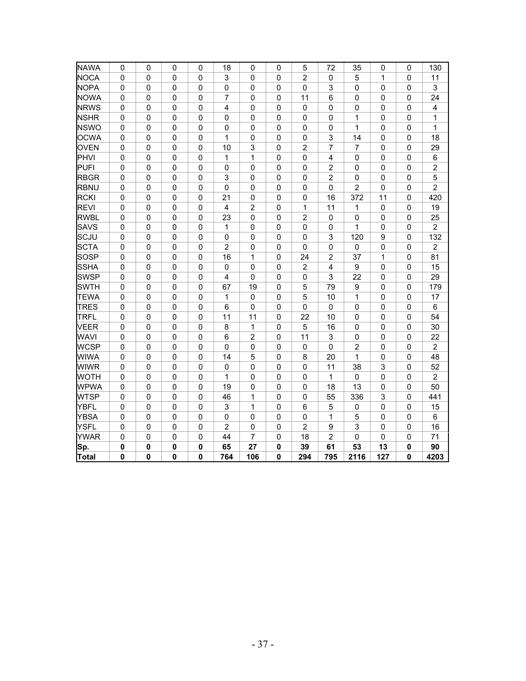| <b>NAWA</b>  | $\mathbf 0$ | $\pmb{0}$   | 0           | 0           | 18                      | 0              | $\mathbf 0$ | 5                | 72             | 35             | 0                         | 0              | 130                     |
|--------------|-------------|-------------|-------------|-------------|-------------------------|----------------|-------------|------------------|----------------|----------------|---------------------------|----------------|-------------------------|
| <b>NOCA</b>  | $\mathbf 0$ | 0           | 0           | $\mathbf 0$ | 3                       | 0              | $\mathbf 0$ | $\mathbf 2$      | $\mathsf 0$    | 5              | $\mathbf{1}$              | 0              | 11                      |
| <b>NOPA</b>  | 0           | 0           | 0           | 0           | $\pmb{0}$               | 0              | 0           | 0                | 3              | 0              | 0                         | 0              | 3                       |
| <b>NOWA</b>  | $\mathbf 0$ | $\pmb{0}$   | $\mathbf 0$ | $\mathbf 0$ | 7                       | $\mathbf 0$    | 0           | 11               | 6              | 0              | $\pmb{0}$                 | 0              | 24                      |
| <b>NRWS</b>  | $\mathbf 0$ | 0           | 0           | $\mathbf 0$ | $\overline{\mathbf{4}}$ | $\mathbf 0$    | $\mathbf 0$ | 0                | $\mathbf 0$    | 0              | 0                         | 0              | $\overline{\mathbf{4}}$ |
| <b>NSHR</b>  | $\mathbf 0$ | 0           | $\mathbf 0$ | $\mathbf 0$ | $\mathbf 0$             | $\mathbf 0$    | 0           | 0                | 0              | 1              | $\mathbf 0$               | $\mathbf 0$    | $\overline{1}$          |
| <b>NSWO</b>  | $\mathbf 0$ | $\mathbf 0$ | $\mathbf 0$ | $\mathbf 0$ | $\mathbf 0$             | 0              | 0           | 0                | $\mathbf 0$    | 1              | $\mathbf 0$               | $\mathbf 0$    | 1                       |
| <b>OCWA</b>  | $\pmb{0}$   | $\mathsf 0$ | $\pmb{0}$   | $\mathbf 0$ | 1                       | $\mathbf 0$    | $\mathbf 0$ | 0                | 3              | 14             | $\pmb{0}$                 | $\mathbf 0$    | 18                      |
| <b>OVEN</b>  | $\mathbf 0$ | $\pmb{0}$   | $\pmb{0}$   | $\mathbf 0$ | 10                      | 3              | $\mathbf 0$ | $\boldsymbol{2}$ | 7              | 7              | 0                         | $\mathbf 0$    | 29                      |
| PHVI         | 0           | 0           | 0           | $\mathbf 0$ | 1                       | 1              | 0           | 0                | 4              | 0              | $\mathbf 0$               | 0              | $\,6$                   |
| <b>PUFI</b>  | $\mathbf 0$ | 0           | $\pmb{0}$   | $\mathbf 0$ | 0                       | $\mathbf 0$    | $\mathbf 0$ | 0                | $\overline{2}$ | 0              | $\mathbf 0$               | 0              | $\overline{c}$          |
| <b>RBGR</b>  | $\mathbf 0$ | 0           | $\mathbf 0$ | $\mathbf 0$ | 3                       | 0              | 0           | 0                | $\overline{2}$ | 0              | 0                         | $\mathbf 0$    | $\overline{5}$          |
| <b>RBNU</b>  | $\mathbf 0$ | 0           | 0           | $\mathbf 0$ | $\mathbf 0$             | 0              | 0           | 0                | $\mathbf 0$    | $\overline{2}$ | $\mathbf 0$               | $\overline{0}$ | $\overline{2}$          |
| <b>RCKI</b>  | $\mathbf 0$ | $\mathbf 0$ | 0           | $\mathbf 0$ | 21                      | 0              | $\mathbf 0$ | 0                | 16             | 372            | 11                        | $\mathbf 0$    | 420                     |
| <b>REVI</b>  | $\pmb{0}$   | $\pmb{0}$   | $\mathbf 0$ | $\mathbf 0$ | $\overline{\mathbf{4}}$ | $\overline{2}$ | $\mathbf 0$ | 1                | 11             | 1              | $\pmb{0}$                 | $\mathbf 0$    | 19                      |
| <b>RWBL</b>  | $\mathbf 0$ | $\pmb{0}$   | $\mathbf 0$ | $\mathbf 0$ | 23                      | 0              | $\mathbf 0$ | $\mathbf 2$      | 0              | 0              | $\mathbf 0$               | 0              | 25                      |
| <b>SAVS</b>  | $\mathbf 0$ | 0           | $\mathbf 0$ | $\mathbf 0$ | 1                       | 0              | 0           | 0                | 0              | 1              | $\mathbf 0$               | $\mathbf 0$    | $\overline{c}$          |
| SCJU         | $\mathbf 0$ | $\mathbf 0$ | 0           | $\mathbf 0$ | $\mathbf 0$             | $\mathbf 0$    | 0           | 0                | 3              | 120            | 9                         | 0              | 132                     |
| <b>SCTA</b>  | $\mathbf 0$ | 0           | $\mathbf 0$ | $\mathbf 0$ | $\overline{2}$          | $\mathbf 0$    | 0           | 0                | $\mathbf 0$    | $\mathsf 0$    | 0                         | $\mathbf 0$    | $\overline{c}$          |
| SOSP         | $\mathbf 0$ | 0           | 0           | $\mathbf 0$ | 16                      | 1              | 0           | 24               | $\overline{2}$ | 37             | 1                         | $\mathbf 0$    | 81                      |
| <b>SSHA</b>  | $\mathbf 0$ | $\mathbf 0$ | $\mathbf 0$ | $\mathbf 0$ | $\pmb{0}$               | $\mathbf 0$    | $\mathbf 0$ | $\boldsymbol{2}$ | 4              | 9              | $\mathbf 0$               | $\mathbf 0$    | 15                      |
| <b>SWSP</b>  | $\mathbf 0$ | 0           | 0           | 0           | $\overline{\mathbf{4}}$ | 0              | $\mathbf 0$ | 0                | 3              | 22             | $\pmb{0}$                 | $\mathbf 0$    | 29                      |
| <b>SWTH</b>  | 0           | 0           | 0           | 0           | 67                      | 19             | $\mathbf 0$ | 5                | 79             | 9              | 0                         | 0              | 179                     |
| <b>TEWA</b>  | $\mathbf 0$ | 0           | $\mathbf 0$ | $\mathbf 0$ | 1                       | $\mathbf 0$    | 0           | 5                | 10             | 1              | $\mathbf 0$               | $\mathbf 0$    | 17                      |
| <b>TRES</b>  | $\mathbf 0$ | 0           | 0           | $\mathbf 0$ | 6                       | $\mathbf 0$    | $\mathbf 0$ | 0                | 0              | 0              | $\mathbf 0$               | 0              | 6                       |
| <b>TRFL</b>  | $\mathbf 0$ | 0           | $\mathbf 0$ | $\mathbf 0$ | 11                      | 11             | $\mathbf 0$ | 22               | 10             | 0              | 0                         | $\mathbf 0$    | 54                      |
| <b>VEER</b>  | $\mathbf 0$ | 0           | $\mathbf 0$ | $\mathbf 0$ | 8                       | 1              | 0           | 5                | 16             | 0              | $\mathbf 0$               | $\mathbf 0$    | 30                      |
| <b>WAVI</b>  | $\mathbf 0$ | $\mathsf 0$ | $\mathbf 0$ | $\mathbf 0$ | $\,6$                   | $\overline{2}$ | $\mathbf 0$ | 11               | 3              | $\pmb{0}$      | $\pmb{0}$                 | $\mathbf 0$    | 22                      |
| <b>WCSP</b>  | $\mathbf 0$ | $\pmb{0}$   | $\mathbf 0$ | $\mathbf 0$ | $\mathbf 0$             | $\pmb{0}$      | $\mathbf 0$ | 0                | 0              | $\overline{c}$ | $\pmb{0}$                 | $\mathbf 0$    | $\overline{2}$          |
| <b>WIWA</b>  | 0           | 0           | 0           | 0           | 14                      | 5              | 0           | 8                | 20             | 1              | 0                         | 0              | 48                      |
| <b>WIWR</b>  | $\mathbf 0$ | 0           | 0           | $\mathbf 0$ | $\mathbf 0$             | $\mathbf 0$    | 0           | $\pmb{0}$        | 11             | 38             | $\ensuremath{\mathsf{3}}$ | 0              | 52                      |
| <b>WOTH</b>  | $\mathbf 0$ | 0           | $\mathbf 0$ | $\mathbf 0$ | 1                       | $\mathbf 0$    | $\mathbf 0$ | $\pmb{0}$        | $\mathbf{1}$   | 0              | $\mathbf 0$               | 0              | $\overline{2}$          |
| <b>WPWA</b>  | $\mathbf 0$ | 0           | $\mathbf 0$ | $\mathbf 0$ | 19                      | 0              | 0           | $\pmb{0}$        | 18             | 13             | $\mathbf 0$               | $\mathbf 0$    | 50                      |
| <b>WTSP</b>  | $\mathbf 0$ | 0           | $\mathbf 0$ | $\mathbf 0$ | 46                      | 1              | 0           | 0                | 55             | 336            | 3                         | $\mathbf 0$    | 441                     |
| YBFL         | $\mathbf 0$ | $\mathsf 0$ | $\pmb{0}$   | $\mathbf 0$ | 3                       | 1              | $\mathbf 0$ | $\,6\,$          | 5              | $\mathbf 0$    | $\pmb{0}$                 | $\mathbf 0$    | 15                      |
| <b>YBSA</b>  | 0           | 0           | 0           | $\mathbf 0$ | 0                       | 0              | $\mathbf 0$ | 0                | 1              | 5              | 0                         | 0              | 6                       |
| <b>YSFL</b>  | 0           | 0           | 0           | $\mathbf 0$ | $\overline{2}$          | 0              | 0           | $\overline{2}$   | 9              | 3              | 0                         | 0              | 16                      |
| <b>YWAR</b>  | $\mathbf 0$ | $\pmb{0}$   | $\mathbf 0$ | $\mathbf 0$ | 44                      | 7              | 0           | 18               | $\overline{2}$ | 0              | $\pmb{0}$                 | $\pmb{0}$      | 71                      |
| Sp.          | $\bf{0}$    | 0           | 0           | $\mathbf 0$ | 65                      | 27             | $\mathbf 0$ | 39               | 61             | 53             | 13                        | $\pmb{0}$      | 90                      |
| <b>Total</b> | 0           | 0           | 0           | 0           | 764                     | 106            | 0           | 294              | 795            | 2116           | 127                       | 0              | 4203                    |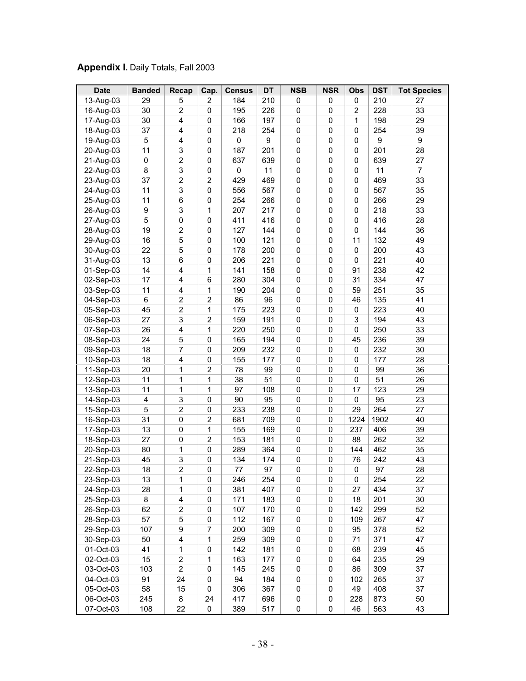# **Appendix I. Daily Totals, Fall 2003**

| 210<br>13-Aug-03<br>29<br>210<br>5<br>184<br>0<br>0<br>2<br>0<br>27<br>$\overline{c}$<br>$\overline{2}$<br>30<br>$\pmb{0}$<br>226<br>$\pmb{0}$<br>228<br>16-Aug-03<br>195<br>0<br>33<br>$\overline{\mathbf{4}}$<br>17-Aug-03<br>30<br>$\pmb{0}$<br>166<br>197<br>$\pmb{0}$<br>$\pmb{0}$<br>1<br>198<br>29<br>$\overline{\mathbf{4}}$<br>$\pmb{0}$<br>18-Aug-03<br>37<br>$\mathbf 0$<br>254<br>0<br>$\mathbf 0$<br>254<br>39<br>218<br>$\overline{\mathbf{4}}$<br>$\mathbf 0$<br>9<br>9<br>19-Aug-03<br>5<br>$\mathbf 0$<br>9<br>0<br>$\mathbf 0$<br>0<br>$\overline{3}$<br>11<br>$\pmb{0}$<br>201<br>28<br>$\pmb{0}$<br>187<br>201<br>$\pmb{0}$<br>$\pmb{0}$<br>20-Aug-03<br>$\overline{2}$<br>$\mathsf 0$<br>27<br>$\pmb{0}$<br>639<br>$\pmb{0}$<br>$\pmb{0}$<br>$\mathbf 0$<br>639<br>21-Aug-03<br>637<br>8<br>3<br>$\mathbf 0$<br>11<br>$\overline{7}$<br>22-Aug-03<br>$\mathbf 0$<br>0<br>11<br>$\mathbf 0$<br>$\mathbf 0$<br>$\overline{2}$<br>37<br>$\overline{2}$<br>469<br>33<br>429<br>469<br>0<br>$\pmb{0}$<br>$\mathbf 0$<br>23-Aug-03<br>3<br>11<br>$\pmb{0}$<br>$\pmb{0}$<br>$\pmb{0}$<br>567<br>35<br>24-Aug-03<br>556<br>567<br>0<br>6<br>11<br>$\pmb{0}$<br>$\pmb{0}$<br>$\pmb{0}$<br>$\pmb{0}$<br>266<br>29<br>25-Aug-03<br>254<br>266<br>$\boldsymbol{9}$<br>$\ensuremath{\mathsf{3}}$<br>1<br>$\pmb{0}$<br>$\pmb{0}$<br>218<br>33<br>26-Aug-03<br>207<br>217<br>0<br>5<br>0<br>416<br>$\pmb{0}$<br>416<br>28<br>27-Aug-03<br>0<br>411<br>0<br>0<br>19<br>$\overline{c}$<br>127<br>$\pmb{0}$<br>144<br>36<br>28-Aug-03<br>0<br>144<br>0<br>0<br>5<br>132<br>16<br>121<br>$\pmb{0}$<br>29-Aug-03<br>0<br>100<br>0<br>11<br>49<br>5<br>22<br>$\pmb{0}$<br>200<br>43<br>30-Aug-03<br>0<br>178<br>200<br>0<br>0<br>6<br>31-Aug-03<br>13<br>221<br>$\pmb{0}$<br>$\mathbf 0$<br>221<br>40<br>0<br>206<br>0<br>14<br>$\overline{\mathbf{4}}$<br>01-Sep-03<br>1<br>141<br>$\pmb{0}$<br>$\pmb{0}$<br>91<br>238<br>42<br>158<br>$\overline{\mathbf{4}}$<br>$\pmb{0}$<br>334<br>02-Sep-03<br>17<br>$\,6\,$<br>280<br>304<br>0<br>31<br>47<br>$\overline{\mathbf{4}}$<br>$\pmb{0}$<br>251<br>11<br>1<br>204<br>$\pmb{0}$<br>35<br>03-Sep-03<br>190<br>59<br>$\overline{2}$<br>$\overline{2}$<br>6<br>$\pmb{0}$<br>135<br>86<br>96<br>$\pmb{0}$<br>41<br>04-Sep-03<br>46<br>$\overline{2}$<br>1<br>45<br>223<br>$\pmb{0}$<br>$\pmb{0}$<br>223<br>40<br>05-Sep-03<br>175<br>0<br>27<br>3<br>$\overline{2}$<br>$\mathbf 0$<br>191<br>$\pmb{0}$<br>3<br>194<br>43<br>06-Sep-03<br>159<br>$\overline{\mathbf{4}}$<br>33<br>26<br>1<br>250<br>$\pmb{0}$<br>$\pmb{0}$<br>$\mathbf 0$<br>250<br>07-Sep-03<br>220<br>5<br>08-Sep-03<br>24<br>$\pmb{0}$<br>194<br>$\pmb{0}$<br>$\pmb{0}$<br>45<br>236<br>39<br>165<br>18<br>7<br>$\pmb{0}$<br>$\pmb{0}$<br>$\pmb{0}$<br>232<br>30<br>09-Sep-03<br>209<br>232<br>0<br>18<br>4<br>$\pmb{0}$<br>$\pmb{0}$<br>$\pmb{0}$<br>28<br>10-Sep-03<br>155<br>177<br>0<br>177<br>20<br>1<br>$\overline{c}$<br>99<br>36<br>11-Sep-03<br>78<br>99<br>0<br>0<br>0<br>11<br>1<br>38<br>51<br>51<br>12-Sep-03<br>1<br>0<br>0<br>0<br>26<br>11<br>1<br>1<br>97<br>$\pmb{0}$<br>17<br>123<br>29<br>13-Sep-03<br>108<br>0<br>3<br>$\overline{\mathbf{4}}$<br>$\pmb{0}$<br>$\pmb{0}$<br>95<br>23<br>14-Sep-03<br>90<br>95<br>0<br>0<br>$\overline{2}$<br>5<br>15-Sep-03<br>238<br>$\pmb{0}$<br>$\pmb{0}$<br>29<br>264<br>27<br>0<br>233<br>31<br>$\overline{c}$<br>16-Sep-03<br>0<br>709<br>$\pmb{0}$<br>$\pmb{0}$<br>1902<br>40<br>681<br>1224<br>17-Sep-03<br>13<br>0<br>1<br>169<br>$\pmb{0}$<br>$\pmb{0}$<br>237<br>406<br>39<br>155<br>$\overline{2}$<br>27<br>262<br>32<br>18-Sep-03<br>0<br>153<br>181<br>0<br>$\pmb{0}$<br>88<br>1<br>$\pmb{0}$<br>20-Sep-03<br>80<br>$\pmb{0}$<br>289<br>364<br>$\pmb{0}$<br>462<br>35<br>144<br>3<br>$\pmb{0}$<br>43<br>21-Sep-03<br>45<br>0<br>174<br>$\pmb{0}$<br>242<br>134<br>76<br>$\overline{2}$<br>28<br>18<br>97<br>22-Sep-03<br>0<br>$77\,$<br>97<br>$\pmb{0}$<br>$\pmb{0}$<br>0<br>22<br>1<br>0<br>0<br>254<br>23-Sep-03<br>13<br>0<br>246<br>254<br>0 | <b>Date</b> | <b>Banded</b> | Recap | Cap. | <b>Census</b> | DT  | <b>NSB</b> | <b>NSR</b> | Obs | <b>DST</b> | <b>Tot Species</b> |
|----------------------------------------------------------------------------------------------------------------------------------------------------------------------------------------------------------------------------------------------------------------------------------------------------------------------------------------------------------------------------------------------------------------------------------------------------------------------------------------------------------------------------------------------------------------------------------------------------------------------------------------------------------------------------------------------------------------------------------------------------------------------------------------------------------------------------------------------------------------------------------------------------------------------------------------------------------------------------------------------------------------------------------------------------------------------------------------------------------------------------------------------------------------------------------------------------------------------------------------------------------------------------------------------------------------------------------------------------------------------------------------------------------------------------------------------------------------------------------------------------------------------------------------------------------------------------------------------------------------------------------------------------------------------------------------------------------------------------------------------------------------------------------------------------------------------------------------------------------------------------------------------------------------------------------------------------------------------------------------------------------------------------------------------------------------------------------------------------------------------------------------------------------------------------------------------------------------------------------------------------------------------------------------------------------------------------------------------------------------------------------------------------------------------------------------------------------------------------------------------------------------------------------------------------------------------------------------------------------------------------------------------------------------------------------------------------------------------------------------------------------------------------------------------------------------------------------------------------------------------------------------------------------------------------------------------------------------------------------------------------------------------------------------------------------------------------------------------------------------------------------------------------------------------------------------------------------------------------------------------------------------------------------------------------------------------------------------------------------------------------------------------------------------------------------------------------------------------------------------------------------------------------------------------------------------------------------------------------------------------------------------------------------------------------------------------------------------------------------------------------------------------------------------------------------------------------------------------------------------------------------------------------------------------------------------------------------------------------------------------------------------------------------|-------------|---------------|-------|------|---------------|-----|------------|------------|-----|------------|--------------------|
|                                                                                                                                                                                                                                                                                                                                                                                                                                                                                                                                                                                                                                                                                                                                                                                                                                                                                                                                                                                                                                                                                                                                                                                                                                                                                                                                                                                                                                                                                                                                                                                                                                                                                                                                                                                                                                                                                                                                                                                                                                                                                                                                                                                                                                                                                                                                                                                                                                                                                                                                                                                                                                                                                                                                                                                                                                                                                                                                                                                                                                                                                                                                                                                                                                                                                                                                                                                                                                                                                                                                                                                                                                                                                                                                                                                                                                                                                                                                                                                                                                  |             |               |       |      |               |     |            |            |     |            |                    |
|                                                                                                                                                                                                                                                                                                                                                                                                                                                                                                                                                                                                                                                                                                                                                                                                                                                                                                                                                                                                                                                                                                                                                                                                                                                                                                                                                                                                                                                                                                                                                                                                                                                                                                                                                                                                                                                                                                                                                                                                                                                                                                                                                                                                                                                                                                                                                                                                                                                                                                                                                                                                                                                                                                                                                                                                                                                                                                                                                                                                                                                                                                                                                                                                                                                                                                                                                                                                                                                                                                                                                                                                                                                                                                                                                                                                                                                                                                                                                                                                                                  |             |               |       |      |               |     |            |            |     |            |                    |
|                                                                                                                                                                                                                                                                                                                                                                                                                                                                                                                                                                                                                                                                                                                                                                                                                                                                                                                                                                                                                                                                                                                                                                                                                                                                                                                                                                                                                                                                                                                                                                                                                                                                                                                                                                                                                                                                                                                                                                                                                                                                                                                                                                                                                                                                                                                                                                                                                                                                                                                                                                                                                                                                                                                                                                                                                                                                                                                                                                                                                                                                                                                                                                                                                                                                                                                                                                                                                                                                                                                                                                                                                                                                                                                                                                                                                                                                                                                                                                                                                                  |             |               |       |      |               |     |            |            |     |            |                    |
|                                                                                                                                                                                                                                                                                                                                                                                                                                                                                                                                                                                                                                                                                                                                                                                                                                                                                                                                                                                                                                                                                                                                                                                                                                                                                                                                                                                                                                                                                                                                                                                                                                                                                                                                                                                                                                                                                                                                                                                                                                                                                                                                                                                                                                                                                                                                                                                                                                                                                                                                                                                                                                                                                                                                                                                                                                                                                                                                                                                                                                                                                                                                                                                                                                                                                                                                                                                                                                                                                                                                                                                                                                                                                                                                                                                                                                                                                                                                                                                                                                  |             |               |       |      |               |     |            |            |     |            |                    |
|                                                                                                                                                                                                                                                                                                                                                                                                                                                                                                                                                                                                                                                                                                                                                                                                                                                                                                                                                                                                                                                                                                                                                                                                                                                                                                                                                                                                                                                                                                                                                                                                                                                                                                                                                                                                                                                                                                                                                                                                                                                                                                                                                                                                                                                                                                                                                                                                                                                                                                                                                                                                                                                                                                                                                                                                                                                                                                                                                                                                                                                                                                                                                                                                                                                                                                                                                                                                                                                                                                                                                                                                                                                                                                                                                                                                                                                                                                                                                                                                                                  |             |               |       |      |               |     |            |            |     |            |                    |
|                                                                                                                                                                                                                                                                                                                                                                                                                                                                                                                                                                                                                                                                                                                                                                                                                                                                                                                                                                                                                                                                                                                                                                                                                                                                                                                                                                                                                                                                                                                                                                                                                                                                                                                                                                                                                                                                                                                                                                                                                                                                                                                                                                                                                                                                                                                                                                                                                                                                                                                                                                                                                                                                                                                                                                                                                                                                                                                                                                                                                                                                                                                                                                                                                                                                                                                                                                                                                                                                                                                                                                                                                                                                                                                                                                                                                                                                                                                                                                                                                                  |             |               |       |      |               |     |            |            |     |            |                    |
|                                                                                                                                                                                                                                                                                                                                                                                                                                                                                                                                                                                                                                                                                                                                                                                                                                                                                                                                                                                                                                                                                                                                                                                                                                                                                                                                                                                                                                                                                                                                                                                                                                                                                                                                                                                                                                                                                                                                                                                                                                                                                                                                                                                                                                                                                                                                                                                                                                                                                                                                                                                                                                                                                                                                                                                                                                                                                                                                                                                                                                                                                                                                                                                                                                                                                                                                                                                                                                                                                                                                                                                                                                                                                                                                                                                                                                                                                                                                                                                                                                  |             |               |       |      |               |     |            |            |     |            |                    |
|                                                                                                                                                                                                                                                                                                                                                                                                                                                                                                                                                                                                                                                                                                                                                                                                                                                                                                                                                                                                                                                                                                                                                                                                                                                                                                                                                                                                                                                                                                                                                                                                                                                                                                                                                                                                                                                                                                                                                                                                                                                                                                                                                                                                                                                                                                                                                                                                                                                                                                                                                                                                                                                                                                                                                                                                                                                                                                                                                                                                                                                                                                                                                                                                                                                                                                                                                                                                                                                                                                                                                                                                                                                                                                                                                                                                                                                                                                                                                                                                                                  |             |               |       |      |               |     |            |            |     |            |                    |
|                                                                                                                                                                                                                                                                                                                                                                                                                                                                                                                                                                                                                                                                                                                                                                                                                                                                                                                                                                                                                                                                                                                                                                                                                                                                                                                                                                                                                                                                                                                                                                                                                                                                                                                                                                                                                                                                                                                                                                                                                                                                                                                                                                                                                                                                                                                                                                                                                                                                                                                                                                                                                                                                                                                                                                                                                                                                                                                                                                                                                                                                                                                                                                                                                                                                                                                                                                                                                                                                                                                                                                                                                                                                                                                                                                                                                                                                                                                                                                                                                                  |             |               |       |      |               |     |            |            |     |            |                    |
|                                                                                                                                                                                                                                                                                                                                                                                                                                                                                                                                                                                                                                                                                                                                                                                                                                                                                                                                                                                                                                                                                                                                                                                                                                                                                                                                                                                                                                                                                                                                                                                                                                                                                                                                                                                                                                                                                                                                                                                                                                                                                                                                                                                                                                                                                                                                                                                                                                                                                                                                                                                                                                                                                                                                                                                                                                                                                                                                                                                                                                                                                                                                                                                                                                                                                                                                                                                                                                                                                                                                                                                                                                                                                                                                                                                                                                                                                                                                                                                                                                  |             |               |       |      |               |     |            |            |     |            |                    |
|                                                                                                                                                                                                                                                                                                                                                                                                                                                                                                                                                                                                                                                                                                                                                                                                                                                                                                                                                                                                                                                                                                                                                                                                                                                                                                                                                                                                                                                                                                                                                                                                                                                                                                                                                                                                                                                                                                                                                                                                                                                                                                                                                                                                                                                                                                                                                                                                                                                                                                                                                                                                                                                                                                                                                                                                                                                                                                                                                                                                                                                                                                                                                                                                                                                                                                                                                                                                                                                                                                                                                                                                                                                                                                                                                                                                                                                                                                                                                                                                                                  |             |               |       |      |               |     |            |            |     |            |                    |
|                                                                                                                                                                                                                                                                                                                                                                                                                                                                                                                                                                                                                                                                                                                                                                                                                                                                                                                                                                                                                                                                                                                                                                                                                                                                                                                                                                                                                                                                                                                                                                                                                                                                                                                                                                                                                                                                                                                                                                                                                                                                                                                                                                                                                                                                                                                                                                                                                                                                                                                                                                                                                                                                                                                                                                                                                                                                                                                                                                                                                                                                                                                                                                                                                                                                                                                                                                                                                                                                                                                                                                                                                                                                                                                                                                                                                                                                                                                                                                                                                                  |             |               |       |      |               |     |            |            |     |            |                    |
|                                                                                                                                                                                                                                                                                                                                                                                                                                                                                                                                                                                                                                                                                                                                                                                                                                                                                                                                                                                                                                                                                                                                                                                                                                                                                                                                                                                                                                                                                                                                                                                                                                                                                                                                                                                                                                                                                                                                                                                                                                                                                                                                                                                                                                                                                                                                                                                                                                                                                                                                                                                                                                                                                                                                                                                                                                                                                                                                                                                                                                                                                                                                                                                                                                                                                                                                                                                                                                                                                                                                                                                                                                                                                                                                                                                                                                                                                                                                                                                                                                  |             |               |       |      |               |     |            |            |     |            |                    |
|                                                                                                                                                                                                                                                                                                                                                                                                                                                                                                                                                                                                                                                                                                                                                                                                                                                                                                                                                                                                                                                                                                                                                                                                                                                                                                                                                                                                                                                                                                                                                                                                                                                                                                                                                                                                                                                                                                                                                                                                                                                                                                                                                                                                                                                                                                                                                                                                                                                                                                                                                                                                                                                                                                                                                                                                                                                                                                                                                                                                                                                                                                                                                                                                                                                                                                                                                                                                                                                                                                                                                                                                                                                                                                                                                                                                                                                                                                                                                                                                                                  |             |               |       |      |               |     |            |            |     |            |                    |
|                                                                                                                                                                                                                                                                                                                                                                                                                                                                                                                                                                                                                                                                                                                                                                                                                                                                                                                                                                                                                                                                                                                                                                                                                                                                                                                                                                                                                                                                                                                                                                                                                                                                                                                                                                                                                                                                                                                                                                                                                                                                                                                                                                                                                                                                                                                                                                                                                                                                                                                                                                                                                                                                                                                                                                                                                                                                                                                                                                                                                                                                                                                                                                                                                                                                                                                                                                                                                                                                                                                                                                                                                                                                                                                                                                                                                                                                                                                                                                                                                                  |             |               |       |      |               |     |            |            |     |            |                    |
|                                                                                                                                                                                                                                                                                                                                                                                                                                                                                                                                                                                                                                                                                                                                                                                                                                                                                                                                                                                                                                                                                                                                                                                                                                                                                                                                                                                                                                                                                                                                                                                                                                                                                                                                                                                                                                                                                                                                                                                                                                                                                                                                                                                                                                                                                                                                                                                                                                                                                                                                                                                                                                                                                                                                                                                                                                                                                                                                                                                                                                                                                                                                                                                                                                                                                                                                                                                                                                                                                                                                                                                                                                                                                                                                                                                                                                                                                                                                                                                                                                  |             |               |       |      |               |     |            |            |     |            |                    |
|                                                                                                                                                                                                                                                                                                                                                                                                                                                                                                                                                                                                                                                                                                                                                                                                                                                                                                                                                                                                                                                                                                                                                                                                                                                                                                                                                                                                                                                                                                                                                                                                                                                                                                                                                                                                                                                                                                                                                                                                                                                                                                                                                                                                                                                                                                                                                                                                                                                                                                                                                                                                                                                                                                                                                                                                                                                                                                                                                                                                                                                                                                                                                                                                                                                                                                                                                                                                                                                                                                                                                                                                                                                                                                                                                                                                                                                                                                                                                                                                                                  |             |               |       |      |               |     |            |            |     |            |                    |
|                                                                                                                                                                                                                                                                                                                                                                                                                                                                                                                                                                                                                                                                                                                                                                                                                                                                                                                                                                                                                                                                                                                                                                                                                                                                                                                                                                                                                                                                                                                                                                                                                                                                                                                                                                                                                                                                                                                                                                                                                                                                                                                                                                                                                                                                                                                                                                                                                                                                                                                                                                                                                                                                                                                                                                                                                                                                                                                                                                                                                                                                                                                                                                                                                                                                                                                                                                                                                                                                                                                                                                                                                                                                                                                                                                                                                                                                                                                                                                                                                                  |             |               |       |      |               |     |            |            |     |            |                    |
|                                                                                                                                                                                                                                                                                                                                                                                                                                                                                                                                                                                                                                                                                                                                                                                                                                                                                                                                                                                                                                                                                                                                                                                                                                                                                                                                                                                                                                                                                                                                                                                                                                                                                                                                                                                                                                                                                                                                                                                                                                                                                                                                                                                                                                                                                                                                                                                                                                                                                                                                                                                                                                                                                                                                                                                                                                                                                                                                                                                                                                                                                                                                                                                                                                                                                                                                                                                                                                                                                                                                                                                                                                                                                                                                                                                                                                                                                                                                                                                                                                  |             |               |       |      |               |     |            |            |     |            |                    |
|                                                                                                                                                                                                                                                                                                                                                                                                                                                                                                                                                                                                                                                                                                                                                                                                                                                                                                                                                                                                                                                                                                                                                                                                                                                                                                                                                                                                                                                                                                                                                                                                                                                                                                                                                                                                                                                                                                                                                                                                                                                                                                                                                                                                                                                                                                                                                                                                                                                                                                                                                                                                                                                                                                                                                                                                                                                                                                                                                                                                                                                                                                                                                                                                                                                                                                                                                                                                                                                                                                                                                                                                                                                                                                                                                                                                                                                                                                                                                                                                                                  |             |               |       |      |               |     |            |            |     |            |                    |
|                                                                                                                                                                                                                                                                                                                                                                                                                                                                                                                                                                                                                                                                                                                                                                                                                                                                                                                                                                                                                                                                                                                                                                                                                                                                                                                                                                                                                                                                                                                                                                                                                                                                                                                                                                                                                                                                                                                                                                                                                                                                                                                                                                                                                                                                                                                                                                                                                                                                                                                                                                                                                                                                                                                                                                                                                                                                                                                                                                                                                                                                                                                                                                                                                                                                                                                                                                                                                                                                                                                                                                                                                                                                                                                                                                                                                                                                                                                                                                                                                                  |             |               |       |      |               |     |            |            |     |            |                    |
|                                                                                                                                                                                                                                                                                                                                                                                                                                                                                                                                                                                                                                                                                                                                                                                                                                                                                                                                                                                                                                                                                                                                                                                                                                                                                                                                                                                                                                                                                                                                                                                                                                                                                                                                                                                                                                                                                                                                                                                                                                                                                                                                                                                                                                                                                                                                                                                                                                                                                                                                                                                                                                                                                                                                                                                                                                                                                                                                                                                                                                                                                                                                                                                                                                                                                                                                                                                                                                                                                                                                                                                                                                                                                                                                                                                                                                                                                                                                                                                                                                  |             |               |       |      |               |     |            |            |     |            |                    |
|                                                                                                                                                                                                                                                                                                                                                                                                                                                                                                                                                                                                                                                                                                                                                                                                                                                                                                                                                                                                                                                                                                                                                                                                                                                                                                                                                                                                                                                                                                                                                                                                                                                                                                                                                                                                                                                                                                                                                                                                                                                                                                                                                                                                                                                                                                                                                                                                                                                                                                                                                                                                                                                                                                                                                                                                                                                                                                                                                                                                                                                                                                                                                                                                                                                                                                                                                                                                                                                                                                                                                                                                                                                                                                                                                                                                                                                                                                                                                                                                                                  |             |               |       |      |               |     |            |            |     |            |                    |
|                                                                                                                                                                                                                                                                                                                                                                                                                                                                                                                                                                                                                                                                                                                                                                                                                                                                                                                                                                                                                                                                                                                                                                                                                                                                                                                                                                                                                                                                                                                                                                                                                                                                                                                                                                                                                                                                                                                                                                                                                                                                                                                                                                                                                                                                                                                                                                                                                                                                                                                                                                                                                                                                                                                                                                                                                                                                                                                                                                                                                                                                                                                                                                                                                                                                                                                                                                                                                                                                                                                                                                                                                                                                                                                                                                                                                                                                                                                                                                                                                                  |             |               |       |      |               |     |            |            |     |            |                    |
|                                                                                                                                                                                                                                                                                                                                                                                                                                                                                                                                                                                                                                                                                                                                                                                                                                                                                                                                                                                                                                                                                                                                                                                                                                                                                                                                                                                                                                                                                                                                                                                                                                                                                                                                                                                                                                                                                                                                                                                                                                                                                                                                                                                                                                                                                                                                                                                                                                                                                                                                                                                                                                                                                                                                                                                                                                                                                                                                                                                                                                                                                                                                                                                                                                                                                                                                                                                                                                                                                                                                                                                                                                                                                                                                                                                                                                                                                                                                                                                                                                  |             |               |       |      |               |     |            |            |     |            |                    |
|                                                                                                                                                                                                                                                                                                                                                                                                                                                                                                                                                                                                                                                                                                                                                                                                                                                                                                                                                                                                                                                                                                                                                                                                                                                                                                                                                                                                                                                                                                                                                                                                                                                                                                                                                                                                                                                                                                                                                                                                                                                                                                                                                                                                                                                                                                                                                                                                                                                                                                                                                                                                                                                                                                                                                                                                                                                                                                                                                                                                                                                                                                                                                                                                                                                                                                                                                                                                                                                                                                                                                                                                                                                                                                                                                                                                                                                                                                                                                                                                                                  |             |               |       |      |               |     |            |            |     |            |                    |
|                                                                                                                                                                                                                                                                                                                                                                                                                                                                                                                                                                                                                                                                                                                                                                                                                                                                                                                                                                                                                                                                                                                                                                                                                                                                                                                                                                                                                                                                                                                                                                                                                                                                                                                                                                                                                                                                                                                                                                                                                                                                                                                                                                                                                                                                                                                                                                                                                                                                                                                                                                                                                                                                                                                                                                                                                                                                                                                                                                                                                                                                                                                                                                                                                                                                                                                                                                                                                                                                                                                                                                                                                                                                                                                                                                                                                                                                                                                                                                                                                                  |             |               |       |      |               |     |            |            |     |            |                    |
|                                                                                                                                                                                                                                                                                                                                                                                                                                                                                                                                                                                                                                                                                                                                                                                                                                                                                                                                                                                                                                                                                                                                                                                                                                                                                                                                                                                                                                                                                                                                                                                                                                                                                                                                                                                                                                                                                                                                                                                                                                                                                                                                                                                                                                                                                                                                                                                                                                                                                                                                                                                                                                                                                                                                                                                                                                                                                                                                                                                                                                                                                                                                                                                                                                                                                                                                                                                                                                                                                                                                                                                                                                                                                                                                                                                                                                                                                                                                                                                                                                  |             |               |       |      |               |     |            |            |     |            |                    |
|                                                                                                                                                                                                                                                                                                                                                                                                                                                                                                                                                                                                                                                                                                                                                                                                                                                                                                                                                                                                                                                                                                                                                                                                                                                                                                                                                                                                                                                                                                                                                                                                                                                                                                                                                                                                                                                                                                                                                                                                                                                                                                                                                                                                                                                                                                                                                                                                                                                                                                                                                                                                                                                                                                                                                                                                                                                                                                                                                                                                                                                                                                                                                                                                                                                                                                                                                                                                                                                                                                                                                                                                                                                                                                                                                                                                                                                                                                                                                                                                                                  |             |               |       |      |               |     |            |            |     |            |                    |
|                                                                                                                                                                                                                                                                                                                                                                                                                                                                                                                                                                                                                                                                                                                                                                                                                                                                                                                                                                                                                                                                                                                                                                                                                                                                                                                                                                                                                                                                                                                                                                                                                                                                                                                                                                                                                                                                                                                                                                                                                                                                                                                                                                                                                                                                                                                                                                                                                                                                                                                                                                                                                                                                                                                                                                                                                                                                                                                                                                                                                                                                                                                                                                                                                                                                                                                                                                                                                                                                                                                                                                                                                                                                                                                                                                                                                                                                                                                                                                                                                                  |             |               |       |      |               |     |            |            |     |            |                    |
|                                                                                                                                                                                                                                                                                                                                                                                                                                                                                                                                                                                                                                                                                                                                                                                                                                                                                                                                                                                                                                                                                                                                                                                                                                                                                                                                                                                                                                                                                                                                                                                                                                                                                                                                                                                                                                                                                                                                                                                                                                                                                                                                                                                                                                                                                                                                                                                                                                                                                                                                                                                                                                                                                                                                                                                                                                                                                                                                                                                                                                                                                                                                                                                                                                                                                                                                                                                                                                                                                                                                                                                                                                                                                                                                                                                                                                                                                                                                                                                                                                  |             |               |       |      |               |     |            |            |     |            |                    |
|                                                                                                                                                                                                                                                                                                                                                                                                                                                                                                                                                                                                                                                                                                                                                                                                                                                                                                                                                                                                                                                                                                                                                                                                                                                                                                                                                                                                                                                                                                                                                                                                                                                                                                                                                                                                                                                                                                                                                                                                                                                                                                                                                                                                                                                                                                                                                                                                                                                                                                                                                                                                                                                                                                                                                                                                                                                                                                                                                                                                                                                                                                                                                                                                                                                                                                                                                                                                                                                                                                                                                                                                                                                                                                                                                                                                                                                                                                                                                                                                                                  |             |               |       |      |               |     |            |            |     |            |                    |
|                                                                                                                                                                                                                                                                                                                                                                                                                                                                                                                                                                                                                                                                                                                                                                                                                                                                                                                                                                                                                                                                                                                                                                                                                                                                                                                                                                                                                                                                                                                                                                                                                                                                                                                                                                                                                                                                                                                                                                                                                                                                                                                                                                                                                                                                                                                                                                                                                                                                                                                                                                                                                                                                                                                                                                                                                                                                                                                                                                                                                                                                                                                                                                                                                                                                                                                                                                                                                                                                                                                                                                                                                                                                                                                                                                                                                                                                                                                                                                                                                                  |             |               |       |      |               |     |            |            |     |            |                    |
|                                                                                                                                                                                                                                                                                                                                                                                                                                                                                                                                                                                                                                                                                                                                                                                                                                                                                                                                                                                                                                                                                                                                                                                                                                                                                                                                                                                                                                                                                                                                                                                                                                                                                                                                                                                                                                                                                                                                                                                                                                                                                                                                                                                                                                                                                                                                                                                                                                                                                                                                                                                                                                                                                                                                                                                                                                                                                                                                                                                                                                                                                                                                                                                                                                                                                                                                                                                                                                                                                                                                                                                                                                                                                                                                                                                                                                                                                                                                                                                                                                  |             |               |       |      |               |     |            |            |     |            |                    |
|                                                                                                                                                                                                                                                                                                                                                                                                                                                                                                                                                                                                                                                                                                                                                                                                                                                                                                                                                                                                                                                                                                                                                                                                                                                                                                                                                                                                                                                                                                                                                                                                                                                                                                                                                                                                                                                                                                                                                                                                                                                                                                                                                                                                                                                                                                                                                                                                                                                                                                                                                                                                                                                                                                                                                                                                                                                                                                                                                                                                                                                                                                                                                                                                                                                                                                                                                                                                                                                                                                                                                                                                                                                                                                                                                                                                                                                                                                                                                                                                                                  |             |               |       |      |               |     |            |            |     |            |                    |
|                                                                                                                                                                                                                                                                                                                                                                                                                                                                                                                                                                                                                                                                                                                                                                                                                                                                                                                                                                                                                                                                                                                                                                                                                                                                                                                                                                                                                                                                                                                                                                                                                                                                                                                                                                                                                                                                                                                                                                                                                                                                                                                                                                                                                                                                                                                                                                                                                                                                                                                                                                                                                                                                                                                                                                                                                                                                                                                                                                                                                                                                                                                                                                                                                                                                                                                                                                                                                                                                                                                                                                                                                                                                                                                                                                                                                                                                                                                                                                                                                                  |             |               |       |      |               |     |            |            |     |            |                    |
|                                                                                                                                                                                                                                                                                                                                                                                                                                                                                                                                                                                                                                                                                                                                                                                                                                                                                                                                                                                                                                                                                                                                                                                                                                                                                                                                                                                                                                                                                                                                                                                                                                                                                                                                                                                                                                                                                                                                                                                                                                                                                                                                                                                                                                                                                                                                                                                                                                                                                                                                                                                                                                                                                                                                                                                                                                                                                                                                                                                                                                                                                                                                                                                                                                                                                                                                                                                                                                                                                                                                                                                                                                                                                                                                                                                                                                                                                                                                                                                                                                  |             |               |       |      |               |     |            |            |     |            |                    |
|                                                                                                                                                                                                                                                                                                                                                                                                                                                                                                                                                                                                                                                                                                                                                                                                                                                                                                                                                                                                                                                                                                                                                                                                                                                                                                                                                                                                                                                                                                                                                                                                                                                                                                                                                                                                                                                                                                                                                                                                                                                                                                                                                                                                                                                                                                                                                                                                                                                                                                                                                                                                                                                                                                                                                                                                                                                                                                                                                                                                                                                                                                                                                                                                                                                                                                                                                                                                                                                                                                                                                                                                                                                                                                                                                                                                                                                                                                                                                                                                                                  |             |               |       |      |               |     |            |            |     |            |                    |
|                                                                                                                                                                                                                                                                                                                                                                                                                                                                                                                                                                                                                                                                                                                                                                                                                                                                                                                                                                                                                                                                                                                                                                                                                                                                                                                                                                                                                                                                                                                                                                                                                                                                                                                                                                                                                                                                                                                                                                                                                                                                                                                                                                                                                                                                                                                                                                                                                                                                                                                                                                                                                                                                                                                                                                                                                                                                                                                                                                                                                                                                                                                                                                                                                                                                                                                                                                                                                                                                                                                                                                                                                                                                                                                                                                                                                                                                                                                                                                                                                                  |             |               |       |      |               |     |            |            |     |            |                    |
|                                                                                                                                                                                                                                                                                                                                                                                                                                                                                                                                                                                                                                                                                                                                                                                                                                                                                                                                                                                                                                                                                                                                                                                                                                                                                                                                                                                                                                                                                                                                                                                                                                                                                                                                                                                                                                                                                                                                                                                                                                                                                                                                                                                                                                                                                                                                                                                                                                                                                                                                                                                                                                                                                                                                                                                                                                                                                                                                                                                                                                                                                                                                                                                                                                                                                                                                                                                                                                                                                                                                                                                                                                                                                                                                                                                                                                                                                                                                                                                                                                  | 24-Sep-03   | 28            | 1     | 0    | 381           | 407 | 0          | 0          | 27  | 434        | 37                 |
| 8<br>4<br>$\pmb{0}$<br>$\pmb{0}$<br>30<br>25-Sep-03<br>171<br>183<br>0<br>18<br>201                                                                                                                                                                                                                                                                                                                                                                                                                                                                                                                                                                                                                                                                                                                                                                                                                                                                                                                                                                                                                                                                                                                                                                                                                                                                                                                                                                                                                                                                                                                                                                                                                                                                                                                                                                                                                                                                                                                                                                                                                                                                                                                                                                                                                                                                                                                                                                                                                                                                                                                                                                                                                                                                                                                                                                                                                                                                                                                                                                                                                                                                                                                                                                                                                                                                                                                                                                                                                                                                                                                                                                                                                                                                                                                                                                                                                                                                                                                                              |             |               |       |      |               |     |            |            |     |            |                    |
| $\mathbf 2$<br>52<br>26-Sep-03<br>62<br>0<br>170<br>$\pmb{0}$<br>0<br>142<br>299<br>107                                                                                                                                                                                                                                                                                                                                                                                                                                                                                                                                                                                                                                                                                                                                                                                                                                                                                                                                                                                                                                                                                                                                                                                                                                                                                                                                                                                                                                                                                                                                                                                                                                                                                                                                                                                                                                                                                                                                                                                                                                                                                                                                                                                                                                                                                                                                                                                                                                                                                                                                                                                                                                                                                                                                                                                                                                                                                                                                                                                                                                                                                                                                                                                                                                                                                                                                                                                                                                                                                                                                                                                                                                                                                                                                                                                                                                                                                                                                          |             |               |       |      |               |     |            |            |     |            |                    |
| 28-Sep-03<br>57<br>5<br>0<br>112<br>167<br>0<br>109<br>267<br>47<br>0                                                                                                                                                                                                                                                                                                                                                                                                                                                                                                                                                                                                                                                                                                                                                                                                                                                                                                                                                                                                                                                                                                                                                                                                                                                                                                                                                                                                                                                                                                                                                                                                                                                                                                                                                                                                                                                                                                                                                                                                                                                                                                                                                                                                                                                                                                                                                                                                                                                                                                                                                                                                                                                                                                                                                                                                                                                                                                                                                                                                                                                                                                                                                                                                                                                                                                                                                                                                                                                                                                                                                                                                                                                                                                                                                                                                                                                                                                                                                            |             |               |       |      |               |     |            |            |     |            |                    |
| 107<br>9<br>7<br>200<br>309<br>378<br>52<br>29-Sep-03<br>0<br>0<br>95                                                                                                                                                                                                                                                                                                                                                                                                                                                                                                                                                                                                                                                                                                                                                                                                                                                                                                                                                                                                                                                                                                                                                                                                                                                                                                                                                                                                                                                                                                                                                                                                                                                                                                                                                                                                                                                                                                                                                                                                                                                                                                                                                                                                                                                                                                                                                                                                                                                                                                                                                                                                                                                                                                                                                                                                                                                                                                                                                                                                                                                                                                                                                                                                                                                                                                                                                                                                                                                                                                                                                                                                                                                                                                                                                                                                                                                                                                                                                            |             |               |       |      |               |     |            |            |     |            |                    |
| 30-Sep-03<br>4<br>259<br>309<br>$\pmb{0}$<br>371<br>47<br>50<br>1<br>0<br>71                                                                                                                                                                                                                                                                                                                                                                                                                                                                                                                                                                                                                                                                                                                                                                                                                                                                                                                                                                                                                                                                                                                                                                                                                                                                                                                                                                                                                                                                                                                                                                                                                                                                                                                                                                                                                                                                                                                                                                                                                                                                                                                                                                                                                                                                                                                                                                                                                                                                                                                                                                                                                                                                                                                                                                                                                                                                                                                                                                                                                                                                                                                                                                                                                                                                                                                                                                                                                                                                                                                                                                                                                                                                                                                                                                                                                                                                                                                                                     |             |               |       |      |               |     |            |            |     |            |                    |
| 1<br>41<br>142<br>$\pmb{0}$<br>239<br>45<br>01-Oct-03<br>0<br>181<br>0<br>68                                                                                                                                                                                                                                                                                                                                                                                                                                                                                                                                                                                                                                                                                                                                                                                                                                                                                                                                                                                                                                                                                                                                                                                                                                                                                                                                                                                                                                                                                                                                                                                                                                                                                                                                                                                                                                                                                                                                                                                                                                                                                                                                                                                                                                                                                                                                                                                                                                                                                                                                                                                                                                                                                                                                                                                                                                                                                                                                                                                                                                                                                                                                                                                                                                                                                                                                                                                                                                                                                                                                                                                                                                                                                                                                                                                                                                                                                                                                                     |             |               |       |      |               |     |            |            |     |            |                    |
| $\boldsymbol{2}$<br>15<br>29<br>02-Oct-03<br>1<br>163<br>177<br>0<br>0<br>64<br>235                                                                                                                                                                                                                                                                                                                                                                                                                                                                                                                                                                                                                                                                                                                                                                                                                                                                                                                                                                                                                                                                                                                                                                                                                                                                                                                                                                                                                                                                                                                                                                                                                                                                                                                                                                                                                                                                                                                                                                                                                                                                                                                                                                                                                                                                                                                                                                                                                                                                                                                                                                                                                                                                                                                                                                                                                                                                                                                                                                                                                                                                                                                                                                                                                                                                                                                                                                                                                                                                                                                                                                                                                                                                                                                                                                                                                                                                                                                                              |             |               |       |      |               |     |            |            |     |            |                    |
| $\boldsymbol{2}$<br>37<br>03-Oct-03<br>103<br>0<br>145<br>245<br>0<br>0<br>86<br>309                                                                                                                                                                                                                                                                                                                                                                                                                                                                                                                                                                                                                                                                                                                                                                                                                                                                                                                                                                                                                                                                                                                                                                                                                                                                                                                                                                                                                                                                                                                                                                                                                                                                                                                                                                                                                                                                                                                                                                                                                                                                                                                                                                                                                                                                                                                                                                                                                                                                                                                                                                                                                                                                                                                                                                                                                                                                                                                                                                                                                                                                                                                                                                                                                                                                                                                                                                                                                                                                                                                                                                                                                                                                                                                                                                                                                                                                                                                                             |             |               |       |      |               |     |            |            |     |            |                    |
| 91<br>24<br>265<br>37<br>04-Oct-03<br>0<br>94<br>184<br>0<br>0<br>102                                                                                                                                                                                                                                                                                                                                                                                                                                                                                                                                                                                                                                                                                                                                                                                                                                                                                                                                                                                                                                                                                                                                                                                                                                                                                                                                                                                                                                                                                                                                                                                                                                                                                                                                                                                                                                                                                                                                                                                                                                                                                                                                                                                                                                                                                                                                                                                                                                                                                                                                                                                                                                                                                                                                                                                                                                                                                                                                                                                                                                                                                                                                                                                                                                                                                                                                                                                                                                                                                                                                                                                                                                                                                                                                                                                                                                                                                                                                                            |             |               |       |      |               |     |            |            |     |            |                    |
| 367<br>37<br>58<br>15<br>0<br>306<br>0<br>0<br>49<br>408<br>05-Oct-03                                                                                                                                                                                                                                                                                                                                                                                                                                                                                                                                                                                                                                                                                                                                                                                                                                                                                                                                                                                                                                                                                                                                                                                                                                                                                                                                                                                                                                                                                                                                                                                                                                                                                                                                                                                                                                                                                                                                                                                                                                                                                                                                                                                                                                                                                                                                                                                                                                                                                                                                                                                                                                                                                                                                                                                                                                                                                                                                                                                                                                                                                                                                                                                                                                                                                                                                                                                                                                                                                                                                                                                                                                                                                                                                                                                                                                                                                                                                                            |             |               |       |      |               |     |            |            |     |            |                    |
| 245<br>8<br>24<br>0<br>228<br>873<br>50<br>06-Oct-03<br>417<br>696<br>0                                                                                                                                                                                                                                                                                                                                                                                                                                                                                                                                                                                                                                                                                                                                                                                                                                                                                                                                                                                                                                                                                                                                                                                                                                                                                                                                                                                                                                                                                                                                                                                                                                                                                                                                                                                                                                                                                                                                                                                                                                                                                                                                                                                                                                                                                                                                                                                                                                                                                                                                                                                                                                                                                                                                                                                                                                                                                                                                                                                                                                                                                                                                                                                                                                                                                                                                                                                                                                                                                                                                                                                                                                                                                                                                                                                                                                                                                                                                                          |             |               |       |      |               |     |            |            |     |            |                    |
| 22<br>43<br>07-Oct-03<br>108<br>0<br>389<br>517<br>0<br>0<br>46<br>563                                                                                                                                                                                                                                                                                                                                                                                                                                                                                                                                                                                                                                                                                                                                                                                                                                                                                                                                                                                                                                                                                                                                                                                                                                                                                                                                                                                                                                                                                                                                                                                                                                                                                                                                                                                                                                                                                                                                                                                                                                                                                                                                                                                                                                                                                                                                                                                                                                                                                                                                                                                                                                                                                                                                                                                                                                                                                                                                                                                                                                                                                                                                                                                                                                                                                                                                                                                                                                                                                                                                                                                                                                                                                                                                                                                                                                                                                                                                                           |             |               |       |      |               |     |            |            |     |            |                    |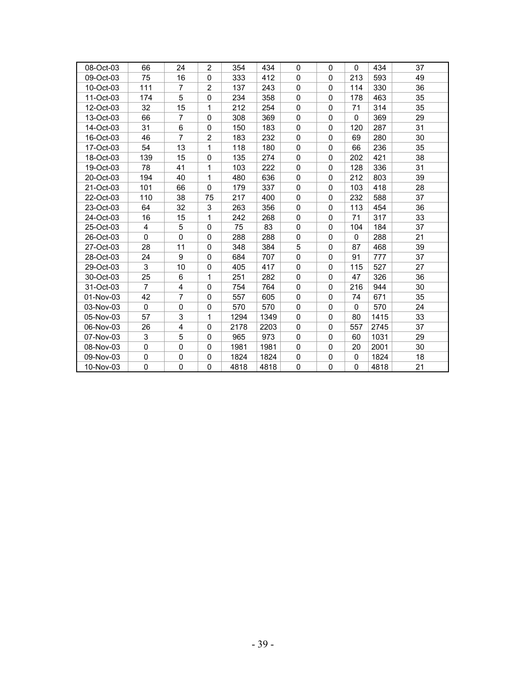| 08-Oct-03 | 66             | 24                      | $\overline{2}$ | 354  | 434  | $\mathbf 0$ | 0           | $\mathbf 0$ | 434  | 37 |
|-----------|----------------|-------------------------|----------------|------|------|-------------|-------------|-------------|------|----|
| 09-Oct-03 | 75             | 16                      | 0              | 333  | 412  | $\mathbf 0$ | 0           | 213         | 593  | 49 |
| 10-Oct-03 | 111            | $\overline{7}$          | $\overline{2}$ | 137  | 243  | $\Omega$    | $\Omega$    | 114         | 330  | 36 |
| 11-Oct-03 | 174            | 5                       | $\mathbf 0$    | 234  | 358  | $\mathbf 0$ | 0           | 178         | 463  | 35 |
| 12-Oct-03 | 32             | 15                      | 1              | 212  | 254  | $\mathbf 0$ | 0           | 71          | 314  | 35 |
| 13-Oct-03 | 66             | $\overline{7}$          | $\mathbf 0$    | 308  | 369  | $\mathbf 0$ | 0           | $\mathbf 0$ | 369  | 29 |
| 14-Oct-03 | 31             | $6\phantom{1}$          | $\mathbf{0}$   | 150  | 183  | $\mathbf 0$ | 0           | 120         | 287  | 31 |
| 16-Oct-03 | 46             | $\overline{7}$          | $\overline{2}$ | 183  | 232  | $\mathbf 0$ | 0           | 69          | 280  | 30 |
| 17-Oct-03 | 54             | 13                      | 1              | 118  | 180  | $\pmb{0}$   | $\pmb{0}$   | 66          | 236  | 35 |
| 18-Oct-03 | 139            | 15                      | $\Omega$       | 135  | 274  | $\Omega$    | 0           | 202         | 421  | 38 |
| 19-Oct-03 | 78             | 41                      | 1              | 103  | 222  | $\mathbf 0$ | $\mathbf 0$ | 128         | 336  | 31 |
| 20-Oct-03 | 194            | 40                      | 1              | 480  | 636  | $\mathbf 0$ | 0           | 212         | 803  | 39 |
| 21-Oct-03 | 101            | 66                      | $\mathbf 0$    | 179  | 337  | $\mathbf 0$ | 0           | 103         | 418  | 28 |
| 22-Oct-03 | 110            | 38                      | 75             | 217  | 400  | 0           | 0           | 232         | 588  | 37 |
| 23-Oct-03 | 64             | 32                      | 3              | 263  | 356  | $\mathbf 0$ | 0           | 113         | 454  | 36 |
| 24-Oct-03 | 16             | 15                      | $\mathbf{1}$   | 242  | 268  | $\mathbf 0$ | 0           | 71          | 317  | 33 |
| 25-Oct-03 | 4              | 5                       | $\mathbf{0}$   | 75   | 83   | $\mathbf 0$ | 0           | 104         | 184  | 37 |
| 26-Oct-03 | 0              | $\mathbf 0$             | 0              | 288  | 288  | $\mathbf 0$ | 0           | $\mathbf 0$ | 288  | 21 |
| 27-Oct-03 | 28             | 11                      | $\mathbf 0$    | 348  | 384  | 5           | 0           | 87          | 468  | 39 |
| 28-Oct-03 | 24             | 9                       | $\mathbf{0}$   | 684  | 707  | $\Omega$    | 0           | 91          | 777  | 37 |
| 29-Oct-03 | 3              | 10                      | $\mathbf 0$    | 405  | 417  | $\mathbf 0$ | 0           | 115         | 527  | 27 |
| 30-Oct-03 | 25             | 6                       | 1              | 251  | 282  | $\mathbf 0$ | 0           | 47          | 326  | 36 |
| 31-Oct-03 | $\overline{7}$ | 4                       | $\mathbf 0$    | 754  | 764  | $\mathbf 0$ | 0           | 216         | 944  | 30 |
| 01-Nov-03 | 42             | $\overline{7}$          | $\mathbf 0$    | 557  | 605  | $\mathbf 0$ | 0           | 74          | 671  | 35 |
| 03-Nov-03 | 0              | $\mathbf 0$             | 0              | 570  | 570  | $\mathbf 0$ | $\mathbf 0$ | 0           | 570  | 24 |
| 05-Nov-03 | 57             | 3                       | 1              | 1294 | 1349 | $\mathbf 0$ | 0           | 80          | 1415 | 33 |
| 06-Nov-03 | 26             | $\overline{\mathbf{4}}$ | $\Omega$       | 2178 | 2203 | $\mathbf 0$ | 0           | 557         | 2745 | 37 |
| 07-Nov-03 | 3              | 5                       | $\mathbf 0$    | 965  | 973  | $\mathbf 0$ | 0           | 60          | 1031 | 29 |
| 08-Nov-03 | 0              | $\mathbf 0$             | $\pmb{0}$      | 1981 | 1981 | $\mathbf 0$ | $\mathbf 0$ | 20          | 2001 | 30 |
| 09-Nov-03 | 0              | 0                       | $\mathbf{0}$   | 1824 | 1824 | 0           | 0           | 0           | 1824 | 18 |
| 10-Nov-03 | 0              | 0                       | $\Omega$       | 4818 | 4818 | 0           | 0           | $\Omega$    | 4818 | 21 |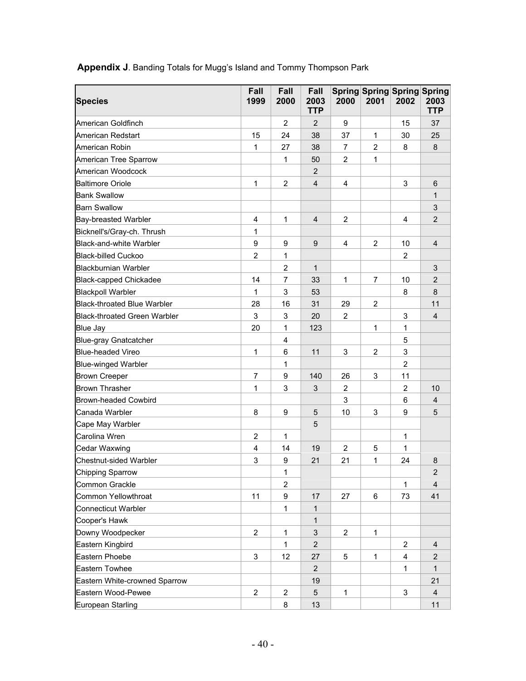| <b>Species</b>                      | Fall<br>1999   | Fall<br>2000            | Fall<br>2003<br><b>TTP</b> | 2000           | 2001           | Spring Spring Spring Spring<br>2002 | 2003<br><b>TTP</b> |
|-------------------------------------|----------------|-------------------------|----------------------------|----------------|----------------|-------------------------------------|--------------------|
| American Goldfinch                  |                | $\overline{2}$          | $\overline{2}$             | 9              |                | 15                                  | 37                 |
| American Redstart                   | 15             | 24                      | 38                         | 37             | $\mathbf{1}$   | 30                                  | 25                 |
| American Robin                      | 1              | 27                      | 38                         | $\overline{7}$ | $\overline{2}$ | 8                                   | 8                  |
| American Tree Sparrow               |                | 1                       | 50                         | $\overline{c}$ | 1              |                                     |                    |
| American Woodcock                   |                |                         | $\overline{2}$             |                |                |                                     |                    |
| <b>Baltimore Oriole</b>             | 1              | $\overline{2}$          | $\overline{\mathbf{4}}$    | $\overline{4}$ |                | 3                                   | 6                  |
| <b>Bank Swallow</b>                 |                |                         |                            |                |                |                                     | 1                  |
| <b>Barn Swallow</b>                 |                |                         |                            |                |                |                                     | 3                  |
| <b>Bay-breasted Warbler</b>         | $\overline{4}$ | $\mathbf{1}$            | $\overline{4}$             | $\overline{2}$ |                | 4                                   | $\overline{2}$     |
| Bicknell's/Gray-ch. Thrush          | 1              |                         |                            |                |                |                                     |                    |
| <b>Black-and-white Warbler</b>      | 9              | 9                       | 9                          | 4              | $\overline{2}$ | 10                                  | 4                  |
| <b>Black-billed Cuckoo</b>          | $\overline{2}$ | $\mathbf{1}$            |                            |                |                | 2                                   |                    |
| <b>Blackburnian Warbler</b>         |                | $\overline{c}$          | $\mathbf{1}$               |                |                |                                     | 3                  |
| <b>Black-capped Chickadee</b>       | 14             | 7                       | 33                         | 1              | $\overline{7}$ | 10                                  | $\overline{2}$     |
| <b>Blackpoll Warbler</b>            | 1              | 3                       | 53                         |                |                | 8                                   | 8                  |
| <b>Black-throated Blue Warbler</b>  | 28             | 16                      | 31                         | 29             | $\overline{2}$ |                                     | 11                 |
| <b>Black-throated Green Warbler</b> | 3              | 3                       | 20                         | $\overline{2}$ |                | 3                                   | $\overline{4}$     |
| Blue Jay                            | 20             | $\mathbf{1}$            | 123                        |                | 1              | 1                                   |                    |
| <b>Blue-gray Gnatcatcher</b>        |                | 4                       |                            |                |                | 5                                   |                    |
| <b>Blue-headed Vireo</b>            | 1              | 6                       | 11                         | $\mathsf 3$    | $\overline{2}$ | 3                                   |                    |
| <b>Blue-winged Warbler</b>          |                | $\mathbf{1}$            |                            |                |                | 2                                   |                    |
| <b>Brown Creeper</b>                | $\overline{7}$ | 9                       | 140                        | 26             | 3              | 11                                  |                    |
| <b>Brown Thrasher</b>               | 1              | 3                       | 3                          | 2              |                | $\overline{2}$                      | 10                 |
| Brown-headed Cowbird                |                |                         |                            | 3              |                | 6                                   | $\overline{4}$     |
| Canada Warbler                      | 8              | 9                       | 5                          | 10             | 3              | 9                                   | 5                  |
| Cape May Warbler                    |                |                         | 5                          |                |                |                                     |                    |
| Carolina Wren                       | $\overline{2}$ | $\mathbf{1}$            |                            |                |                | 1                                   |                    |
| Cedar Waxwing                       | 4              | 14                      | 19                         | $\overline{2}$ | 5              | 1                                   |                    |
| <b>Chestnut-sided Warbler</b>       | 3              | 9                       | 21                         | 21             | 1              | 24                                  | 8                  |
| Chipping Sparrow                    |                | 1                       |                            |                |                |                                     | $\overline{2}$     |
| Common Grackle                      |                | $\overline{\mathbf{c}}$ |                            |                |                | 1                                   | $\overline{4}$     |
| Common Yellowthroat                 | 11             | 9                       | 17                         | 27             | 6              | 73                                  | 41                 |
| <b>Connecticut Warbler</b>          |                | $\mathbf 1$             | $\mathbf{1}$               |                |                |                                     |                    |
| Cooper's Hawk                       |                |                         | 1                          |                |                |                                     |                    |
| Downy Woodpecker                    | $\overline{2}$ | 1                       | 3                          | $\overline{2}$ | $\mathbf 1$    |                                     |                    |
| Eastern Kingbird                    |                | $\mathbf{1}$            | $\overline{2}$             |                |                | $\overline{2}$                      | 4                  |
| Eastern Phoebe                      | 3              | 12                      | 27                         | 5              | $\mathbf{1}$   | 4                                   | 2                  |
| Eastern Towhee                      |                |                         | $\overline{2}$             |                |                | 1                                   | 1                  |
| Eastern White-crowned Sparrow       |                |                         | 19                         |                |                |                                     | 21                 |
| Eastern Wood-Pewee                  | $\overline{2}$ | $\overline{\mathbf{c}}$ | $\sqrt{5}$                 | $\mathbf{1}$   |                | 3                                   | 4                  |
| European Starling                   |                | 8                       | 13                         |                |                |                                     | 11                 |

# **Appendix J**. Banding Totals for Mugg's Island and Tommy Thompson Park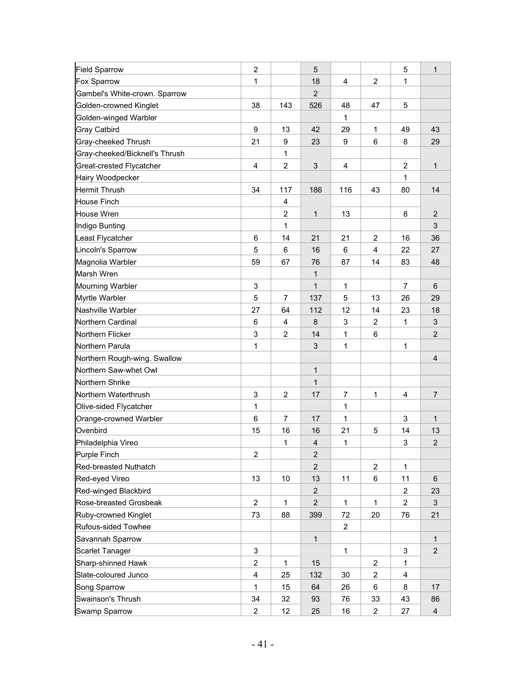| <b>Field Sparrow</b>           | $\overline{2}$          |                | 5              |                           |                | 5                | $\mathbf{1}$              |
|--------------------------------|-------------------------|----------------|----------------|---------------------------|----------------|------------------|---------------------------|
| Fox Sparrow                    | 1                       |                | 18             | 4                         | $\overline{2}$ | 1                |                           |
| Gambel's White-crown. Sparrow  |                         |                | $\overline{2}$ |                           |                |                  |                           |
| Golden-crowned Kinglet         | 38                      | 143            | 526            | 48                        | 47             | 5                |                           |
| Golden-winged Warbler          |                         |                |                | 1                         |                |                  |                           |
| <b>Gray Catbird</b>            | 9                       | 13             | 42             | 29                        | 1              | 49               | 43                        |
| Gray-cheeked Thrush            | 21                      | 9              | 23             | 9                         | 6              | 8                | 29                        |
| Gray-cheeked/Bicknell's Thrush |                         | 1              |                |                           |                |                  |                           |
| Great-crested Flycatcher       | $\overline{4}$          | $\overline{c}$ | 3              | 4                         |                | $\overline{2}$   | 1                         |
| Hairy Woodpecker               |                         |                |                |                           |                | 1                |                           |
| <b>Hermit Thrush</b>           | 34                      | 117            | 186            | 116                       | 43             | 80               | 14                        |
| <b>House Finch</b>             |                         | 4              |                |                           |                |                  |                           |
| House Wren                     |                         | $\overline{2}$ | 1              | 13                        |                | 8                | $\overline{2}$            |
| Indigo Bunting                 |                         | 1              |                |                           |                |                  | 3                         |
| Least Flycatcher               | 6                       | 14             | 21             | 21                        | $\overline{c}$ | 16               | 36                        |
| Lincoln's Sparrow              | 5                       | 6              | 16             | 6                         | $\overline{4}$ | 22               | 27                        |
| Magnolia Warbler               | 59                      | 67             | 76             | 87                        | 14             | 83               | 48                        |
| Marsh Wren                     |                         |                | 1              |                           |                |                  |                           |
| <b>Mourning Warbler</b>        | 3                       |                | 1              | $\mathbf{1}$              |                | $\overline{7}$   | 6                         |
| Myrtle Warbler                 | 5                       | $\overline{7}$ | 137            | 5                         | 13             | 26               | 29                        |
| Nashville Warbler              | 27                      | 64             | 112            | 12                        | 14             | 23               | 18                        |
| Northern Cardinal              | 6                       | 4              | $\bf 8$        | $\ensuremath{\mathsf{3}}$ | $\overline{2}$ | 1                | $\sqrt{3}$                |
| Northern Flicker               | 3                       | 2              | 14             | 1                         | 6              |                  | $\overline{2}$            |
| Northern Parula                | 1                       |                | 3              | 1                         |                | 1                |                           |
| Northern Rough-wing. Swallow   |                         |                |                |                           |                |                  | $\overline{4}$            |
| Northern Saw-whet Owl          |                         |                | 1              |                           |                |                  |                           |
| Northern Shrike                |                         |                | 1              |                           |                |                  |                           |
| Northern Waterthrush           | 3                       | $\overline{2}$ | 17             | $\overline{7}$            | 1              | $\overline{4}$   | 7                         |
| Olive-sided Flycatcher         | 1                       |                |                | 1                         |                |                  |                           |
| Orange-crowned Warbler         | 6                       | 7              | 17             | 1                         |                | 3                | 1                         |
| Ovenbird                       | 15                      | 16             | 16             | 21                        | 5              | 14               | 13                        |
| Philadelphia Vireo             |                         | 1              | $\overline{4}$ | 1                         |                | 3                | $\overline{2}$            |
| <b>Purple Finch</b>            | $\overline{c}$          |                | $\sqrt{2}$     |                           |                |                  |                           |
| Red-breasted Nuthatch          |                         |                | $\overline{2}$ |                           | $\overline{2}$ | 1                |                           |
| Red-eyed Vireo                 | 13                      | 10             | 13             | 11                        | 6              | 11               | 6                         |
| Red-winged Blackbird           |                         |                | $\overline{c}$ |                           |                | $\boldsymbol{2}$ | 23                        |
| Rose-breasted Grosbeak         | $\overline{2}$          | 1              | $\overline{2}$ | $\mathbf{1}$              | $\mathbf{1}$   | $\overline{2}$   | $\ensuremath{\mathsf{3}}$ |
| Ruby-crowned Kinglet           | 73                      | 88             | 399            | 72                        | 20             | 76               | 21                        |
| Rufous-sided Towhee            |                         |                |                | $\overline{c}$            |                |                  |                           |
| Savannah Sparrow               |                         |                | 1              |                           |                |                  | $\mathbf 1$               |
| Scarlet Tanager                | 3                       |                |                | $\mathbf 1$               |                | 3                | $\overline{2}$            |
| Sharp-shinned Hawk             | $\overline{c}$          | 1              | 15             |                           | $\overline{2}$ | 1                |                           |
| Slate-coloured Junco           | $\overline{\mathbf{4}}$ | 25             | 132            | 30                        | $\overline{2}$ | $\overline{4}$   |                           |
| Song Sparrow                   | $\mathbf 1$             | 15             | 64             | 26                        | 6              | 8                | 17                        |
| Swainson's Thrush              | 34                      | 32             | 93             | 76                        | 33             | 43               | 86                        |
| Swamp Sparrow                  | $\overline{2}$          | 12             | 25             | 16                        | $\overline{2}$ | 27               | $\overline{4}$            |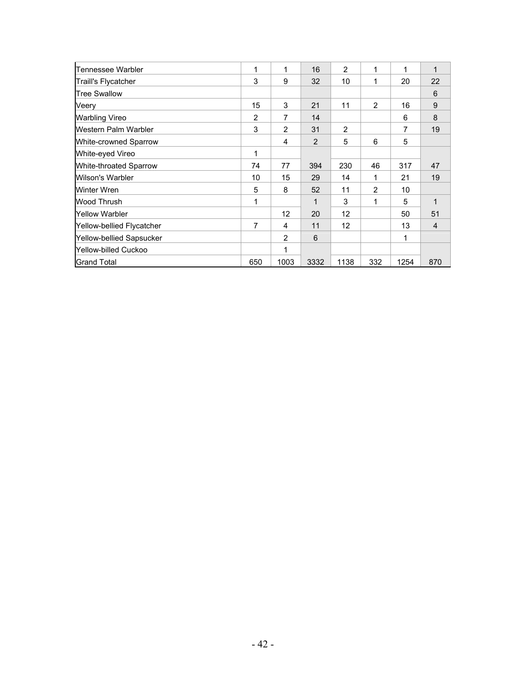| Tennessee Warbler          | 1   | 1              | 16   | 2    | 1   | 1    | 1              |
|----------------------------|-----|----------------|------|------|-----|------|----------------|
| <b>Traill's Flycatcher</b> | 3   | 9              | 32   | 10   | 1   | 20   | 22             |
| <b>Tree Swallow</b>        |     |                |      |      |     |      | 6              |
| Veery                      | 15  | 3              | 21   | 11   | 2   | 16   | 9              |
| <b>Warbling Vireo</b>      | 2   | 7              | 14   |      |     | 6    | 8              |
| Western Palm Warbler       | 3   | $\overline{2}$ | 31   | 2    |     | 7    | 19             |
| White-crowned Sparrow      |     | 4              | 2    | 5    | 6   | 5    |                |
| White-eyed Vireo           | 1   |                |      |      |     |      |                |
| White-throated Sparrow     | 74  | 77             | 394  | 230  | 46  | 317  | 47             |
| Wilson's Warbler           | 10  | 15             | 29   | 14   | 1   | 21   | 19             |
| Winter Wren                | 5   | 8              | 52   | 11   | 2   | 10   |                |
| Wood Thrush                | 1   |                | 1    | 3    | 1   | 5    | 1              |
| <b>Yellow Warbler</b>      |     | 12             | 20   | 12   |     | 50   | 51             |
| Yellow-bellied Flycatcher  | 7   | 4              | 11   | 12   |     | 13   | $\overline{4}$ |
| Yellow-bellied Sapsucker   |     | 2              | 6    |      |     | 1    |                |
| Yellow-billed Cuckoo       |     | 1              |      |      |     |      |                |
| <b>Grand Total</b>         | 650 | 1003           | 3332 | 1138 | 332 | 1254 | 870            |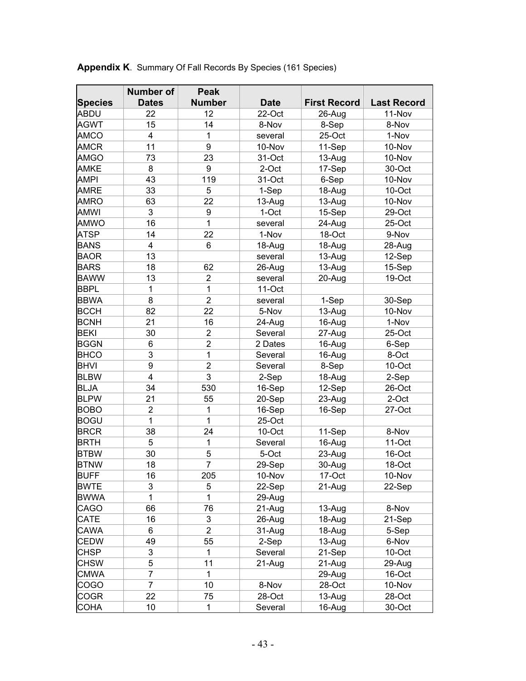|                | <b>Number of</b>        | <b>Peak</b>             |             |                     |                    |
|----------------|-------------------------|-------------------------|-------------|---------------------|--------------------|
| <b>Species</b> | <b>Dates</b>            | <b>Number</b>           | <b>Date</b> | <b>First Record</b> | <b>Last Record</b> |
| <b>ABDU</b>    | 22                      | 12                      | 22-Oct      | 26-Aug              | 11-Nov             |
| <b>AGWT</b>    | 15                      | 14                      | 8-Nov       | 8-Sep               | 8-Nov              |
| <b>AMCO</b>    | $\overline{\mathbf{4}}$ | 1                       | several     | 25-Oct              | 1-Nov              |
| <b>AMCR</b>    | 11                      | 9                       | 10-Nov      | 11-Sep              | 10-Nov             |
| <b>AMGO</b>    | 73                      | 23                      | 31-Oct      | 13-Aug              | 10-Nov             |
| <b>AMKE</b>    | 8                       | 9                       | 2-Oct       | 17-Sep              | 30-Oct             |
| <b>AMPI</b>    | 43                      | 119                     | 31-Oct      | 6-Sep               | 10-Nov             |
| <b>AMRE</b>    | 33                      | 5                       | 1-Sep       | 18-Aug              | 10-Oct             |
| <b>AMRO</b>    | 63                      | 22                      | 13-Aug      | 13-Aug              | 10-Nov             |
| <b>AMWI</b>    | 3                       | 9                       | 1-Oct       | 15-Sep              | 29-Oct             |
| AMWO           | 16                      | 1                       | several     | 24-Aug              | 25-Oct             |
| <b>ATSP</b>    | 14                      | 22                      | 1-Nov       | 18-Oct              | 9-Nov              |
| <b>BANS</b>    | $\overline{4}$          | 6                       | 18-Aug      | 18-Aug              | 28-Aug             |
| <b>BAOR</b>    | 13                      |                         | several     | 13-Aug              | 12-Sep             |
| <b>BARS</b>    | 18                      | 62                      | 26-Aug      | 13-Aug              | 15-Sep             |
| <b>BAWW</b>    | 13                      | $\overline{2}$          | several     | 20-Aug              | 19-Oct             |
| <b>BBPL</b>    | 1                       | 1                       | 11-Oct      |                     |                    |
| <b>BBWA</b>    | 8                       | $\overline{2}$          | several     | 1-Sep               | 30-Sep             |
| <b>BCCH</b>    | 82                      | 22                      | 5-Nov       | 13-Aug              | 10-Nov             |
| <b>BCNH</b>    | 21                      | 16                      | 24-Aug      | 16-Aug              | 1-Nov              |
| <b>BEKI</b>    | 30                      | $\overline{\mathbf{c}}$ | Several     | 27-Aug              | 25-Oct             |
| <b>BGGN</b>    | $\,6$                   | $\overline{2}$          | 2 Dates     | 16-Aug              | 6-Sep              |
| <b>BHCO</b>    | 3                       | $\mathbf{1}$            | Several     | 16-Aug              | 8-Oct              |
| <b>BHVI</b>    | 9                       | $\overline{2}$          | Several     | 8-Sep               | 10-Oct             |
| <b>BLBW</b>    | $\overline{4}$          | 3                       | 2-Sep       | 18-Aug              | 2-Sep              |
| <b>BLJA</b>    | 34                      | 530                     | 16-Sep      | 12-Sep              | 26-Oct             |
| <b>BLPW</b>    | 21                      | 55                      | 20-Sep      | 23-Aug              | 2-Oct              |
| <b>BOBO</b>    | $\overline{2}$          | 1                       | 16-Sep      | 16-Sep              | 27-Oct             |
| <b>BOGU</b>    | 1                       | 1                       | 25-Oct      |                     |                    |
| <b>BRCR</b>    | 38                      | 24                      | 10-Oct      | 11-Sep              | 8-Nov              |
| <b>BRTH</b>    | 5                       | $\mathbf{1}$            | Several     | 16-Aug              | 11-Oct             |
| <b>BTBW</b>    | 30                      | 5                       | 5-Oct       | 23-Aug              | 16-Oct             |
| <b>BTNW</b>    | 18                      | $\overline{7}$          | 29-Sep      | 30-Aug              | 18-Oct             |
| <b>BUFF</b>    | 16                      | 205                     | 10-Nov      | 17-Oct              | 10-Nov             |
| <b>BWTE</b>    | 3                       | 5                       | 22-Sep      | 21-Aug              | 22-Sep             |
| <b>BWWA</b>    | 1                       | 1                       | 29-Aug      |                     |                    |
| <b>CAGO</b>    | 66                      | 76                      | 21-Aug      | 13-Aug              | 8-Nov              |
| CATE           | 16                      | 3                       | 26-Aug      | 18-Aug              | 21-Sep             |
| CAWA           | $6\phantom{1}$          | $\overline{2}$          | 31-Aug      | 18-Aug              | 5-Sep              |
| <b>CEDW</b>    | 49                      | 55                      | 2-Sep       | 13-Aug              | 6-Nov              |
| <b>CHSP</b>    | 3                       | $\mathbf{1}$            | Several     | 21-Sep              | 10-Oct             |
| <b>CHSW</b>    | 5                       | 11                      | 21-Aug      | 21-Aug              | 29-Aug             |
| <b>CMWA</b>    | $\overline{7}$          | $\mathbf 1$             |             |                     | 16-Oct             |
| <b>COGO</b>    | $\overline{7}$          | 10                      | 8-Nov       | 29-Aug<br>28-Oct    | 10-Nov             |
| <b>COGR</b>    | 22                      | 75                      | 28-Oct      |                     | 28-Oct             |
| <b>COHA</b>    | 10                      | 1                       | Several     | 13-Aug<br>16-Aug    | 30-Oct             |
|                |                         |                         |             |                     |                    |

**Appendix K**. Summary Of Fall Records By Species (161 Species)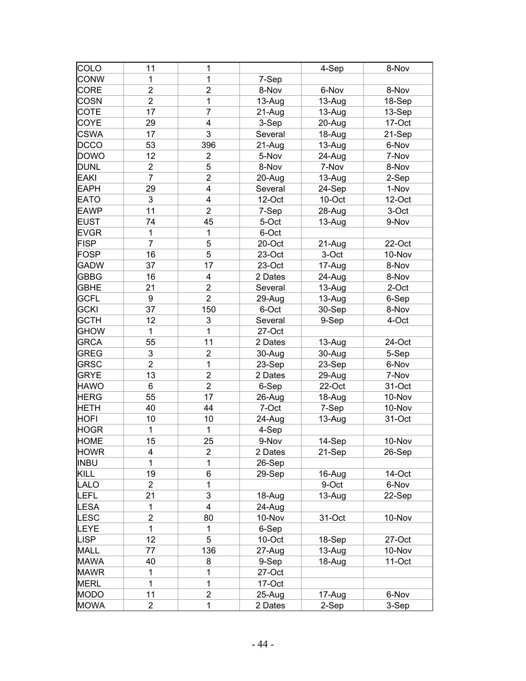| COLO        | 11             | 1                                |         | 4-Sep  | 8-Nov  |
|-------------|----------------|----------------------------------|---------|--------|--------|
| <b>CONW</b> | 1              | 1                                | 7-Sep   |        |        |
| <b>CORE</b> | $\overline{2}$ | $\overline{2}$                   | 8-Nov   | 6-Nov  | 8-Nov  |
| <b>COSN</b> | $\overline{2}$ | $\mathbf{1}$                     | 13-Aug  | 13-Aug | 18-Sep |
| COTE        | 17             | $\overline{7}$                   | 21-Aug  | 13-Aug | 13-Sep |
| COYE        | 29             | 4                                | 3-Sep   | 20-Aug | 17-Oct |
| <b>CSWA</b> | 17             | 3                                | Several | 18-Aug | 21-Sep |
| <b>DCCO</b> | 53             | 396                              | 21-Aug  | 13-Aug | 6-Nov  |
| <b>DOWO</b> | 12             | $\overline{2}$                   | 5-Nov   | 24-Aug | 7-Nov  |
| <b>DUNL</b> | $\overline{2}$ | 5                                | 8-Nov   | 7-Nov  | 8-Nov  |
| <b>EAKI</b> | $\overline{7}$ | $\overline{2}$                   | 20-Aug  | 13-Aug | 2-Sep  |
| <b>EAPH</b> | 29             | 4                                | Several | 24-Sep | 1-Nov  |
| <b>EATO</b> | 3              | 4                                | 12-Oct  | 10-Oct | 12-Oct |
| <b>EAWP</b> | 11             | $\overline{2}$                   | 7-Sep   | 28-Aug | 3-Oct  |
| <b>EUST</b> | 74             | 45                               | 5-Oct   | 13-Aug | 9-Nov  |
| <b>EVGR</b> | 1              | 1                                | 6-Oct   |        |        |
| <b>FISP</b> | $\overline{7}$ | 5                                | 20-Oct  | 21-Aug | 22-Oct |
| <b>FOSP</b> | 16             | 5                                | 23-Oct  | 3-Oct  | 10-Nov |
| <b>GADW</b> | 37             | 17                               | 23-Oct  | 17-Aug | 8-Nov  |
| <b>GBBG</b> | 16             | 4                                | 2 Dates | 24-Aug | 8-Nov  |
| <b>GBHE</b> | 21             | $\overline{2}$                   | Several | 13-Aug | 2-Oct  |
| <b>GCFL</b> | 9              | $\overline{2}$                   | 29-Aug  | 13-Aug | 6-Sep  |
| <b>GCKI</b> | 37             | 150                              | 6-Oct   | 30-Sep | 8-Nov  |
| <b>GCTH</b> | 12             | 3                                | Several |        | 4-Oct  |
| <b>GHOW</b> | 1              | 1                                | 27-Oct  | 9-Sep  |        |
| <b>GRCA</b> | 55             | 11                               | 2 Dates |        | 24-Oct |
| <b>GREG</b> | 3              | $\overline{2}$                   |         | 13-Aug | 5-Sep  |
|             | $\overline{2}$ | $\mathbf{1}$                     | 30-Aug  | 30-Aug |        |
| <b>GRSC</b> |                |                                  | 23-Sep  | 23-Sep | 6-Nov  |
| <b>GRYE</b> | 13             | $\overline{2}$<br>$\overline{2}$ | 2 Dates | 29-Aug | 7-Nov  |
| <b>HAWO</b> | 6              |                                  | 6-Sep   | 22-Oct | 31-Oct |
| <b>HERG</b> | 55             | 17                               | 26-Aug  | 18-Aug | 10-Nov |
| <b>HETH</b> | 40             | 44                               | 7-Oct   | 7-Sep  | 10-Nov |
| <b>HOFI</b> | 10             | 10                               | 24-Aug  | 13-Aug | 31-Oct |
| <b>HOGR</b> | 1              | 1                                | 4-Sep   |        |        |
| <b>HOME</b> | 15             | 25                               | 9-Nov   | 14-Sep | 10-Nov |
| <b>HOWR</b> | 4              | 2                                | 2 Dates | 21-Sep | 26-Sep |
| <b>INBU</b> | 1              | $\mathbf{1}$                     | 26-Sep  |        |        |
| <b>KILL</b> | 19             | 6                                | 29-Sep  | 16-Aug | 14-Oct |
| <b>LALO</b> | $\overline{2}$ | $\mathbf 1$                      |         | 9-Oct  | 6-Nov  |
| LEFL        | 21             | 3                                | 18-Aug  | 13-Aug | 22-Sep |
| <b>LESA</b> | 1              | 4                                | 24-Aug  |        |        |
| LESC        | $\overline{2}$ | 80                               | 10-Nov  | 31-Oct | 10-Nov |
| <b>LEYE</b> | 1              | $\mathbf{1}$                     | 6-Sep   |        |        |
| <b>LISP</b> | 12             | 5                                | 10-Oct  | 18-Sep | 27-Oct |
| <b>MALL</b> | 77             | 136                              | 27-Aug  | 13-Aug | 10-Nov |
| <b>MAWA</b> | 40             | 8                                | 9-Sep   | 18-Aug | 11-Oct |
| <b>MAWR</b> | 1              | $\mathbf 1$                      | 27-Oct  |        |        |
| <b>MERL</b> | 1              | 1                                | 17-Oct  |        |        |
| <b>MODO</b> | 11             | $\overline{2}$                   | 25-Aug  | 17-Aug | 6-Nov  |
| <b>MOWA</b> | $\overline{2}$ | 1                                | 2 Dates | 2-Sep  | 3-Sep  |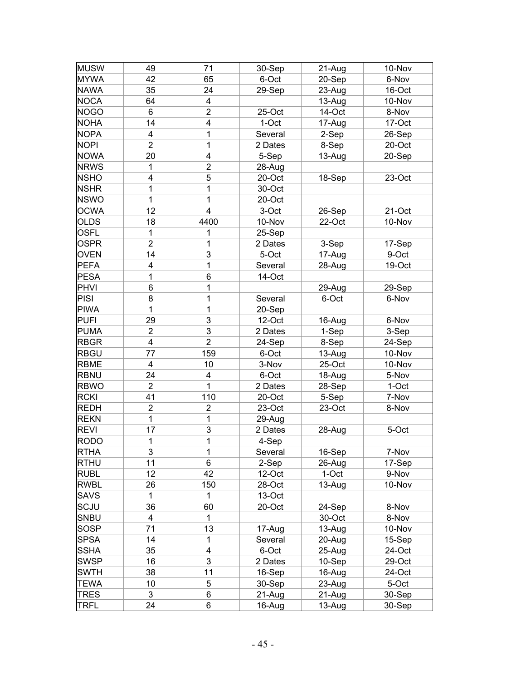| <b>MUSW</b> | 49             | 71                      | 30-Sep         | 21-Aug | 10-Nov           |
|-------------|----------------|-------------------------|----------------|--------|------------------|
| <b>MYWA</b> | 42             | 65                      | 6-Oct          | 20-Sep | 6-Nov            |
| <b>NAWA</b> | 35             | 24                      | 29-Sep         | 23-Aug | 16-Oct           |
| <b>NOCA</b> | 64             | 4                       |                | 13-Aug | 10-Nov           |
| <b>NOGO</b> | 6              | $\overline{2}$          | 25-Oct         | 14-Oct | 8-Nov            |
| <b>NOHA</b> | 14             | $\overline{\mathbf{4}}$ | 1-Oct          | 17-Aug | 17-Oct           |
| <b>NOPA</b> | 4              | $\mathbf{1}$            | Several        | 2-Sep  | 26-Sep           |
| <b>NOPI</b> | $\overline{2}$ | $\mathbf{1}$            | 2 Dates        | 8-Sep  | 20-Oct           |
| <b>NOWA</b> | 20             | 4                       | 5-Sep          | 13-Aug | 20-Sep           |
| <b>NRWS</b> | $\mathbf{1}$   | $\overline{2}$          | 28-Aug         |        |                  |
| <b>NSHO</b> | 4              | 5                       | 20-Oct         | 18-Sep | 23-Oct           |
| <b>NSHR</b> | 1              | $\mathbf{1}$            | 30-Oct         |        |                  |
| <b>NSWO</b> | $\mathbf{1}$   | $\mathbf{1}$            | 20-Oct         |        |                  |
| <b>OCWA</b> | 12             | $\overline{\mathbf{4}}$ | 3-Oct          | 26-Sep | 21-Oct           |
| <b>OLDS</b> | 18             | 4400                    | 10-Nov         | 22-Oct | 10-Nov           |
| <b>OSFL</b> | $\mathbf{1}$   | 1                       | 25-Sep         |        |                  |
| <b>OSPR</b> | $\overline{2}$ | 1                       | 2 Dates        | 3-Sep  | 17-Sep           |
| <b>OVEN</b> | 14             | 3                       | 5-Oct          | 17-Aug | 9-Oct            |
| <b>PEFA</b> | 4              | $\mathbf{1}$            | Several        | 28-Aug | 19-Oct           |
| <b>PESA</b> | 1              | 6                       | 14-Oct         |        |                  |
| PHVI        | 6              | $\mathbf{1}$            |                | 29-Aug | 29-Sep           |
| PISI        | 8              | 1                       | Several        | 6-Oct  | 6-Nov            |
| <b>PIWA</b> | 1              | $\mathbf{1}$            | 20-Sep         |        |                  |
| <b>PUFI</b> | 29             | 3                       | 12-Oct         | 16-Aug | 6-Nov            |
| <b>PUMA</b> | $\overline{2}$ | 3                       | 2 Dates        | 1-Sep  | 3-Sep            |
| <b>RBGR</b> | 4              | $\overline{2}$          | 24-Sep         | 8-Sep  | 24-Sep           |
| <b>RBGU</b> | 77             | 159                     |                |        |                  |
| <b>RBME</b> | $\overline{4}$ | 10                      | 6-Oct<br>3-Nov | 13-Aug | 10-Nov<br>10-Nov |
|             | 24             |                         |                | 25-Oct |                  |
| <b>RBNU</b> | $\overline{2}$ | 4<br>1                  | 6-Oct          | 18-Aug | 5-Nov            |
| <b>RBWO</b> |                |                         | 2 Dates        | 28-Sep | 1-Oct            |
| <b>RCKI</b> | 41             | 110                     | 20-Oct         | 5-Sep  | 7-Nov            |
| <b>REDH</b> | $\overline{2}$ | $\overline{2}$          | 23-Oct         | 23-Oct | 8-Nov            |
| <b>REKN</b> | 1              | $\mathbf{1}$            | 29-Aug         |        |                  |
| <b>REVI</b> | 17             | 3                       | 2 Dates        | 28-Aug | 5-Oct            |
| <b>RODO</b> | 1              | $\mathbf{1}$            | 4-Sep          |        |                  |
| <b>RTHA</b> | 3              | $\mathbf 1$             | Several        | 16-Sep | 7-Nov            |
| <b>RTHU</b> | 11             | 6                       | 2-Sep          | 26-Aug | 17-Sep           |
| <b>RUBL</b> | 12             | 42                      | 12-Oct         | 1-Oct  | 9-Nov            |
| <b>RWBL</b> | 26             | 150                     | 28-Oct         | 13-Aug | 10-Nov           |
| <b>SAVS</b> | 1              | 1                       | 13-Oct         |        |                  |
| SCJU        | 36             | 60                      | 20-Oct         | 24-Sep | 8-Nov            |
| SNBU        | 4              | $\mathbf 1$             |                | 30-Oct | 8-Nov            |
| SOSP        | 71             | 13                      | 17-Aug         | 13-Aug | 10-Nov           |
| <b>SPSA</b> | 14             | $\mathbf 1$             | Several        | 20-Aug | 15-Sep           |
| <b>SSHA</b> | 35             | 4                       | 6-Oct          | 25-Aug | 24-Oct           |
| <b>SWSP</b> | 16             | 3                       | 2 Dates        | 10-Sep | 29-Oct           |
| <b>SWTH</b> | 38             | 11                      | 16-Sep         | 16-Aug | 24-Oct           |
| <b>TEWA</b> | 10             | 5                       | 30-Sep         | 23-Aug | 5-Oct            |
| <b>TRES</b> | 3              | 6                       | 21-Aug         | 21-Aug | 30-Sep           |
| <b>TRFL</b> | 24             | 6                       | 16-Aug         | 13-Aug | 30-Sep           |